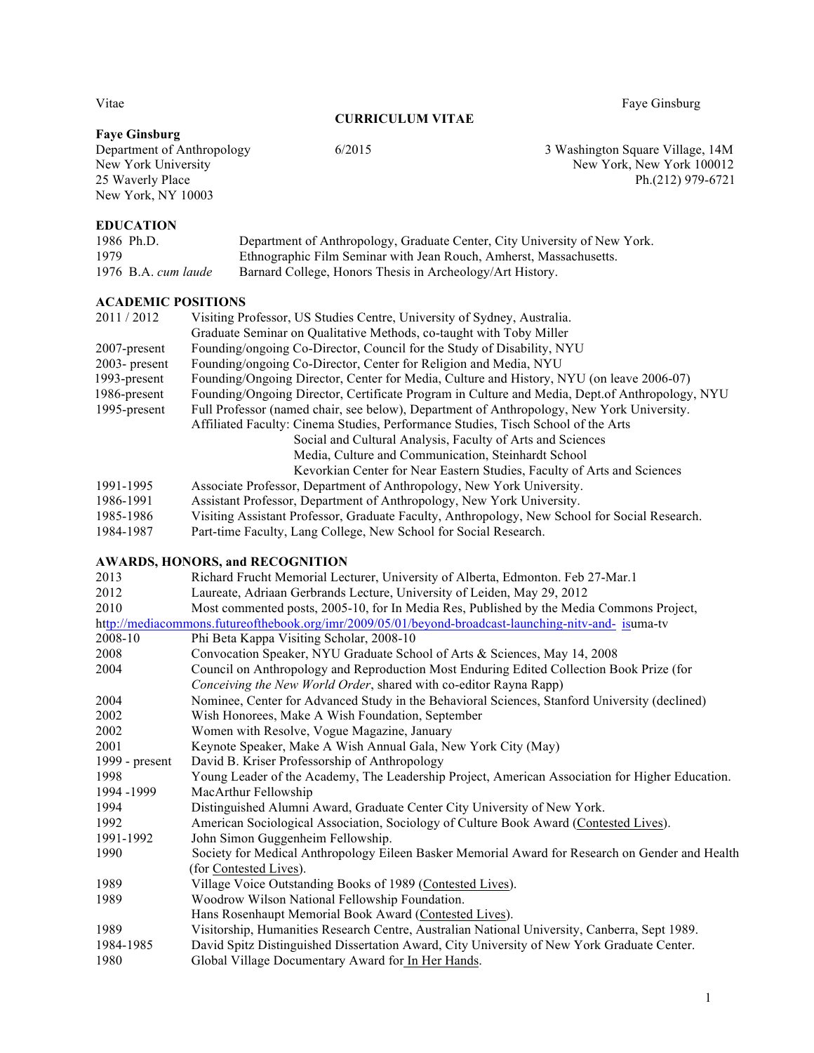#### **CURRICULUM VITAE**

Vitae Faye Ginsburg

# **Faye Ginsburg**

Department of Anthropology 6/2015 6/2015 3 Washington Square Village, 14M<br>New York University 14M<br>New York, New York 100012 New York University<br>
25 Waverly Place<br>
25 Waverly Place<br>
25 Waverly Place<br>
25 Waverly Place<br>
25 Waverly Place<br>
26 Waverly Place Ph.(212) 979-6721

#### **EDUCATION**

New York, NY 10003

| 1986 Ph.D.            | Department of Anthropology, Graduate Center, City University of New York. |
|-----------------------|---------------------------------------------------------------------------|
| 1979                  | Ethnographic Film Seminar with Jean Rouch, Amherst, Massachusetts.        |
| 1976 $B.A.$ cum laude | Barnard College, Honors Thesis in Archeology/Art History.                 |

#### **ACADEMIC POSITIONS**

| 2011/2012        | Visiting Professor, US Studies Centre, University of Sydney, Australia.                        |
|------------------|------------------------------------------------------------------------------------------------|
|                  | Graduate Seminar on Qualitative Methods, co-taught with Toby Miller                            |
| $2007$ -present  | Founding/ongoing Co-Director, Council for the Study of Disability, NYU                         |
| $2003$ - present | Founding/ongoing Co-Director, Center for Religion and Media, NYU                               |
| 1993-present     | Founding/Ongoing Director, Center for Media, Culture and History, NYU (on leave 2006-07)       |
| 1986-present     | Founding/Ongoing Director, Certificate Program in Culture and Media, Dept.of Anthropology, NYU |
| 1995-present     | Full Professor (named chair, see below), Department of Anthropology, New York University.      |
|                  | Affiliated Faculty: Cinema Studies, Performance Studies, Tisch School of the Arts              |
|                  | Social and Cultural Analysis, Faculty of Arts and Sciences                                     |
|                  | Media, Culture and Communication, Steinhardt School                                            |
|                  | Kevorkian Center for Near Eastern Studies, Faculty of Arts and Sciences                        |
| 1991-1995        | Associate Professor, Department of Anthropology, New York University.                          |
| 1986-1991        | Assistant Professor, Department of Anthropology, New York University.                          |
| 1985-1986        | Visiting Assistant Professor, Graduate Faculty, Anthropology, New School for Social Research   |

- 1985-1986 Visiting Assistant Professor, Graduate Faculty, Anthropology, New School for Social Research.
- 1984-1987 Part-time Faculty, Lang College, New School for Social Research.

### **AWARDS, HONORS, and RECOGNITION**

| 2013           | Richard Frucht Memorial Lecturer, University of Alberta, Edmonton. Feb 27-Mar.1                      |
|----------------|------------------------------------------------------------------------------------------------------|
| 2012           | Laureate, Adriaan Gerbrands Lecture, University of Leiden, May 29, 2012                              |
| 2010           | Most commented posts, 2005-10, for In Media Res, Published by the Media Commons Project,             |
|                | http://mediacommons.futureofthebook.org/imr/2009/05/01/beyond-broadcast-launching-nitv-and- isuma-tv |
| 2008-10        | Phi Beta Kappa Visiting Scholar, 2008-10                                                             |
| 2008           | Convocation Speaker, NYU Graduate School of Arts & Sciences, May 14, 2008                            |
| 2004           | Council on Anthropology and Reproduction Most Enduring Edited Collection Book Prize (for             |
|                | Conceiving the New World Order, shared with co-editor Rayna Rapp)                                    |
| 2004           | Nominee, Center for Advanced Study in the Behavioral Sciences, Stanford University (declined)        |
| 2002           | Wish Honorees, Make A Wish Foundation, September                                                     |
| 2002           | Women with Resolve, Vogue Magazine, January                                                          |
| 2001           | Keynote Speaker, Make A Wish Annual Gala, New York City (May)                                        |
| 1999 - present | David B. Kriser Professorship of Anthropology                                                        |
| 1998           | Young Leader of the Academy, The Leadership Project, American Association for Higher Education.      |
| 1994 -1999     | MacArthur Fellowship                                                                                 |
| 1994           | Distinguished Alumni Award, Graduate Center City University of New York.                             |
| 1992           | American Sociological Association, Sociology of Culture Book Award (Contested Lives).                |
| 1991-1992      | John Simon Guggenheim Fellowship.                                                                    |
| 1990           | Society for Medical Anthropology Eileen Basker Memorial Award for Research on Gender and Health      |
|                | (for Contested Lives).                                                                               |
| 1989           | Village Voice Outstanding Books of 1989 (Contested Lives).                                           |
| 1989           | Woodrow Wilson National Fellowship Foundation.                                                       |
|                | Hans Rosenhaupt Memorial Book Award (Contested Lives).                                               |
| 1989           | Visitorship, Humanities Research Centre, Australian National University, Canberra, Sept 1989.        |
| 1984-1985      | David Spitz Distinguished Dissertation Award, City University of New York Graduate Center.           |
| 1980           | Global Village Documentary Award for In Her Hands.                                                   |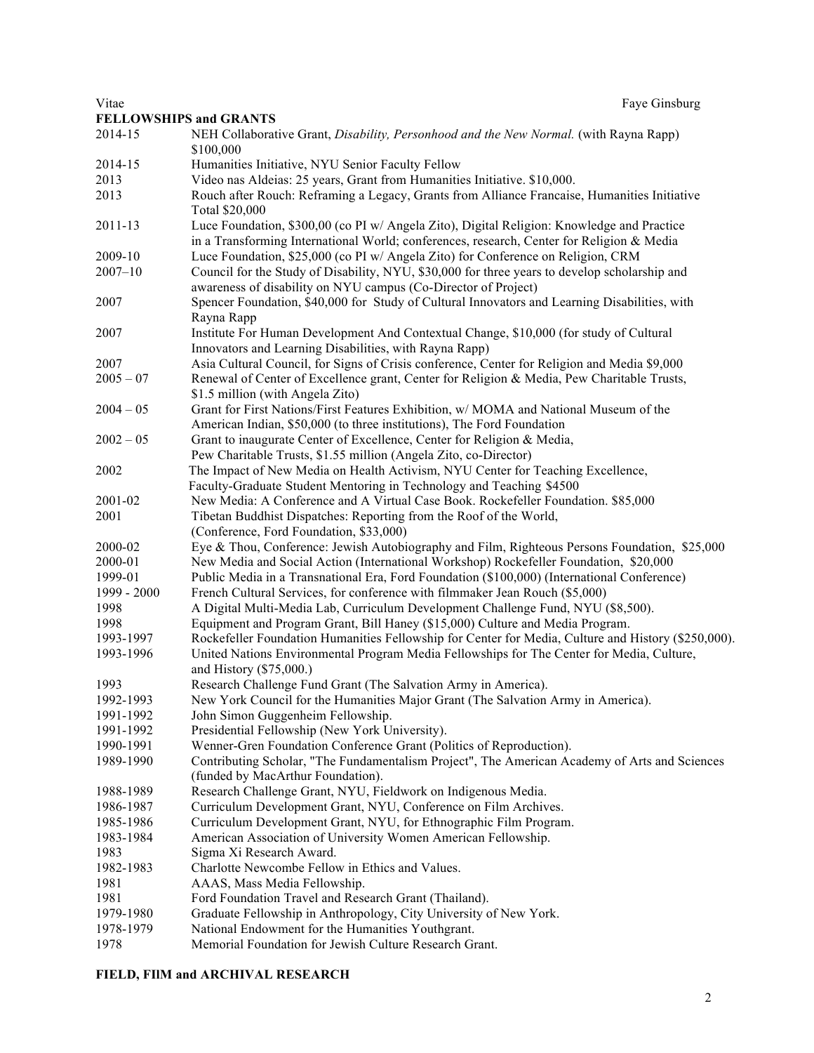**FELLOWSHIPS and GRANTS** 2014-15 NEH Collaborative Grant, *Disability, Personhood and the New Normal.* (with Rayna Rapp) \$100,000 2014-15 Humanities Initiative, NYU Senior Faculty Fellow 2013 Video nas Aldeias: 25 years, Grant from Humanities Initiative. \$10,000. 2013 Rouch after Rouch: Reframing a Legacy, Grants from Alliance Francaise, Humanities Initiative Total \$20,000 2011-13 Luce Foundation, \$300,00 (co PI w/ Angela Zito), Digital Religion: Knowledge and Practice in a Transforming International World; conferences, research, Center for Religion & Media 2009-10 Luce Foundation, \$25,000 (co PI w/ Angela Zito) for Conference on Religion, CRM 2007–10 Council for the Study of Disability, NYU, \$30,000 for three years to develop scholarship and awareness of disability on NYU campus (Co-Director of Project) 2007 Spencer Foundation, \$40,000 for Study of Cultural Innovators and Learning Disabilities, with Rayna Rapp 2007 Institute For Human Development And Contextual Change, \$10,000 (for study of Cultural Innovators and Learning Disabilities, with Rayna Rapp) 2007 Asia Cultural Council, for Signs of Crisis conference, Center for Religion and Media \$9,000 2005 – 07 Renewal of Center of Excellence grant, Center for Religion & Media, Pew Charitable Trusts, \$1.5 million (with Angela Zito) 2004 – 05 Grant for First Nations/First Features Exhibition, w/ MOMA and National Museum of the American Indian, \$50,000 (to three institutions), The Ford Foundation 2002 – 05 Grant to inaugurate Center of Excellence, Center for Religion & Media, Pew Charitable Trusts, \$1.55 million (Angela Zito, co-Director) 2002 The Impact of New Media on Health Activism, NYU Center for Teaching Excellence, Faculty-Graduate Student Mentoring in Technology and Teaching \$4500 2001-02 New Media: A Conference and A Virtual Case Book. Rockefeller Foundation. \$85,000 2001 Tibetan Buddhist Dispatches: Reporting from the Roof of the World, (Conference, Ford Foundation, \$33,000) 2000-02 Eye & Thou, Conference: Jewish Autobiography and Film, Righteous Persons Foundation, \$25,000 2000-01 New Media and Social Action (International Workshop) Rockefeller Foundation, \$20,000 1999-01 Public Media in a Transnational Era, Ford Foundation (\$100,000) (International Conference) 1999 - 2000 French Cultural Services, for conference with filmmaker Jean Rouch (\$5,000) 1998 A Digital Multi-Media Lab, Curriculum Development Challenge Fund, NYU (\$8,500). 1998 Equipment and Program Grant, Bill Haney (\$15,000) Culture and Media Program. 1993-1997 Rockefeller Foundation Humanities Fellowship for Center for Media, Culture and History (\$250,000). 1993-1996 United Nations Environmental Program Media Fellowships for The Center for Media, Culture, and History (\$75,000.) 1993 Research Challenge Fund Grant (The Salvation Army in America). 1992-1993 New York Council for the Humanities Major Grant (The Salvation Army in America). 1991-1992 John Simon Guggenheim Fellowship. 1991-1992 Presidential Fellowship (New York University). 1990-1991 Wenner-Gren Foundation Conference Grant (Politics of Reproduction). 1989-1990 Contributing Scholar, "The Fundamentalism Project", The American Academy of Arts and Sciences (funded by MacArthur Foundation). 1988-1989 Research Challenge Grant, NYU, Fieldwork on Indigenous Media. 1986-1987 Curriculum Development Grant, NYU, Conference on Film Archives. 1985-1986 Curriculum Development Grant, NYU, for Ethnographic Film Program. 1983-1984 American Association of University Women American Fellowship. 1983 Sigma Xi Research Award. 1982-1983 Charlotte Newcombe Fellow in Ethics and Values. 1981 AAAS, Mass Media Fellowship. 1981 Ford Foundation Travel and Research Grant (Thailand). 1979-1980 Graduate Fellowship in Anthropology, City University of New York. 1978-1979 National Endowment for the Humanities Youthgrant.

1978 Memorial Foundation for Jewish Culture Research Grant.

#### **FIELD, FIlM and ARCHIVAL RESEARCH**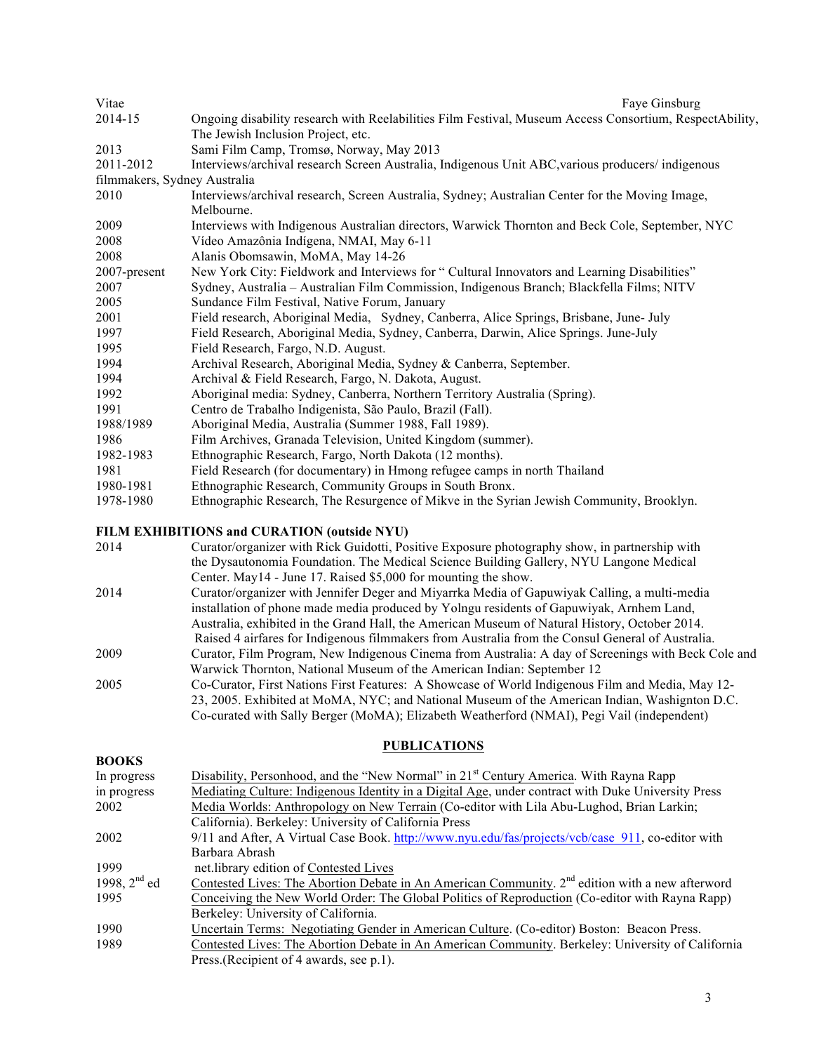| Vitae                        | Faye Ginsburg                                                                                           |
|------------------------------|---------------------------------------------------------------------------------------------------------|
| 2014-15                      | Ongoing disability research with Reelabilities Film Festival, Museum Access Consortium, RespectAbility, |
|                              | The Jewish Inclusion Project, etc.                                                                      |
| 2013                         | Sami Film Camp, Tromsø, Norway, May 2013                                                                |
| 2011-2012                    | Interviews/archival research Screen Australia, Indigenous Unit ABC, various producers/ indigenous       |
| filmmakers, Sydney Australia |                                                                                                         |
| 2010                         | Interviews/archival research, Screen Australia, Sydney; Australian Center for the Moving Image,         |
|                              | Melbourne.                                                                                              |
| 2009                         | Interviews with Indigenous Australian directors, Warwick Thornton and Beck Cole, September, NYC         |
| 2008                         | Vídeo Amazônia Indígena, NMAI, May 6-11                                                                 |
| 2008                         | Alanis Obomsawin, MoMA, May 14-26                                                                       |
| 2007-present                 | New York City: Fieldwork and Interviews for "Cultural Innovators and Learning Disabilities"             |
| 2007                         | Sydney, Australia - Australian Film Commission, Indigenous Branch; Blackfella Films; NITV               |
| 2005                         | Sundance Film Festival, Native Forum, January                                                           |
| 2001                         | Field research, Aboriginal Media, Sydney, Canberra, Alice Springs, Brisbane, June- July                 |
| 1997                         | Field Research, Aboriginal Media, Sydney, Canberra, Darwin, Alice Springs. June-July                    |
| 1995                         | Field Research, Fargo, N.D. August.                                                                     |
| 1994                         | Archival Research, Aboriginal Media, Sydney & Canberra, September.                                      |
| 1994                         | Archival & Field Research, Fargo, N. Dakota, August.                                                    |
| 1992                         | Aboriginal media: Sydney, Canberra, Northern Territory Australia (Spring).                              |
| 1991                         | Centro de Trabalho Indigenista, São Paulo, Brazil (Fall).                                               |
| 1988/1989                    | Aboriginal Media, Australia (Summer 1988, Fall 1989).                                                   |
| 1986                         | Film Archives, Granada Television, United Kingdom (summer).                                             |
| 1982-1983                    | Ethnographic Research, Fargo, North Dakota (12 months).                                                 |
| 1981                         | Field Research (for documentary) in Hmong refugee camps in north Thailand                               |
| 1980-1981                    | Ethnographic Research, Community Groups in South Bronx.                                                 |
| 1978-1980                    | Ethnographic Research, The Resurgence of Mikve in the Syrian Jewish Community, Brooklyn.                |

## **FILM EXHIBITIONS and CURATION (outside NYU)**

| 2014 | Curator/organizer with Rick Guidotti, Positive Exposure photography show, in partnership with       |
|------|-----------------------------------------------------------------------------------------------------|
|      | the Dysautonomia Foundation. The Medical Science Building Gallery, NYU Langone Medical              |
|      | Center. May 14 - June 17. Raised \$5,000 for mounting the show.                                     |
| 2014 | Curator/organizer with Jennifer Deger and Miyarrka Media of Gapuwiyak Calling, a multi-media        |
|      | installation of phone made media produced by Yolngu residents of Gapuwiyak, Arnhem Land,            |
|      | Australia, exhibited in the Grand Hall, the American Museum of Natural History, October 2014.       |
|      | Raised 4 airfares for Indigenous filmmakers from Australia from the Consul General of Australia.    |
| 2009 | Curator, Film Program, New Indigenous Cinema from Australia: A day of Screenings with Beck Cole and |
|      | Warwick Thornton, National Museum of the American Indian: September 12                              |
| 2005 | Co-Curator, First Nations First Features: A Showcase of World Indigenous Film and Media, May 12-    |
|      | 23, 2005. Exhibited at MoMA, NYC; and National Museum of the American Indian, Washignton D.C.       |
|      | Co-curated with Sally Berger (MoMA); Elizabeth Weatherford (NMAI), Pegi Vail (independent)          |
|      |                                                                                                     |

### **PUBLICATIONS**

| <b>BOOKS</b>      |                                                                                                    |
|-------------------|----------------------------------------------------------------------------------------------------|
| In progress       | Disability, Personhood, and the "New Normal" in 21 <sup>st</sup> Century America. With Rayna Rapp  |
| in progress       | Mediating Culture: Indigenous Identity in a Digital Age, under contract with Duke University Press |
| 2002              | Media Worlds: Anthropology on New Terrain (Co-editor with Lila Abu-Lughod, Brian Larkin;           |
|                   | California). Berkeley: University of California Press                                              |
| 2002              | 9/11 and After, A Virtual Case Book. http://www.nyu.edu/fas/projects/vcb/case 911, co-editor with  |
|                   | Barbara Abrash                                                                                     |
| 1999              | net. library edition of Contested Lives                                                            |
| 1998, $2^{nd}$ ed | Contested Lives: The Abortion Debate in An American Community. $2nd$ edition with a new afterword  |
| 1995              | Conceiving the New World Order: The Global Politics of Reproduction (Co-editor with Rayna Rapp)    |
|                   | Berkeley: University of California.                                                                |
| 1990              | Uncertain Terms: Negotiating Gender in American Culture. (Co-editor) Boston: Beacon Press.         |
| 1989              | Contested Lives: The Abortion Debate in An American Community. Berkeley: University of California  |
|                   | Press. (Recipient of 4 awards, see p.1).                                                           |
|                   |                                                                                                    |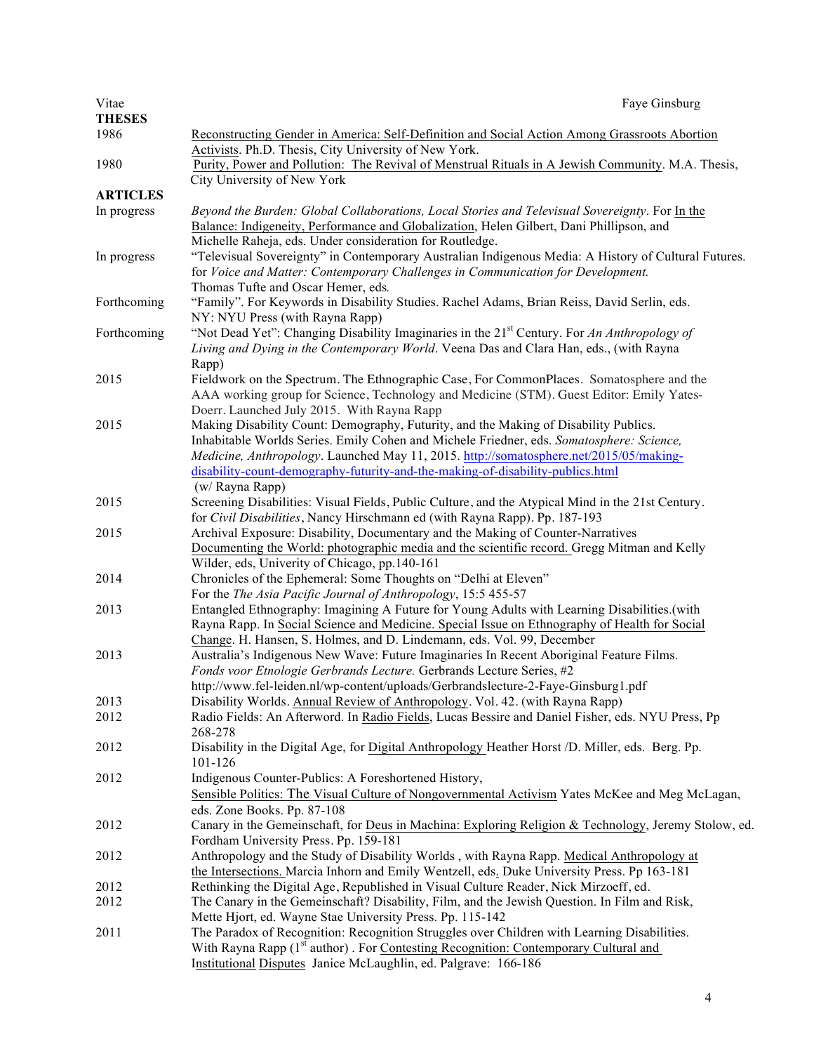| Vitae           | Faye Ginsburg                                                                                                                                            |
|-----------------|----------------------------------------------------------------------------------------------------------------------------------------------------------|
| <b>THESES</b>   |                                                                                                                                                          |
| 1986            | Reconstructing Gender in America: Self-Definition and Social Action Among Grassroots Abortion                                                            |
|                 | Activists. Ph.D. Thesis, City University of New York.                                                                                                    |
| 1980            | Purity, Power and Pollution: The Revival of Menstrual Rituals in A Jewish Community. M.A. Thesis,                                                        |
|                 | City University of New York                                                                                                                              |
| <b>ARTICLES</b> |                                                                                                                                                          |
| In progress     | Beyond the Burden: Global Collaborations, Local Stories and Televisual Sovereignty. For In the                                                           |
|                 | Balance: Indigeneity, Performance and Globalization, Helen Gilbert, Dani Phillipson, and                                                                 |
|                 | Michelle Raheja, eds. Under consideration for Routledge.                                                                                                 |
| In progress     | "Televisual Sovereignty" in Contemporary Australian Indigenous Media: A History of Cultural Futures.                                                     |
|                 | for Voice and Matter: Contemporary Challenges in Communication for Development.                                                                          |
|                 | Thomas Tufte and Oscar Hemer, eds.                                                                                                                       |
| Forthcoming     | "Family". For Keywords in Disability Studies. Rachel Adams, Brian Reiss, David Serlin, eds.                                                              |
|                 | NY: NYU Press (with Rayna Rapp)                                                                                                                          |
| Forthcoming     | "Not Dead Yet": Changing Disability Imaginaries in the 21 <sup>st</sup> Century. For An Anthropology of                                                  |
|                 | Living and Dying in the Contemporary World. Veena Das and Clara Han, eds., (with Rayna                                                                   |
|                 | Rapp)                                                                                                                                                    |
| 2015            | Fieldwork on the Spectrum. The Ethnographic Case, For CommonPlaces. Somatosphere and the                                                                 |
|                 | AAA working group for Science, Technology and Medicine (STM). Guest Editor: Emily Yates-                                                                 |
|                 | Doerr. Launched July 2015. With Rayna Rapp                                                                                                               |
| 2015            | Making Disability Count: Demography, Futurity, and the Making of Disability Publics.                                                                     |
|                 | Inhabitable Worlds Series. Emily Cohen and Michele Friedner, eds. Somatosphere: Science,                                                                 |
|                 | Medicine, Anthropology. Launched May 11, 2015. http://somatosphere.net/2015/05/making-                                                                   |
|                 | disability-count-demography-futurity-and-the-making-of-disability-publics.html                                                                           |
|                 | (w/ Rayna Rapp)                                                                                                                                          |
| 2015            | Screening Disabilities: Visual Fields, Public Culture, and the Atypical Mind in the 21st Century.                                                        |
|                 | for Civil Disabilities, Nancy Hirschmann ed (with Rayna Rapp). Pp. 187-193                                                                               |
| 2015            | Archival Exposure: Disability, Documentary and the Making of Counter-Narratives                                                                          |
|                 | Documenting the World: photographic media and the scientific record. Gregg Mitman and Kelly                                                              |
|                 | Wilder, eds, Univerity of Chicago, pp.140-161                                                                                                            |
| 2014            | Chronicles of the Ephemeral: Some Thoughts on "Delhi at Eleven"                                                                                          |
|                 | For the The Asia Pacific Journal of Anthropology, 15:5 455-57                                                                                            |
| 2013            | Entangled Ethnography: Imagining A Future for Young Adults with Learning Disabilities.(with                                                              |
|                 | Rayna Rapp. In Social Science and Medicine. Special Issue on Ethnography of Health for Social                                                            |
|                 | Change. H. Hansen, S. Holmes, and D. Lindemann, eds. Vol. 99, December                                                                                   |
| 2013            | Australia's Indigenous New Wave: Future Imaginaries In Recent Aboriginal Feature Films.                                                                  |
|                 | Fonds voor Etnologie Gerbrands Lecture. Gerbrands Lecture Series, #2                                                                                     |
|                 | http://www.fel-leiden.nl/wp-content/uploads/Gerbrandslecture-2-Faye-Ginsburg1.pdf                                                                        |
| 2013            | Disability Worlds. Annual Review of Anthropology. Vol. 42. (with Rayna Rapp)                                                                             |
| 2012            | Radio Fields: An Afterword. In Radio Fields, Lucas Bessire and Daniel Fisher, eds. NYU Press, Pp                                                         |
|                 | 268-278                                                                                                                                                  |
| 2012            | Disability in the Digital Age, for Digital Anthropology Heather Horst /D. Miller, eds. Berg. Pp.                                                         |
|                 | 101-126                                                                                                                                                  |
| 2012            | Indigenous Counter-Publics: A Foreshortened History,                                                                                                     |
|                 | Sensible Politics: The Visual Culture of Nongovernmental Activism Yates McKee and Meg McLagan,                                                           |
|                 | eds. Zone Books. Pp. 87-108                                                                                                                              |
| 2012            | Canary in the Gemeinschaft, for Deus in Machina: Exploring Religion & Technology, Jeremy Stolow, ed.                                                     |
|                 | Fordham University Press. Pp. 159-181                                                                                                                    |
| 2012            | Anthropology and the Study of Disability Worlds, with Rayna Rapp. Medical Anthropology at                                                                |
|                 | the Intersections. Marcia Inhorn and Emily Wentzell, eds. Duke University Press. Pp 163-181                                                              |
| 2012            | Rethinking the Digital Age, Republished in Visual Culture Reader, Nick Mirzoeff, ed.                                                                     |
| 2012            | The Canary in the Gemeinschaft? Disability, Film, and the Jewish Question. In Film and Risk,                                                             |
| 2011            | Mette Hjort, ed. Wayne Stae University Press. Pp. 115-142<br>The Paradox of Recognition: Recognition Struggles over Children with Learning Disabilities. |
|                 | With Rayna Rapp (1 <sup>st</sup> author). For Contesting Recognition: Contemporary Cultural and                                                          |
|                 | Institutional Disputes Janice McLaughlin, ed. Palgrave: 166-186                                                                                          |
|                 |                                                                                                                                                          |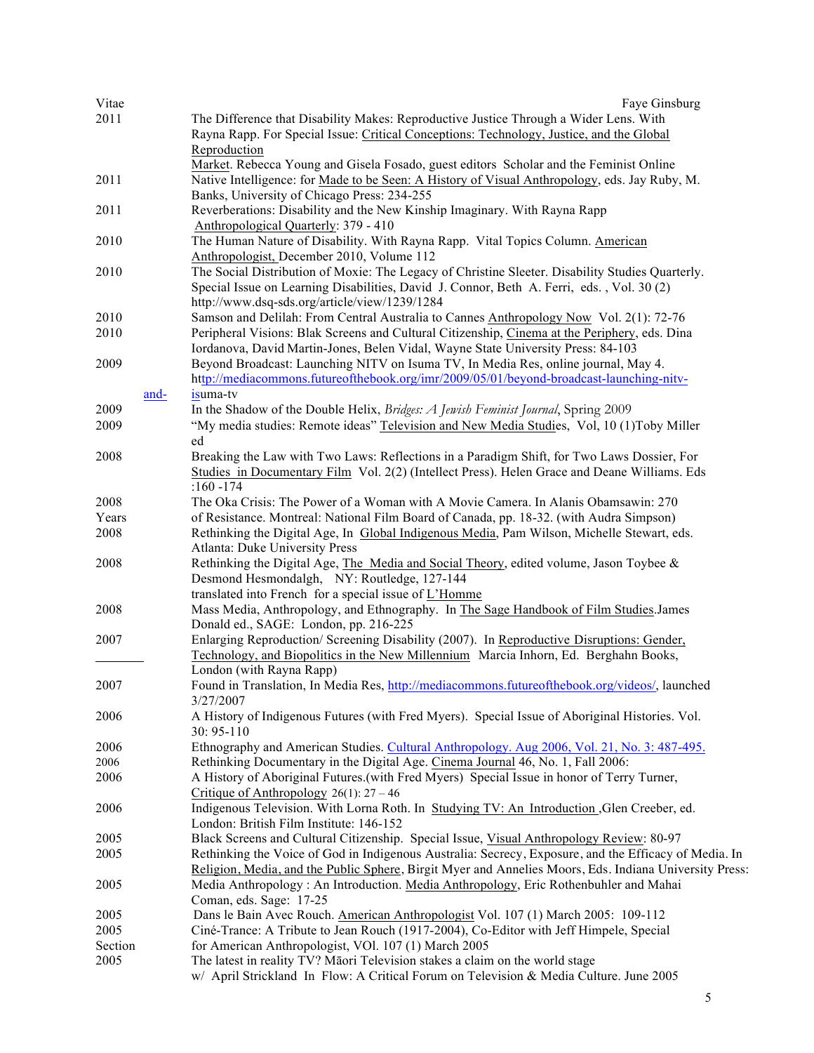| Vitae   |      | Faye Ginsburg                                                                                          |
|---------|------|--------------------------------------------------------------------------------------------------------|
| 2011    |      | The Difference that Disability Makes: Reproductive Justice Through a Wider Lens. With                  |
|         |      | Rayna Rapp. For Special Issue: Critical Conceptions: Technology, Justice, and the Global               |
|         |      | Reproduction                                                                                           |
|         |      | Market. Rebecca Young and Gisela Fosado, guest editors Scholar and the Feminist Online                 |
| 2011    |      | Native Intelligence: for Made to be Seen: A History of Visual Anthropology, eds. Jay Ruby, M.          |
|         |      | Banks, University of Chicago Press: 234-255                                                            |
|         |      |                                                                                                        |
| 2011    |      | Reverberations: Disability and the New Kinship Imaginary. With Rayna Rapp                              |
|         |      | Anthropological Quarterly: 379 - 410                                                                   |
| 2010    |      | The Human Nature of Disability. With Rayna Rapp. Vital Topics Column. American                         |
|         |      | Anthropologist, December 2010, Volume 112                                                              |
| 2010    |      | The Social Distribution of Moxie: The Legacy of Christine Sleeter. Disability Studies Quarterly.       |
|         |      | Special Issue on Learning Disabilities, David J. Connor, Beth A. Ferri, eds., Vol. 30 (2)              |
|         |      | http://www.dsq-sds.org/article/view/1239/1284                                                          |
| 2010    |      | Samson and Delilah: From Central Australia to Cannes Anthropology Now Vol. 2(1): 72-76                 |
| 2010    |      | Peripheral Visions: Blak Screens and Cultural Citizenship, Cinema at the Periphery, eds. Dina          |
|         |      | Iordanova, David Martin-Jones, Belen Vidal, Wayne State University Press: 84-103                       |
| 2009    |      | Beyond Broadcast: Launching NITV on Isuma TV, In Media Res, online journal, May 4.                     |
|         |      | http://mediacommons.futureofthebook.org/imr/2009/05/01/beyond-broadcast-launching-nitv-                |
|         | and- | isuma-tv                                                                                               |
|         |      |                                                                                                        |
| 2009    |      | In the Shadow of the Double Helix, Bridges: A Jewish Feminist Journal, Spring 2009                     |
| 2009    |      | "My media studies: Remote ideas" Television and New Media Studies, Vol, 10 (1)Toby Miller              |
|         |      | ed                                                                                                     |
| 2008    |      | Breaking the Law with Two Laws: Reflections in a Paradigm Shift, for Two Laws Dossier, For             |
|         |      | Studies in Documentary Film Vol. 2(2) (Intellect Press). Helen Grace and Deane Williams. Eds           |
|         |      | :160 $-174$                                                                                            |
| 2008    |      | The Oka Crisis: The Power of a Woman with A Movie Camera. In Alanis Obamsawin: 270                     |
| Years   |      | of Resistance. Montreal: National Film Board of Canada, pp. 18-32. (with Audra Simpson)                |
| 2008    |      | Rethinking the Digital Age, In Global Indigenous Media, Pam Wilson, Michelle Stewart, eds.             |
|         |      | <b>Atlanta: Duke University Press</b>                                                                  |
| 2008    |      | Rethinking the Digital Age, The Media and Social Theory, edited volume, Jason Toybee &                 |
|         |      | Desmond Hesmondalgh, NY: Routledge, 127-144                                                            |
|         |      | translated into French for a special issue of L'Homme                                                  |
|         |      |                                                                                                        |
| 2008    |      | Mass Media, Anthropology, and Ethnography. In The Sage Handbook of Film Studies.James                  |
|         |      | Donald ed., SAGE: London, pp. 216-225                                                                  |
| 2007    |      | Enlarging Reproduction/ Screening Disability (2007). In Reproductive Disruptions: Gender,              |
|         |      | Technology, and Biopolitics in the New Millennium Marcia Inhorn, Ed. Berghahn Books,                   |
|         |      | London (with Rayna Rapp)                                                                               |
| 2007    |      | Found in Translation, In Media Res, http://mediacommons.futureofthebook.org/videos/, launched          |
|         |      | 3/27/2007                                                                                              |
| 2006    |      | A History of Indigenous Futures (with Fred Myers). Special Issue of Aboriginal Histories. Vol.         |
|         |      | $30: 95 - 110$                                                                                         |
| 2006    |      | Ethnography and American Studies. Cultural Anthropology. Aug 2006, Vol. 21, No. 3: 487-495.            |
| 2006    |      | Rethinking Documentary in the Digital Age. Cinema Journal 46, No. 1, Fall 2006:                        |
| 2006    |      | A History of Aboriginal Futures (with Fred Myers) Special Issue in honor of Terry Turner,              |
|         |      | Critique of Anthropology $26(1)$ : 27 – 46                                                             |
| 2006    |      | Indigenous Television. With Lorna Roth. In Studying TV: An Introduction , Glen Creeber, ed.            |
|         |      | London: British Film Institute: 146-152                                                                |
|         |      |                                                                                                        |
| 2005    |      | Black Screens and Cultural Citizenship. Special Issue, Visual Anthropology Review: 80-97               |
| 2005    |      | Rethinking the Voice of God in Indigenous Australia: Secrecy, Exposure, and the Efficacy of Media. In  |
|         |      | Religion, Media, and the Public Sphere, Birgit Myer and Annelies Moors, Eds. Indiana University Press: |
| 2005    |      | Media Anthropology : An Introduction. Media Anthropology, Eric Rothenbuhler and Mahai                  |
|         |      | Coman, eds. Sage: 17-25                                                                                |
| 2005    |      | Dans le Bain Avec Rouch. American Anthropologist Vol. 107 (1) March 2005: 109-112                      |
| 2005    |      | Ciné-Trance: A Tribute to Jean Rouch (1917-2004), Co-Editor with Jeff Himpele, Special                 |
| Section |      | for American Anthropologist, VOI. 107 (1) March 2005                                                   |
| 2005    |      | The latest in reality TV? Māori Television stakes a claim on the world stage                           |
|         |      | w/ April Strickland In Flow: A Critical Forum on Television & Media Culture. June 2005                 |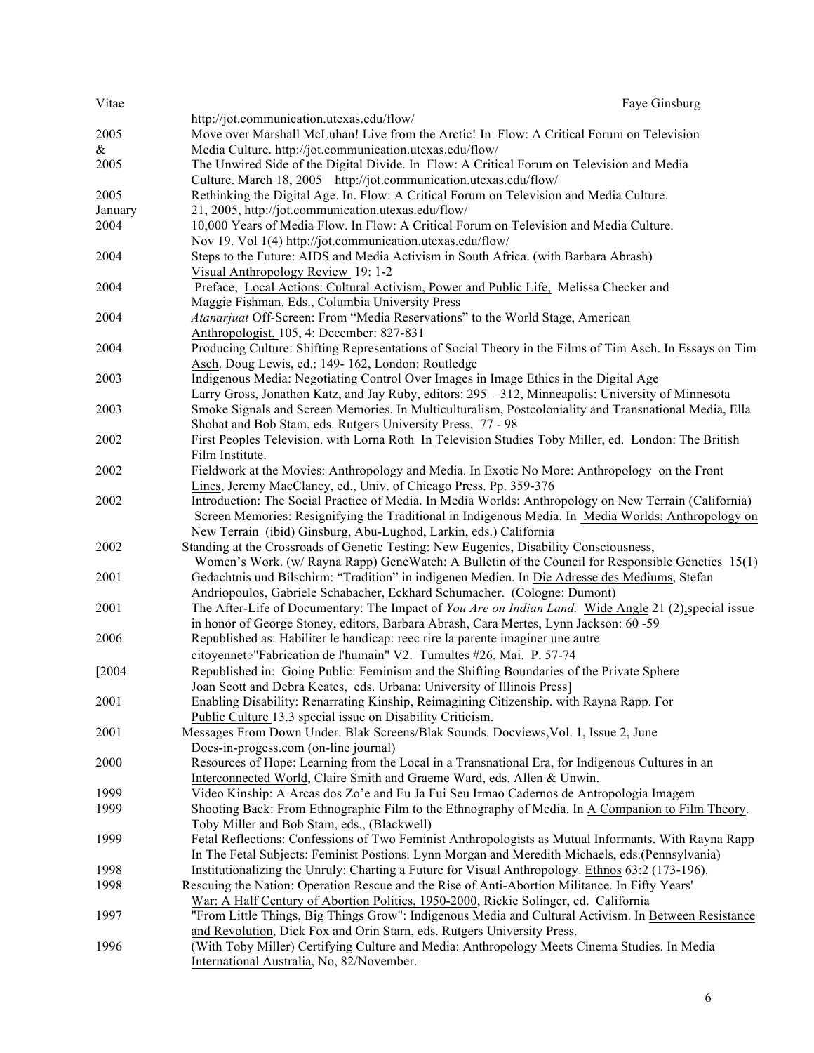| Vitae    | Faye Ginsburg                                                                                                                                                      |
|----------|--------------------------------------------------------------------------------------------------------------------------------------------------------------------|
|          | http://jot.communication.utexas.edu/flow/                                                                                                                          |
| 2005     | Move over Marshall McLuhan! Live from the Arctic! In Flow: A Critical Forum on Television                                                                          |
| &        | Media Culture. http://jot.communication.utexas.edu/flow/                                                                                                           |
| 2005     | The Unwired Side of the Digital Divide. In Flow: A Critical Forum on Television and Media                                                                          |
|          | Culture. March 18, 2005 http://jot.communication.utexas.edu/flow/                                                                                                  |
| 2005     | Rethinking the Digital Age. In. Flow: A Critical Forum on Television and Media Culture.                                                                            |
| January  | 21, 2005, http://jot.communication.utexas.edu/flow/                                                                                                                |
| 2004     | 10,000 Years of Media Flow. In Flow: A Critical Forum on Television and Media Culture.                                                                             |
|          | Nov 19. Vol 1(4) http://jot.communication.utexas.edu/flow/                                                                                                         |
| 2004     | Steps to the Future: AIDS and Media Activism in South Africa. (with Barbara Abrash)                                                                                |
|          | Visual Anthropology Review 19: 1-2                                                                                                                                 |
| 2004     | Preface, Local Actions: Cultural Activism, Power and Public Life, Melissa Checker and                                                                              |
|          | Maggie Fishman. Eds., Columbia University Press                                                                                                                    |
| 2004     | Atanarjuat Off-Screen: From "Media Reservations" to the World Stage, American                                                                                      |
|          | Anthropologist, 105, 4: December: 827-831                                                                                                                          |
| 2004     | Producing Culture: Shifting Representations of Social Theory in the Films of Tim Asch. In Essays on Tim                                                            |
|          | Asch. Doug Lewis, ed.: 149-162, London: Routledge                                                                                                                  |
| 2003     | Indigenous Media: Negotiating Control Over Images in Image Ethics in the Digital Age                                                                               |
|          | Larry Gross, Jonathon Katz, and Jay Ruby, editors: 295 – 312, Minneapolis: University of Minnesota                                                                 |
| 2003     | Smoke Signals and Screen Memories. In Multiculturalism, Postcoloniality and Transnational Media, Ella                                                              |
|          | Shohat and Bob Stam, eds. Rutgers University Press, 77 - 98                                                                                                        |
| 2002     | First Peoples Television. with Lorna Roth In Television Studies Toby Miller, ed. London: The British                                                               |
|          | Film Institute.                                                                                                                                                    |
| 2002     | Fieldwork at the Movies: Anthropology and Media. In Exotic No More: Anthropology on the Front<br>Lines, Jeremy MacClancy, ed., Univ. of Chicago Press. Pp. 359-376 |
| 2002     | Introduction: The Social Practice of Media. In Media Worlds: Anthropology on New Terrain (California)                                                              |
|          | Screen Memories: Resignifying the Traditional in Indigenous Media. In Media Worlds: Anthropology on                                                                |
|          | New Terrain (ibid) Ginsburg, Abu-Lughod, Larkin, eds.) California                                                                                                  |
| 2002     | Standing at the Crossroads of Genetic Testing: New Eugenics, Disability Consciousness,                                                                             |
|          | Women's Work. (w/ Rayna Rapp) GeneWatch: A Bulletin of the Council for Responsible Genetics 15(1)                                                                  |
| 2001     | Gedachtnis und Bilschirm: "Tradition" in indigenen Medien. In Die Adresse des Mediums, Stefan                                                                      |
|          | Andriopoulos, Gabriele Schabacher, Eckhard Schumacher. (Cologne: Dumont)                                                                                           |
| 2001     | The After-Life of Documentary: The Impact of You Are on Indian Land. Wide Angle 21 (2), special issue                                                              |
|          | in honor of George Stoney, editors, Barbara Abrash, Cara Mertes, Lynn Jackson: 60 -59                                                                              |
| 2006     | Republished as: Habiliter le handicap: reec rire la parente imaginer une autre                                                                                     |
|          | citoyennete"Fabrication de l'humain" V2. Tumultes #26, Mai. P. 57-74                                                                                               |
| $[2004]$ | Republished in: Going Public: Feminism and the Shifting Boundaries of the Private Sphere                                                                           |
|          | Joan Scott and Debra Keates, eds. Urbana: University of Illinois Press]                                                                                            |
| 2001     | Enabling Disability: Renarrating Kinship, Reimagining Citizenship. with Rayna Rapp. For                                                                            |
|          | Public Culture 13.3 special issue on Disability Criticism.                                                                                                         |
| 2001     | Messages From Down Under: Blak Screens/Blak Sounds. Docviews, Vol. 1, Issue 2, June                                                                                |
|          | Docs-in-progess.com (on-line journal)                                                                                                                              |
| 2000     | Resources of Hope: Learning from the Local in a Transnational Era, for Indigenous Cultures in an                                                                   |
|          | Interconnected World, Claire Smith and Graeme Ward, eds. Allen & Unwin.                                                                                            |
| 1999     | Video Kinship: A Arcas dos Zo'e and Eu Ja Fui Seu Irmao Cadernos de Antropologia Imagem                                                                            |
| 1999     | Shooting Back: From Ethnographic Film to the Ethnography of Media. In A Companion to Film Theory.                                                                  |
|          | Toby Miller and Bob Stam, eds., (Blackwell)                                                                                                                        |
| 1999     | Fetal Reflections: Confessions of Two Feminist Anthropologists as Mutual Informants. With Rayna Rapp                                                               |
|          | In The Fetal Subjects: Feminist Postions. Lynn Morgan and Meredith Michaels, eds. (Pennsylvania)                                                                   |
| 1998     | Institutionalizing the Unruly: Charting a Future for Visual Anthropology. Ethnos 63:2 (173-196).                                                                   |
| 1998     | Rescuing the Nation: Operation Rescue and the Rise of Anti-Abortion Militance. In Fifty Years'                                                                     |
|          | War: A Half Century of Abortion Politics, 1950-2000, Rickie Solinger, ed. California                                                                               |
| 1997     | "From Little Things, Big Things Grow": Indigenous Media and Cultural Activism. In Between Resistance                                                               |
|          | and Revolution, Dick Fox and Orin Starn, eds. Rutgers University Press.                                                                                            |
| 1996     | (With Toby Miller) Certifying Culture and Media: Anthropology Meets Cinema Studies. In Media                                                                       |
|          | International Australia, No, 82/November.                                                                                                                          |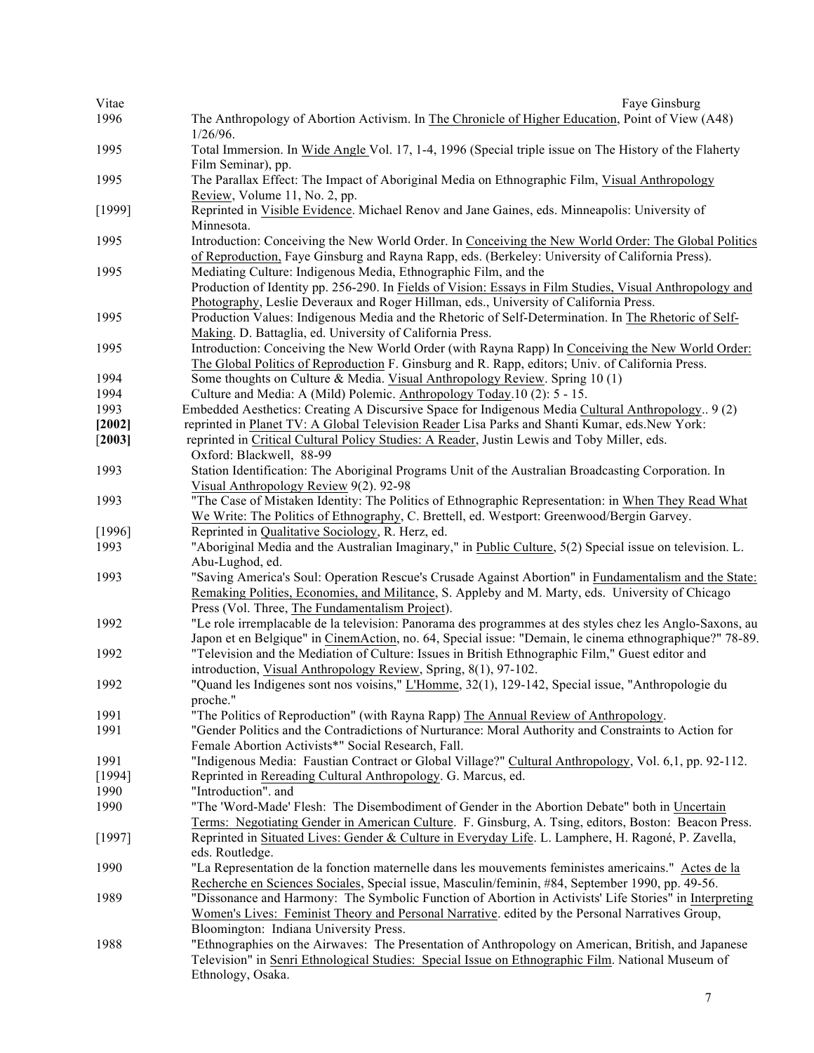| Vitae  | Faye Ginsburg                                                                                                                                                                                                                                                |
|--------|--------------------------------------------------------------------------------------------------------------------------------------------------------------------------------------------------------------------------------------------------------------|
| 1996   | The Anthropology of Abortion Activism. In The Chronicle of Higher Education, Point of View (A48)                                                                                                                                                             |
| 1995   | $1/26/96$ .<br>Total Immersion. In Wide Angle Vol. 17, 1-4, 1996 (Special triple issue on The History of the Flaherty                                                                                                                                        |
|        | Film Seminar), pp.                                                                                                                                                                                                                                           |
| 1995   | The Parallax Effect: The Impact of Aboriginal Media on Ethnographic Film, Visual Anthropology<br>Review, Volume 11, No. 2, pp.                                                                                                                               |
| [1999] | Reprinted in Visible Evidence. Michael Renov and Jane Gaines, eds. Minneapolis: University of<br>Minnesota.                                                                                                                                                  |
| 1995   | Introduction: Conceiving the New World Order. In Conceiving the New World Order: The Global Politics<br>of Reproduction, Faye Ginsburg and Rayna Rapp, eds. (Berkeley: University of California Press).                                                      |
| 1995   | Mediating Culture: Indigenous Media, Ethnographic Film, and the<br>Production of Identity pp. 256-290. In Fields of Vision: Essays in Film Studies, Visual Anthropology and                                                                                  |
| 1995   | Photography, Leslie Deveraux and Roger Hillman, eds., University of California Press.<br>Production Values: Indigenous Media and the Rhetoric of Self-Determination. In The Rhetoric of Self-<br>Making. D. Battaglia, ed. University of California Press.   |
| 1995   | Introduction: Conceiving the New World Order (with Rayna Rapp) In Conceiving the New World Order:<br>The Global Politics of Reproduction F. Ginsburg and R. Rapp, editors; Univ. of California Press.                                                        |
| 1994   | Some thoughts on Culture & Media. Visual Anthropology Review. Spring 10 (1)                                                                                                                                                                                  |
| 1994   | Culture and Media: A (Mild) Polemic. Anthropology Today.10 (2): 5 - 15.                                                                                                                                                                                      |
| 1993   | Embedded Aesthetics: Creating A Discursive Space for Indigenous Media Cultural Anthropology 9 (2)                                                                                                                                                            |
| [2002] | reprinted in Planet TV: A Global Television Reader Lisa Parks and Shanti Kumar, eds. New York:                                                                                                                                                               |
| [2003] | reprinted in Critical Cultural Policy Studies: A Reader, Justin Lewis and Toby Miller, eds.                                                                                                                                                                  |
|        | Oxford: Blackwell, 88-99                                                                                                                                                                                                                                     |
| 1993   | Station Identification: The Aboriginal Programs Unit of the Australian Broadcasting Corporation. In<br>Visual Anthropology Review 9(2). 92-98                                                                                                                |
| 1993   | "The Case of Mistaken Identity: The Politics of Ethnographic Representation: in When They Read What<br>We Write: The Politics of Ethnography, C. Brettell, ed. Westport: Greenwood/Bergin Garvey.                                                            |
| [1996] | Reprinted in Qualitative Sociology, R. Herz, ed.                                                                                                                                                                                                             |
| 1993   | "Aboriginal Media and the Australian Imaginary," in Public Culture, 5(2) Special issue on television. L.<br>Abu-Lughod, ed.                                                                                                                                  |
| 1993   | "Saving America's Soul: Operation Rescue's Crusade Against Abortion" in Fundamentalism and the State:<br>Remaking Polities, Economies, and Militance, S. Appleby and M. Marty, eds. University of Chicago<br>Press (Vol. Three, The Fundamentalism Project). |
| 1992   | "Le role irremplacable de la television: Panorama des programmes at des styles chez les Anglo-Saxons, au<br>Japon et en Belgique" in CinemAction, no. 64, Special issue: "Demain, le cinema ethnographique?" 78-89.                                          |
| 1992   | "Television and the Mediation of Culture: Issues in British Ethnographic Film," Guest editor and<br>introduction, Visual Anthropology Review, Spring, 8(1), 97-102.                                                                                          |
| 1992   | "Quand les Indigenes sont nos voisins," L'Homme, 32(1), 129-142, Special issue, "Anthropologie du                                                                                                                                                            |
|        | proche."                                                                                                                                                                                                                                                     |
| 1991   | "The Politics of Reproduction" (with Rayna Rapp) The Annual Review of Anthropology.                                                                                                                                                                          |
| 1991   | "Gender Politics and the Contradictions of Nurturance: Moral Authority and Constraints to Action for<br>Female Abortion Activists*" Social Research, Fall.                                                                                                   |
| 1991   | "Indigenous Media: Faustian Contract or Global Village?" Cultural Anthropology, Vol. 6,1, pp. 92-112.                                                                                                                                                        |
| [1994] | Reprinted in Rereading Cultural Anthropology. G. Marcus, ed.                                                                                                                                                                                                 |
| 1990   | "Introduction". and                                                                                                                                                                                                                                          |
| 1990   | "The 'Word-Made' Flesh: The Disembodiment of Gender in the Abortion Debate" both in Uncertain                                                                                                                                                                |
|        | Terms: Negotiating Gender in American Culture. F. Ginsburg, A. Tsing, editors, Boston: Beacon Press.                                                                                                                                                         |
| [1997] | Reprinted in Situated Lives: Gender & Culture in Everyday Life. L. Lamphere, H. Ragoné, P. Zavella,<br>eds. Routledge.                                                                                                                                       |
| 1990   | "La Representation de la fonction maternelle dans les mouvements feministes americains." Actes de la<br>Recherche en Sciences Sociales, Special issue, Masculin/feminin, #84, September 1990, pp. 49-56.                                                     |
| 1989   | "Dissonance and Harmony: The Symbolic Function of Abortion in Activists' Life Stories" in Interpreting<br>Women's Lives: Feminist Theory and Personal Narrative. edited by the Personal Narratives Group,<br>Bloomington: Indiana University Press.          |
| 1988   | "Ethnographies on the Airwaves: The Presentation of Anthropology on American, British, and Japanese<br>Television" in Senri Ethnological Studies: Special Issue on Ethnographic Film. National Museum of<br>Ethnology, Osaka.                                |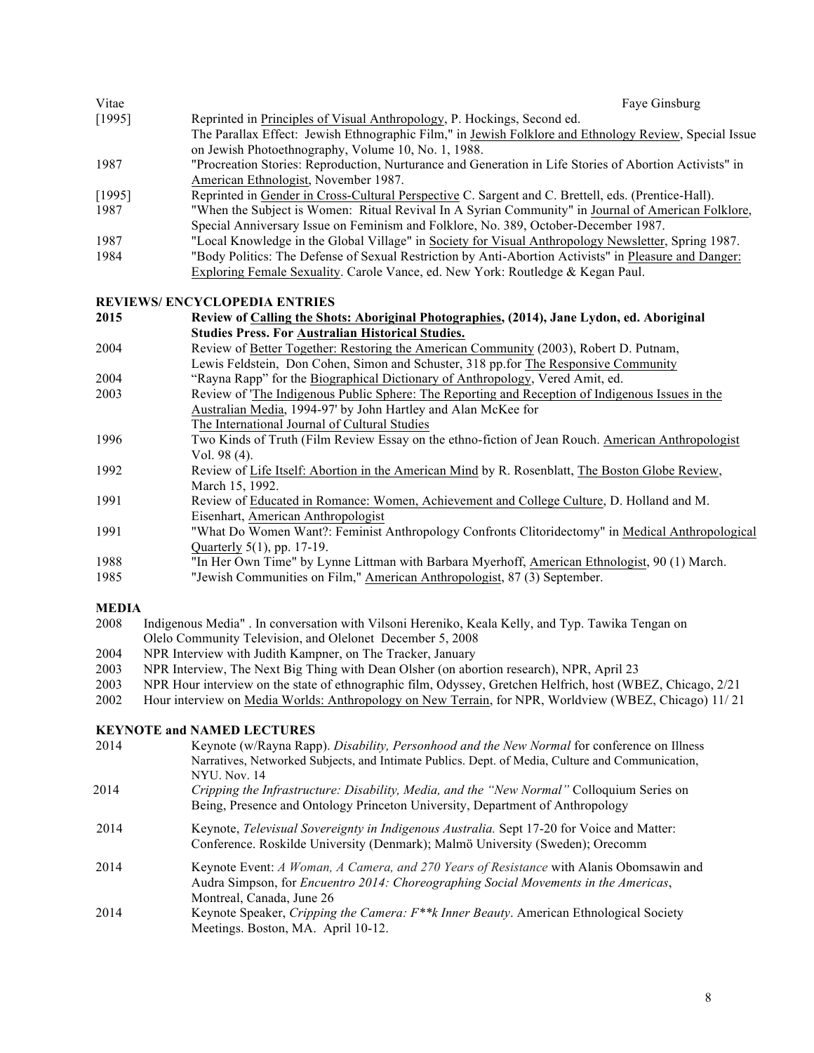| Vitae  | Fave Ginsburg                                                                                           |
|--------|---------------------------------------------------------------------------------------------------------|
| [1995] | Reprinted in Principles of Visual Anthropology, P. Hockings, Second ed.                                 |
|        | The Parallax Effect: Jewish Ethnographic Film," in Jewish Folklore and Ethnology Review, Special Issue  |
|        | on Jewish Photoethnography, Volume 10, No. 1, 1988.                                                     |
| 1987   | "Procreation Stories: Reproduction, Nurturance and Generation in Life Stories of Abortion Activists" in |
|        | American Ethnologist, November 1987.                                                                    |
| [1995] | Reprinted in Gender in Cross-Cultural Perspective C. Sargent and C. Brettell, eds. (Prentice-Hall).     |
| 1987   | "When the Subject is Women: Ritual Revival In A Syrian Community" in Journal of American Folklore,      |
|        | Special Anniversary Issue on Feminism and Folklore, No. 389, October-December 1987.                     |
| 1987   | "Local Knowledge in the Global Village" in Society for Visual Anthropology Newsletter, Spring 1987.     |
| 1984   | "Body Politics: The Defense of Sexual Restriction by Anti-Abortion Activists" in Pleasure and Danger:   |
|        | Exploring Female Sexuality. Carole Vance, ed. New York: Routledge & Kegan Paul.                         |

#### **REVIEWS/ ENCYCLOPEDIA ENTRIES**

| 2015 | Review of Calling the Shots: Aboriginal Photographies, (2014), Jane Lydon, ed. Aboriginal                                                              |
|------|--------------------------------------------------------------------------------------------------------------------------------------------------------|
|      | <b>Studies Press. For Australian Historical Studies.</b>                                                                                               |
| 2001 | $D_{\text{univ}}$ of $D_{\text{out}}$ To satisfy $D_{\text{out}}$ is the American Community (2002). $D_{\text{out}}$ $D_{\text{out}}$ $D_{\text{out}}$ |

| 2004 | Review of Better Together: Restoring the American Community (2003), Robert D. Putnam, |
|------|---------------------------------------------------------------------------------------|
|      | Lewis Feldstein, Don Cohen, Simon and Schuster, 318 pp. for The Responsive Community  |
| 2004 | "Rayna Rapp" for the Biographical Dictionary of Anthropology, Vered Amit, ed.         |

- 2003 Review of 'The Indigenous Public Sphere: The Reporting and Reception of Indigenous Issues in the Australian Media, 1994-97' by John Hartley and Alan McKee for The International Journal of Cultural Studies
- 1996 Two Kinds of Truth (Film Review Essay on the ethno-fiction of Jean Rouch. American Anthropologist Vol. 98 (4).
- 1992 Review of Life Itself: Abortion in the American Mind by R. Rosenblatt, The Boston Globe Review, March 15, 1992.
- 1991 Review of Educated in Romance: Women, Achievement and College Culture, D. Holland and M. Eisenhart, American Anthropologist
- 1991 "What Do Women Want?: Feminist Anthropology Confronts Clitoridectomy" in Medical Anthropological Quarterly 5(1), pp. 17-19.
- 1988 "In Her Own Time" by Lynne Littman with Barbara Myerhoff, American Ethnologist, 90 (1) March.

1985 "Jewish Communities on Film," American Anthropologist, 87 (3) September.

#### **MEDIA**

- 2008 Indigenous Media" . In conversation with Vilsoni Hereniko, Keala Kelly, and Typ. Tawika Tengan on Olelo Community Television, and Olelonet December 5, 2008
- 2004 NPR Interview with Judith Kampner, on The Tracker, January
- 2003 NPR Interview, The Next Big Thing with Dean Olsher (on abortion research), NPR, April 23
- 2003 NPR Hour interview on the state of ethnographic film, Odyssey, Gretchen Helfrich, host (WBEZ, Chicago, 2/21
- 2002 Hour interview on Media Worlds: Anthropology on New Terrain, for NPR, Worldview (WBEZ, Chicago) 11/ 21

#### **KEYNOTE and NAMED LECTURES**

- 2014 Keynote (w/Rayna Rapp). *Disability, Personhood and the New Normal* for conference on Illness Narratives, Networked Subjects, and Intimate Publics. Dept. of Media, Culture and Communication, NYU. Nov. 14 2014 *Cripping the Infrastructure: Disability, Media, and the "New Normal"* Colloquium Series on Being, Presence and Ontology Princeton University, Department of Anthropology 2014 Keynote, *Televisual Sovereignty in Indigenous Australia.* Sept 17-20 for Voice and Matter: Conference. Roskilde University (Denmark); Malmö University (Sweden); Orecomm
- 2014 Keynote Event: *A Woman, A Camera, and 270 Years of Resistance* with Alanis Obomsawin and Audra Simpson, for *Encuentro 2014: Choreographing Social Movements in the Americas*, Montreal, Canada, June 26
- 2014 Keynote Speaker, *Cripping the Camera: F\*\*k Inner Beauty*. American Ethnological Society Meetings. Boston, MA. April 10-12.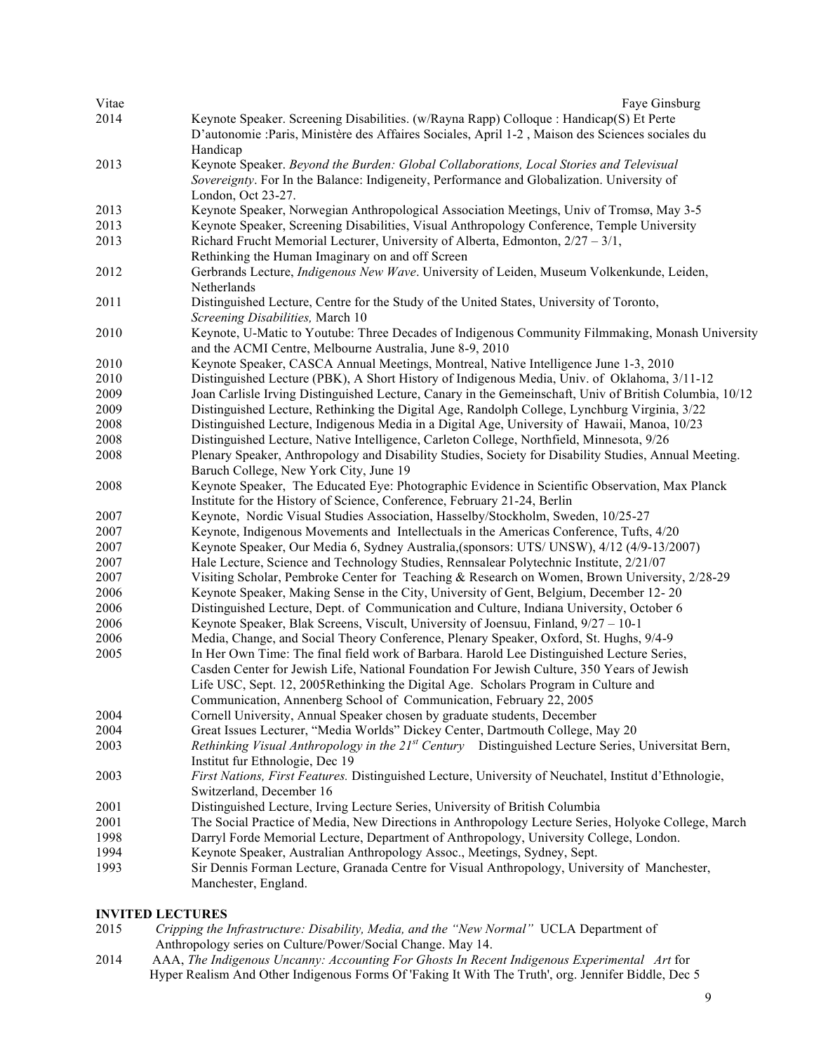| Vitae | Faye Ginsburg                                                                                                                                                |
|-------|--------------------------------------------------------------------------------------------------------------------------------------------------------------|
| 2014  | Keynote Speaker. Screening Disabilities. (w/Rayna Rapp) Colloque : Handicap(S) Et Perte                                                                      |
|       | D'autonomie : Paris, Ministère des Affaires Sociales, April 1-2, Maison des Sciences sociales du                                                             |
|       | Handicap                                                                                                                                                     |
| 2013  | Keynote Speaker. Beyond the Burden: Global Collaborations, Local Stories and Televisual                                                                      |
|       | Sovereignty. For In the Balance: Indigeneity, Performance and Globalization. University of                                                                   |
|       | London, Oct 23-27.                                                                                                                                           |
| 2013  | Keynote Speaker, Norwegian Anthropological Association Meetings, Univ of Tromsø, May 3-5                                                                     |
| 2013  | Keynote Speaker, Screening Disabilities, Visual Anthropology Conference, Temple University                                                                   |
| 2013  | Richard Frucht Memorial Lecturer, University of Alberta, Edmonton, $2/27 - 3/1$ ,                                                                            |
|       | Rethinking the Human Imaginary on and off Screen                                                                                                             |
| 2012  | Gerbrands Lecture, <i>Indigenous New Wave</i> . University of Leiden, Museum Volkenkunde, Leiden,                                                            |
|       | Netherlands                                                                                                                                                  |
| 2011  | Distinguished Lecture, Centre for the Study of the United States, University of Toronto,                                                                     |
|       | Screening Disabilities, March 10                                                                                                                             |
| 2010  | Keynote, U-Matic to Youtube: Three Decades of Indigenous Community Filmmaking, Monash University                                                             |
|       | and the ACMI Centre, Melbourne Australia, June 8-9, 2010                                                                                                     |
| 2010  | Keynote Speaker, CASCA Annual Meetings, Montreal, Native Intelligence June 1-3, 2010                                                                         |
| 2010  | Distinguished Lecture (PBK), A Short History of Indigenous Media, Univ. of Oklahoma, 3/11-12                                                                 |
| 2009  | Joan Carlisle Irving Distinguished Lecture, Canary in the Gemeinschaft, Univ of British Columbia, 10/12                                                      |
| 2009  | Distinguished Lecture, Rethinking the Digital Age, Randolph College, Lynchburg Virginia, 3/22                                                                |
| 2008  | Distinguished Lecture, Indigenous Media in a Digital Age, University of Hawaii, Manoa, 10/23                                                                 |
| 2008  | Distinguished Lecture, Native Intelligence, Carleton College, Northfield, Minnesota, 9/26                                                                    |
| 2008  | Plenary Speaker, Anthropology and Disability Studies, Society for Disability Studies, Annual Meeting.                                                        |
|       | Baruch College, New York City, June 19                                                                                                                       |
| 2008  | Keynote Speaker, The Educated Eye: Photographic Evidence in Scientific Observation, Max Planck                                                               |
| 2007  | Institute for the History of Science, Conference, February 21-24, Berlin<br>Keynote, Nordic Visual Studies Association, Hasselby/Stockholm, Sweden, 10/25-27 |
| 2007  | Keynote, Indigenous Movements and Intellectuals in the Americas Conference, Tufts, 4/20                                                                      |
| 2007  | Keynote Speaker, Our Media 6, Sydney Australia, (sponsors: UTS/ UNSW), 4/12 (4/9-13/2007)                                                                    |
| 2007  | Hale Lecture, Science and Technology Studies, Rennsalear Polytechnic Institute, 2/21/07                                                                      |
| 2007  | Visiting Scholar, Pembroke Center for Teaching & Research on Women, Brown University, 2/28-29                                                                |
| 2006  | Keynote Speaker, Making Sense in the City, University of Gent, Belgium, December 12-20                                                                       |
| 2006  | Distinguished Lecture, Dept. of Communication and Culture, Indiana University, October 6                                                                     |
| 2006  | Keynote Speaker, Blak Screens, Viscult, University of Joensuu, Finland, 9/27 - 10-1                                                                          |
| 2006  | Media, Change, and Social Theory Conference, Plenary Speaker, Oxford, St. Hughs, 9/4-9                                                                       |
| 2005  | In Her Own Time: The final field work of Barbara. Harold Lee Distinguished Lecture Series,                                                                   |
|       | Casden Center for Jewish Life, National Foundation For Jewish Culture, 350 Years of Jewish                                                                   |
|       | Life USC, Sept. 12, 2005Rethinking the Digital Age. Scholars Program in Culture and                                                                          |
|       | Communication, Annenberg School of Communication, February 22, 2005                                                                                          |
| 2004  | Cornell University, Annual Speaker chosen by graduate students, December                                                                                     |
| 2004  | Great Issues Lecturer, "Media Worlds" Dickey Center, Dartmouth College, May 20                                                                               |
| 2003  | Rethinking Visual Anthropology in the 21 <sup>st</sup> Century Distinguished Lecture Series, Universitat Bern,                                               |
|       | Institut fur Ethnologie, Dec 19                                                                                                                              |
| 2003  | First Nations, First Features. Distinguished Lecture, University of Neuchatel, Institut d'Ethnologie,                                                        |
|       | Switzerland, December 16                                                                                                                                     |
| 2001  | Distinguished Lecture, Irving Lecture Series, University of British Columbia                                                                                 |
| 2001  | The Social Practice of Media, New Directions in Anthropology Lecture Series, Holyoke College, March                                                          |
| 1998  | Darryl Forde Memorial Lecture, Department of Anthropology, University College, London.                                                                       |
| 1994  | Keynote Speaker, Australian Anthropology Assoc., Meetings, Sydney, Sept.                                                                                     |
| 1993  | Sir Dennis Forman Lecture, Granada Centre for Visual Anthropology, University of Manchester,                                                                 |
|       | Manchester, England.                                                                                                                                         |
|       |                                                                                                                                                              |

# **INVITED LECTURES**<br>2015 *Cripping the 1*

- *Cripping the Infrastructure: Disability, Media, and the "New Normal"* UCLA Department of Anthropology series on Culture/Power/Social Change. May 14.
- 2014 AAA, *The Indigenous Uncanny: Accounting For Ghosts In Recent Indigenous Experimental Art* for Hyper Realism And Other Indigenous Forms Of 'Faking It With The Truth', org. Jennifer Biddle, Dec 5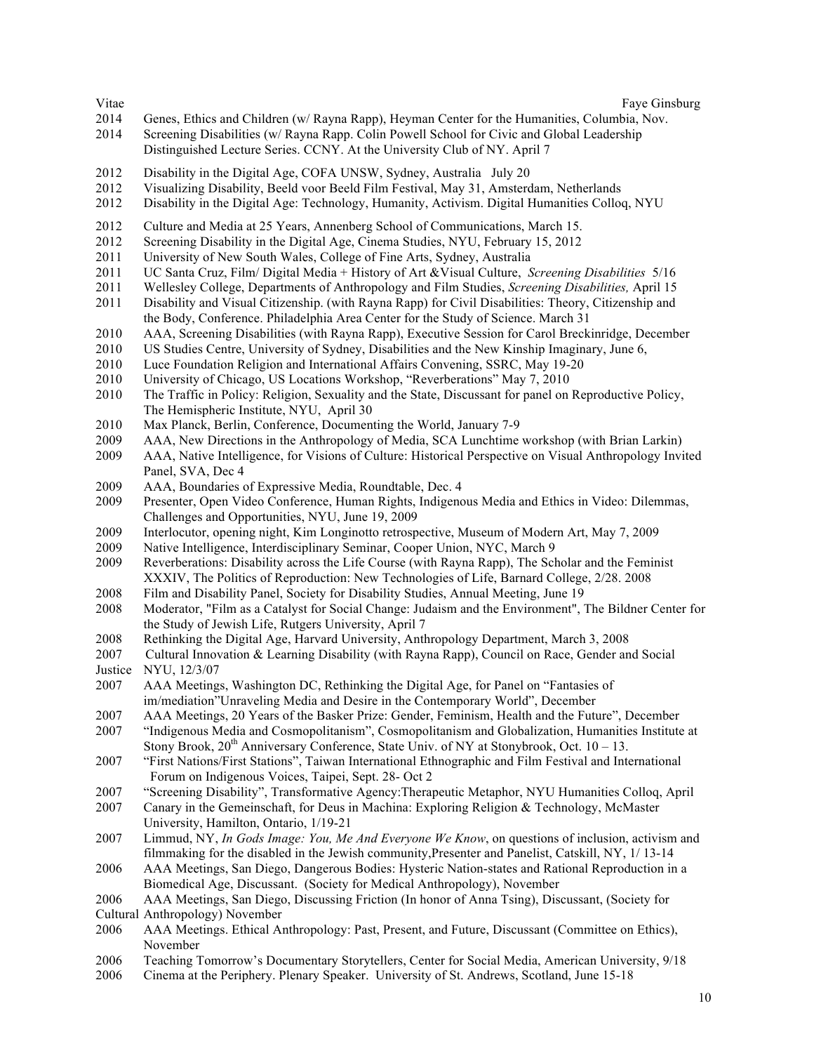- Genes, Ethics and Children (w/ Rayna Rapp), Heyman Center for the Humanities, Columbia, Nov.
- Screening Disabilities (w/ Rayna Rapp. Colin Powell School for Civic and Global Leadership Distinguished Lecture Series. CCNY. At the University Club of NY. April 7
- Disability in the Digital Age, COFA UNSW, Sydney, Australia July 20
- Visualizing Disability, Beeld voor Beeld Film Festival, May 31, Amsterdam, Netherlands
- Disability in the Digital Age: Technology, Humanity, Activism. Digital Humanities Colloq, NYU
- Culture and Media at 25 Years, Annenberg School of Communications, March 15.
- Screening Disability in the Digital Age, Cinema Studies, NYU, February 15, 2012
- University of New South Wales, College of Fine Arts, Sydney, Australia
- UC Santa Cruz, Film/ Digital Media + History of Art &Visual Culture, *Screening Disabilities* 5/16
- Wellesley College, Departments of Anthropology and Film Studies, *Screening Disabilities,* April 15
- Disability and Visual Citizenship. (with Rayna Rapp) for Civil Disabilities: Theory, Citizenship and the Body, Conference. Philadelphia Area Center for the Study of Science. March 31
- AAA, Screening Disabilities (with Rayna Rapp), Executive Session for Carol Breckinridge, December
- US Studies Centre, University of Sydney, Disabilities and the New Kinship Imaginary, June 6,
- Luce Foundation Religion and International Affairs Convening, SSRC, May 19-20
- University of Chicago, US Locations Workshop, "Reverberations" May 7, 2010
- The Traffic in Policy: Religion, Sexuality and the State, Discussant for panel on Reproductive Policy, The Hemispheric Institute, NYU, April 30
- Max Planck, Berlin, Conference, Documenting the World, January 7-9
- AAA, New Directions in the Anthropology of Media, SCA Lunchtime workshop (with Brian Larkin)
- AAA, Native Intelligence, for Visions of Culture: Historical Perspective on Visual Anthropology Invited Panel, SVA, Dec 4
- AAA, Boundaries of Expressive Media, Roundtable, Dec. 4
- Presenter, Open Video Conference, Human Rights, Indigenous Media and Ethics in Video: Dilemmas, Challenges and Opportunities, NYU, June 19, 2009
- Interlocutor, opening night, Kim Longinotto retrospective, Museum of Modern Art, May 7, 2009
- Native Intelligence, Interdisciplinary Seminar, Cooper Union, NYC, March 9
- Reverberations: Disability across the Life Course (with Rayna Rapp), The Scholar and the Feminist XXXIV, The Politics of Reproduction: New Technologies of Life, Barnard College, 2/28. 2008
- Film and Disability Panel, Society for Disability Studies, Annual Meeting, June 19
- Moderator, "Film as a Catalyst for Social Change: Judaism and the Environment", The Bildner Center for the Study of Jewish Life, Rutgers University, April 7
- Rethinking the Digital Age, Harvard University, Anthropology Department, March 3, 2008
- 2007 Cultural Innovation & Learning Disability (with Rayna Rapp), Council on Race, Gender and Social Justice NYU, 12/3/07
- AAA Meetings, Washington DC, Rethinking the Digital Age, for Panel on "Fantasies of im/mediation"Unraveling Media and Desire in the Contemporary World", December
- AAA Meetings, 20 Years of the Basker Prize: Gender, Feminism, Health and the Future", December
- "Indigenous Media and Cosmopolitanism", Cosmopolitanism and Globalization, Humanities Institute at Stony Brook,  $20^{th}$  Anniversary Conference, State Univ. of NY at Stonybrook, Oct.  $10 - 13$ .
- "First Nations/First Stations", Taiwan International Ethnographic and Film Festival and International Forum on Indigenous Voices, Taipei, Sept. 28- Oct 2
- "Screening Disability", Transformative Agency:Therapeutic Metaphor, NYU Humanities Colloq, April
- Canary in the Gemeinschaft, for Deus in Machina: Exploring Religion & Technology, McMaster University, Hamilton, Ontario, 1/19-21
- Limmud, NY, *In Gods Image: You, Me And Everyone We Know*, on questions of inclusion, activism and filmmaking for the disabled in the Jewish community,Presenter and Panelist, Catskill, NY, 1/ 13-14
- AAA Meetings, San Diego, Dangerous Bodies: Hysteric Nation-states and Rational Reproduction in a Biomedical Age, Discussant. (Society for Medical Anthropology), November
- AAA Meetings, San Diego, Discussing Friction (In honor of Anna Tsing), Discussant, (Society for Cultural Anthropology) November
- AAA Meetings. Ethical Anthropology: Past, Present, and Future, Discussant (Committee on Ethics), November
- Teaching Tomorrow's Documentary Storytellers, Center for Social Media, American University, 9/18
- Cinema at the Periphery. Plenary Speaker. University of St. Andrews, Scotland, June 15-18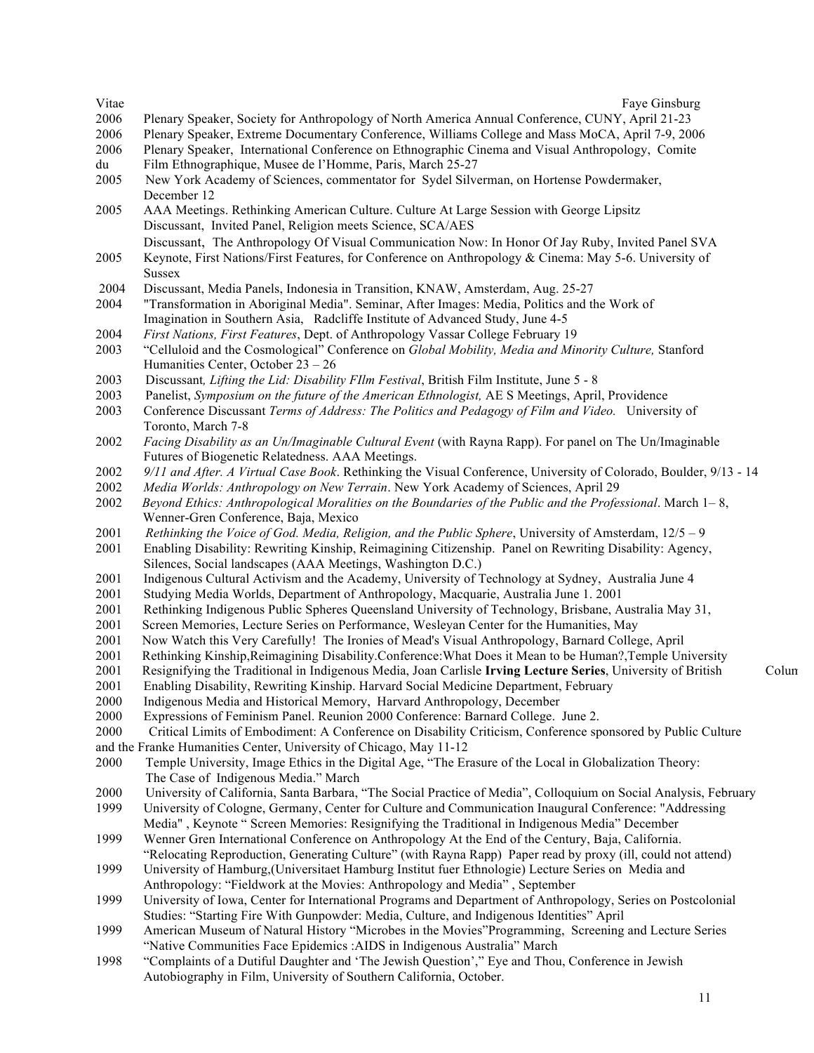| Faye Ginsburg                                                                                                                                                          |                                                                                                                                                                                                                                                                                                                                                                                                                                                                                                                                                                                                                                                                                                                                                                                                                                                                                                                                                                                                                                                                                                                                                                                                                                                                                                                                                                                                                                                                                                                                                                                                                                                                                                                                                                                                                                                                                                                                                                                                                                                                                                                                                                                                                                                                                                                                                                                                                                                                                                                                                                                                                                                                                                                                                                                                                                                                                                                                                                                                                                                                                                                                                                                                                                                                                                                                                                                                                                                                                                                             |
|------------------------------------------------------------------------------------------------------------------------------------------------------------------------|-----------------------------------------------------------------------------------------------------------------------------------------------------------------------------------------------------------------------------------------------------------------------------------------------------------------------------------------------------------------------------------------------------------------------------------------------------------------------------------------------------------------------------------------------------------------------------------------------------------------------------------------------------------------------------------------------------------------------------------------------------------------------------------------------------------------------------------------------------------------------------------------------------------------------------------------------------------------------------------------------------------------------------------------------------------------------------------------------------------------------------------------------------------------------------------------------------------------------------------------------------------------------------------------------------------------------------------------------------------------------------------------------------------------------------------------------------------------------------------------------------------------------------------------------------------------------------------------------------------------------------------------------------------------------------------------------------------------------------------------------------------------------------------------------------------------------------------------------------------------------------------------------------------------------------------------------------------------------------------------------------------------------------------------------------------------------------------------------------------------------------------------------------------------------------------------------------------------------------------------------------------------------------------------------------------------------------------------------------------------------------------------------------------------------------------------------------------------------------------------------------------------------------------------------------------------------------------------------------------------------------------------------------------------------------------------------------------------------------------------------------------------------------------------------------------------------------------------------------------------------------------------------------------------------------------------------------------------------------------------------------------------------------------------------------------------------------------------------------------------------------------------------------------------------------------------------------------------------------------------------------------------------------------------------------------------------------------------------------------------------------------------------------------------------------------------------------------------------------------------------------------------------------|
| Plenary Speaker, Society for Anthropology of North America Annual Conference, CUNY, April 21-23                                                                        |                                                                                                                                                                                                                                                                                                                                                                                                                                                                                                                                                                                                                                                                                                                                                                                                                                                                                                                                                                                                                                                                                                                                                                                                                                                                                                                                                                                                                                                                                                                                                                                                                                                                                                                                                                                                                                                                                                                                                                                                                                                                                                                                                                                                                                                                                                                                                                                                                                                                                                                                                                                                                                                                                                                                                                                                                                                                                                                                                                                                                                                                                                                                                                                                                                                                                                                                                                                                                                                                                                                             |
| Plenary Speaker, Extreme Documentary Conference, Williams College and Mass MoCA, April 7-9, 2006                                                                       |                                                                                                                                                                                                                                                                                                                                                                                                                                                                                                                                                                                                                                                                                                                                                                                                                                                                                                                                                                                                                                                                                                                                                                                                                                                                                                                                                                                                                                                                                                                                                                                                                                                                                                                                                                                                                                                                                                                                                                                                                                                                                                                                                                                                                                                                                                                                                                                                                                                                                                                                                                                                                                                                                                                                                                                                                                                                                                                                                                                                                                                                                                                                                                                                                                                                                                                                                                                                                                                                                                                             |
| Plenary Speaker, International Conference on Ethnographic Cinema and Visual Anthropology, Comite                                                                       |                                                                                                                                                                                                                                                                                                                                                                                                                                                                                                                                                                                                                                                                                                                                                                                                                                                                                                                                                                                                                                                                                                                                                                                                                                                                                                                                                                                                                                                                                                                                                                                                                                                                                                                                                                                                                                                                                                                                                                                                                                                                                                                                                                                                                                                                                                                                                                                                                                                                                                                                                                                                                                                                                                                                                                                                                                                                                                                                                                                                                                                                                                                                                                                                                                                                                                                                                                                                                                                                                                                             |
| Film Ethnographique, Musee de l'Homme, Paris, March 25-27                                                                                                              |                                                                                                                                                                                                                                                                                                                                                                                                                                                                                                                                                                                                                                                                                                                                                                                                                                                                                                                                                                                                                                                                                                                                                                                                                                                                                                                                                                                                                                                                                                                                                                                                                                                                                                                                                                                                                                                                                                                                                                                                                                                                                                                                                                                                                                                                                                                                                                                                                                                                                                                                                                                                                                                                                                                                                                                                                                                                                                                                                                                                                                                                                                                                                                                                                                                                                                                                                                                                                                                                                                                             |
| New York Academy of Sciences, commentator for Sydel Silverman, on Hortense Powdermaker,                                                                                |                                                                                                                                                                                                                                                                                                                                                                                                                                                                                                                                                                                                                                                                                                                                                                                                                                                                                                                                                                                                                                                                                                                                                                                                                                                                                                                                                                                                                                                                                                                                                                                                                                                                                                                                                                                                                                                                                                                                                                                                                                                                                                                                                                                                                                                                                                                                                                                                                                                                                                                                                                                                                                                                                                                                                                                                                                                                                                                                                                                                                                                                                                                                                                                                                                                                                                                                                                                                                                                                                                                             |
| December 12                                                                                                                                                            |                                                                                                                                                                                                                                                                                                                                                                                                                                                                                                                                                                                                                                                                                                                                                                                                                                                                                                                                                                                                                                                                                                                                                                                                                                                                                                                                                                                                                                                                                                                                                                                                                                                                                                                                                                                                                                                                                                                                                                                                                                                                                                                                                                                                                                                                                                                                                                                                                                                                                                                                                                                                                                                                                                                                                                                                                                                                                                                                                                                                                                                                                                                                                                                                                                                                                                                                                                                                                                                                                                                             |
| AAA Meetings. Rethinking American Culture. Culture At Large Session with George Lipsitz<br>Discussant, Invited Panel, Religion meets Science, SCA/AES                  |                                                                                                                                                                                                                                                                                                                                                                                                                                                                                                                                                                                                                                                                                                                                                                                                                                                                                                                                                                                                                                                                                                                                                                                                                                                                                                                                                                                                                                                                                                                                                                                                                                                                                                                                                                                                                                                                                                                                                                                                                                                                                                                                                                                                                                                                                                                                                                                                                                                                                                                                                                                                                                                                                                                                                                                                                                                                                                                                                                                                                                                                                                                                                                                                                                                                                                                                                                                                                                                                                                                             |
|                                                                                                                                                                        |                                                                                                                                                                                                                                                                                                                                                                                                                                                                                                                                                                                                                                                                                                                                                                                                                                                                                                                                                                                                                                                                                                                                                                                                                                                                                                                                                                                                                                                                                                                                                                                                                                                                                                                                                                                                                                                                                                                                                                                                                                                                                                                                                                                                                                                                                                                                                                                                                                                                                                                                                                                                                                                                                                                                                                                                                                                                                                                                                                                                                                                                                                                                                                                                                                                                                                                                                                                                                                                                                                                             |
| Keynote, First Nations/First Features, for Conference on Anthropology & Cinema: May 5-6. University of<br><b>Sussex</b>                                                |                                                                                                                                                                                                                                                                                                                                                                                                                                                                                                                                                                                                                                                                                                                                                                                                                                                                                                                                                                                                                                                                                                                                                                                                                                                                                                                                                                                                                                                                                                                                                                                                                                                                                                                                                                                                                                                                                                                                                                                                                                                                                                                                                                                                                                                                                                                                                                                                                                                                                                                                                                                                                                                                                                                                                                                                                                                                                                                                                                                                                                                                                                                                                                                                                                                                                                                                                                                                                                                                                                                             |
|                                                                                                                                                                        |                                                                                                                                                                                                                                                                                                                                                                                                                                                                                                                                                                                                                                                                                                                                                                                                                                                                                                                                                                                                                                                                                                                                                                                                                                                                                                                                                                                                                                                                                                                                                                                                                                                                                                                                                                                                                                                                                                                                                                                                                                                                                                                                                                                                                                                                                                                                                                                                                                                                                                                                                                                                                                                                                                                                                                                                                                                                                                                                                                                                                                                                                                                                                                                                                                                                                                                                                                                                                                                                                                                             |
|                                                                                                                                                                        |                                                                                                                                                                                                                                                                                                                                                                                                                                                                                                                                                                                                                                                                                                                                                                                                                                                                                                                                                                                                                                                                                                                                                                                                                                                                                                                                                                                                                                                                                                                                                                                                                                                                                                                                                                                                                                                                                                                                                                                                                                                                                                                                                                                                                                                                                                                                                                                                                                                                                                                                                                                                                                                                                                                                                                                                                                                                                                                                                                                                                                                                                                                                                                                                                                                                                                                                                                                                                                                                                                                             |
|                                                                                                                                                                        |                                                                                                                                                                                                                                                                                                                                                                                                                                                                                                                                                                                                                                                                                                                                                                                                                                                                                                                                                                                                                                                                                                                                                                                                                                                                                                                                                                                                                                                                                                                                                                                                                                                                                                                                                                                                                                                                                                                                                                                                                                                                                                                                                                                                                                                                                                                                                                                                                                                                                                                                                                                                                                                                                                                                                                                                                                                                                                                                                                                                                                                                                                                                                                                                                                                                                                                                                                                                                                                                                                                             |
|                                                                                                                                                                        |                                                                                                                                                                                                                                                                                                                                                                                                                                                                                                                                                                                                                                                                                                                                                                                                                                                                                                                                                                                                                                                                                                                                                                                                                                                                                                                                                                                                                                                                                                                                                                                                                                                                                                                                                                                                                                                                                                                                                                                                                                                                                                                                                                                                                                                                                                                                                                                                                                                                                                                                                                                                                                                                                                                                                                                                                                                                                                                                                                                                                                                                                                                                                                                                                                                                                                                                                                                                                                                                                                                             |
|                                                                                                                                                                        |                                                                                                                                                                                                                                                                                                                                                                                                                                                                                                                                                                                                                                                                                                                                                                                                                                                                                                                                                                                                                                                                                                                                                                                                                                                                                                                                                                                                                                                                                                                                                                                                                                                                                                                                                                                                                                                                                                                                                                                                                                                                                                                                                                                                                                                                                                                                                                                                                                                                                                                                                                                                                                                                                                                                                                                                                                                                                                                                                                                                                                                                                                                                                                                                                                                                                                                                                                                                                                                                                                                             |
|                                                                                                                                                                        |                                                                                                                                                                                                                                                                                                                                                                                                                                                                                                                                                                                                                                                                                                                                                                                                                                                                                                                                                                                                                                                                                                                                                                                                                                                                                                                                                                                                                                                                                                                                                                                                                                                                                                                                                                                                                                                                                                                                                                                                                                                                                                                                                                                                                                                                                                                                                                                                                                                                                                                                                                                                                                                                                                                                                                                                                                                                                                                                                                                                                                                                                                                                                                                                                                                                                                                                                                                                                                                                                                                             |
|                                                                                                                                                                        |                                                                                                                                                                                                                                                                                                                                                                                                                                                                                                                                                                                                                                                                                                                                                                                                                                                                                                                                                                                                                                                                                                                                                                                                                                                                                                                                                                                                                                                                                                                                                                                                                                                                                                                                                                                                                                                                                                                                                                                                                                                                                                                                                                                                                                                                                                                                                                                                                                                                                                                                                                                                                                                                                                                                                                                                                                                                                                                                                                                                                                                                                                                                                                                                                                                                                                                                                                                                                                                                                                                             |
|                                                                                                                                                                        |                                                                                                                                                                                                                                                                                                                                                                                                                                                                                                                                                                                                                                                                                                                                                                                                                                                                                                                                                                                                                                                                                                                                                                                                                                                                                                                                                                                                                                                                                                                                                                                                                                                                                                                                                                                                                                                                                                                                                                                                                                                                                                                                                                                                                                                                                                                                                                                                                                                                                                                                                                                                                                                                                                                                                                                                                                                                                                                                                                                                                                                                                                                                                                                                                                                                                                                                                                                                                                                                                                                             |
|                                                                                                                                                                        |                                                                                                                                                                                                                                                                                                                                                                                                                                                                                                                                                                                                                                                                                                                                                                                                                                                                                                                                                                                                                                                                                                                                                                                                                                                                                                                                                                                                                                                                                                                                                                                                                                                                                                                                                                                                                                                                                                                                                                                                                                                                                                                                                                                                                                                                                                                                                                                                                                                                                                                                                                                                                                                                                                                                                                                                                                                                                                                                                                                                                                                                                                                                                                                                                                                                                                                                                                                                                                                                                                                             |
|                                                                                                                                                                        |                                                                                                                                                                                                                                                                                                                                                                                                                                                                                                                                                                                                                                                                                                                                                                                                                                                                                                                                                                                                                                                                                                                                                                                                                                                                                                                                                                                                                                                                                                                                                                                                                                                                                                                                                                                                                                                                                                                                                                                                                                                                                                                                                                                                                                                                                                                                                                                                                                                                                                                                                                                                                                                                                                                                                                                                                                                                                                                                                                                                                                                                                                                                                                                                                                                                                                                                                                                                                                                                                                                             |
|                                                                                                                                                                        |                                                                                                                                                                                                                                                                                                                                                                                                                                                                                                                                                                                                                                                                                                                                                                                                                                                                                                                                                                                                                                                                                                                                                                                                                                                                                                                                                                                                                                                                                                                                                                                                                                                                                                                                                                                                                                                                                                                                                                                                                                                                                                                                                                                                                                                                                                                                                                                                                                                                                                                                                                                                                                                                                                                                                                                                                                                                                                                                                                                                                                                                                                                                                                                                                                                                                                                                                                                                                                                                                                                             |
|                                                                                                                                                                        |                                                                                                                                                                                                                                                                                                                                                                                                                                                                                                                                                                                                                                                                                                                                                                                                                                                                                                                                                                                                                                                                                                                                                                                                                                                                                                                                                                                                                                                                                                                                                                                                                                                                                                                                                                                                                                                                                                                                                                                                                                                                                                                                                                                                                                                                                                                                                                                                                                                                                                                                                                                                                                                                                                                                                                                                                                                                                                                                                                                                                                                                                                                                                                                                                                                                                                                                                                                                                                                                                                                             |
|                                                                                                                                                                        |                                                                                                                                                                                                                                                                                                                                                                                                                                                                                                                                                                                                                                                                                                                                                                                                                                                                                                                                                                                                                                                                                                                                                                                                                                                                                                                                                                                                                                                                                                                                                                                                                                                                                                                                                                                                                                                                                                                                                                                                                                                                                                                                                                                                                                                                                                                                                                                                                                                                                                                                                                                                                                                                                                                                                                                                                                                                                                                                                                                                                                                                                                                                                                                                                                                                                                                                                                                                                                                                                                                             |
|                                                                                                                                                                        |                                                                                                                                                                                                                                                                                                                                                                                                                                                                                                                                                                                                                                                                                                                                                                                                                                                                                                                                                                                                                                                                                                                                                                                                                                                                                                                                                                                                                                                                                                                                                                                                                                                                                                                                                                                                                                                                                                                                                                                                                                                                                                                                                                                                                                                                                                                                                                                                                                                                                                                                                                                                                                                                                                                                                                                                                                                                                                                                                                                                                                                                                                                                                                                                                                                                                                                                                                                                                                                                                                                             |
|                                                                                                                                                                        |                                                                                                                                                                                                                                                                                                                                                                                                                                                                                                                                                                                                                                                                                                                                                                                                                                                                                                                                                                                                                                                                                                                                                                                                                                                                                                                                                                                                                                                                                                                                                                                                                                                                                                                                                                                                                                                                                                                                                                                                                                                                                                                                                                                                                                                                                                                                                                                                                                                                                                                                                                                                                                                                                                                                                                                                                                                                                                                                                                                                                                                                                                                                                                                                                                                                                                                                                                                                                                                                                                                             |
|                                                                                                                                                                        |                                                                                                                                                                                                                                                                                                                                                                                                                                                                                                                                                                                                                                                                                                                                                                                                                                                                                                                                                                                                                                                                                                                                                                                                                                                                                                                                                                                                                                                                                                                                                                                                                                                                                                                                                                                                                                                                                                                                                                                                                                                                                                                                                                                                                                                                                                                                                                                                                                                                                                                                                                                                                                                                                                                                                                                                                                                                                                                                                                                                                                                                                                                                                                                                                                                                                                                                                                                                                                                                                                                             |
|                                                                                                                                                                        |                                                                                                                                                                                                                                                                                                                                                                                                                                                                                                                                                                                                                                                                                                                                                                                                                                                                                                                                                                                                                                                                                                                                                                                                                                                                                                                                                                                                                                                                                                                                                                                                                                                                                                                                                                                                                                                                                                                                                                                                                                                                                                                                                                                                                                                                                                                                                                                                                                                                                                                                                                                                                                                                                                                                                                                                                                                                                                                                                                                                                                                                                                                                                                                                                                                                                                                                                                                                                                                                                                                             |
|                                                                                                                                                                        |                                                                                                                                                                                                                                                                                                                                                                                                                                                                                                                                                                                                                                                                                                                                                                                                                                                                                                                                                                                                                                                                                                                                                                                                                                                                                                                                                                                                                                                                                                                                                                                                                                                                                                                                                                                                                                                                                                                                                                                                                                                                                                                                                                                                                                                                                                                                                                                                                                                                                                                                                                                                                                                                                                                                                                                                                                                                                                                                                                                                                                                                                                                                                                                                                                                                                                                                                                                                                                                                                                                             |
|                                                                                                                                                                        |                                                                                                                                                                                                                                                                                                                                                                                                                                                                                                                                                                                                                                                                                                                                                                                                                                                                                                                                                                                                                                                                                                                                                                                                                                                                                                                                                                                                                                                                                                                                                                                                                                                                                                                                                                                                                                                                                                                                                                                                                                                                                                                                                                                                                                                                                                                                                                                                                                                                                                                                                                                                                                                                                                                                                                                                                                                                                                                                                                                                                                                                                                                                                                                                                                                                                                                                                                                                                                                                                                                             |
|                                                                                                                                                                        |                                                                                                                                                                                                                                                                                                                                                                                                                                                                                                                                                                                                                                                                                                                                                                                                                                                                                                                                                                                                                                                                                                                                                                                                                                                                                                                                                                                                                                                                                                                                                                                                                                                                                                                                                                                                                                                                                                                                                                                                                                                                                                                                                                                                                                                                                                                                                                                                                                                                                                                                                                                                                                                                                                                                                                                                                                                                                                                                                                                                                                                                                                                                                                                                                                                                                                                                                                                                                                                                                                                             |
|                                                                                                                                                                        |                                                                                                                                                                                                                                                                                                                                                                                                                                                                                                                                                                                                                                                                                                                                                                                                                                                                                                                                                                                                                                                                                                                                                                                                                                                                                                                                                                                                                                                                                                                                                                                                                                                                                                                                                                                                                                                                                                                                                                                                                                                                                                                                                                                                                                                                                                                                                                                                                                                                                                                                                                                                                                                                                                                                                                                                                                                                                                                                                                                                                                                                                                                                                                                                                                                                                                                                                                                                                                                                                                                             |
|                                                                                                                                                                        |                                                                                                                                                                                                                                                                                                                                                                                                                                                                                                                                                                                                                                                                                                                                                                                                                                                                                                                                                                                                                                                                                                                                                                                                                                                                                                                                                                                                                                                                                                                                                                                                                                                                                                                                                                                                                                                                                                                                                                                                                                                                                                                                                                                                                                                                                                                                                                                                                                                                                                                                                                                                                                                                                                                                                                                                                                                                                                                                                                                                                                                                                                                                                                                                                                                                                                                                                                                                                                                                                                                             |
|                                                                                                                                                                        |                                                                                                                                                                                                                                                                                                                                                                                                                                                                                                                                                                                                                                                                                                                                                                                                                                                                                                                                                                                                                                                                                                                                                                                                                                                                                                                                                                                                                                                                                                                                                                                                                                                                                                                                                                                                                                                                                                                                                                                                                                                                                                                                                                                                                                                                                                                                                                                                                                                                                                                                                                                                                                                                                                                                                                                                                                                                                                                                                                                                                                                                                                                                                                                                                                                                                                                                                                                                                                                                                                                             |
|                                                                                                                                                                        |                                                                                                                                                                                                                                                                                                                                                                                                                                                                                                                                                                                                                                                                                                                                                                                                                                                                                                                                                                                                                                                                                                                                                                                                                                                                                                                                                                                                                                                                                                                                                                                                                                                                                                                                                                                                                                                                                                                                                                                                                                                                                                                                                                                                                                                                                                                                                                                                                                                                                                                                                                                                                                                                                                                                                                                                                                                                                                                                                                                                                                                                                                                                                                                                                                                                                                                                                                                                                                                                                                                             |
|                                                                                                                                                                        |                                                                                                                                                                                                                                                                                                                                                                                                                                                                                                                                                                                                                                                                                                                                                                                                                                                                                                                                                                                                                                                                                                                                                                                                                                                                                                                                                                                                                                                                                                                                                                                                                                                                                                                                                                                                                                                                                                                                                                                                                                                                                                                                                                                                                                                                                                                                                                                                                                                                                                                                                                                                                                                                                                                                                                                                                                                                                                                                                                                                                                                                                                                                                                                                                                                                                                                                                                                                                                                                                                                             |
|                                                                                                                                                                        | Colun                                                                                                                                                                                                                                                                                                                                                                                                                                                                                                                                                                                                                                                                                                                                                                                                                                                                                                                                                                                                                                                                                                                                                                                                                                                                                                                                                                                                                                                                                                                                                                                                                                                                                                                                                                                                                                                                                                                                                                                                                                                                                                                                                                                                                                                                                                                                                                                                                                                                                                                                                                                                                                                                                                                                                                                                                                                                                                                                                                                                                                                                                                                                                                                                                                                                                                                                                                                                                                                                                                                       |
|                                                                                                                                                                        |                                                                                                                                                                                                                                                                                                                                                                                                                                                                                                                                                                                                                                                                                                                                                                                                                                                                                                                                                                                                                                                                                                                                                                                                                                                                                                                                                                                                                                                                                                                                                                                                                                                                                                                                                                                                                                                                                                                                                                                                                                                                                                                                                                                                                                                                                                                                                                                                                                                                                                                                                                                                                                                                                                                                                                                                                                                                                                                                                                                                                                                                                                                                                                                                                                                                                                                                                                                                                                                                                                                             |
|                                                                                                                                                                        |                                                                                                                                                                                                                                                                                                                                                                                                                                                                                                                                                                                                                                                                                                                                                                                                                                                                                                                                                                                                                                                                                                                                                                                                                                                                                                                                                                                                                                                                                                                                                                                                                                                                                                                                                                                                                                                                                                                                                                                                                                                                                                                                                                                                                                                                                                                                                                                                                                                                                                                                                                                                                                                                                                                                                                                                                                                                                                                                                                                                                                                                                                                                                                                                                                                                                                                                                                                                                                                                                                                             |
|                                                                                                                                                                        |                                                                                                                                                                                                                                                                                                                                                                                                                                                                                                                                                                                                                                                                                                                                                                                                                                                                                                                                                                                                                                                                                                                                                                                                                                                                                                                                                                                                                                                                                                                                                                                                                                                                                                                                                                                                                                                                                                                                                                                                                                                                                                                                                                                                                                                                                                                                                                                                                                                                                                                                                                                                                                                                                                                                                                                                                                                                                                                                                                                                                                                                                                                                                                                                                                                                                                                                                                                                                                                                                                                             |
|                                                                                                                                                                        |                                                                                                                                                                                                                                                                                                                                                                                                                                                                                                                                                                                                                                                                                                                                                                                                                                                                                                                                                                                                                                                                                                                                                                                                                                                                                                                                                                                                                                                                                                                                                                                                                                                                                                                                                                                                                                                                                                                                                                                                                                                                                                                                                                                                                                                                                                                                                                                                                                                                                                                                                                                                                                                                                                                                                                                                                                                                                                                                                                                                                                                                                                                                                                                                                                                                                                                                                                                                                                                                                                                             |
|                                                                                                                                                                        |                                                                                                                                                                                                                                                                                                                                                                                                                                                                                                                                                                                                                                                                                                                                                                                                                                                                                                                                                                                                                                                                                                                                                                                                                                                                                                                                                                                                                                                                                                                                                                                                                                                                                                                                                                                                                                                                                                                                                                                                                                                                                                                                                                                                                                                                                                                                                                                                                                                                                                                                                                                                                                                                                                                                                                                                                                                                                                                                                                                                                                                                                                                                                                                                                                                                                                                                                                                                                                                                                                                             |
|                                                                                                                                                                        |                                                                                                                                                                                                                                                                                                                                                                                                                                                                                                                                                                                                                                                                                                                                                                                                                                                                                                                                                                                                                                                                                                                                                                                                                                                                                                                                                                                                                                                                                                                                                                                                                                                                                                                                                                                                                                                                                                                                                                                                                                                                                                                                                                                                                                                                                                                                                                                                                                                                                                                                                                                                                                                                                                                                                                                                                                                                                                                                                                                                                                                                                                                                                                                                                                                                                                                                                                                                                                                                                                                             |
|                                                                                                                                                                        |                                                                                                                                                                                                                                                                                                                                                                                                                                                                                                                                                                                                                                                                                                                                                                                                                                                                                                                                                                                                                                                                                                                                                                                                                                                                                                                                                                                                                                                                                                                                                                                                                                                                                                                                                                                                                                                                                                                                                                                                                                                                                                                                                                                                                                                                                                                                                                                                                                                                                                                                                                                                                                                                                                                                                                                                                                                                                                                                                                                                                                                                                                                                                                                                                                                                                                                                                                                                                                                                                                                             |
|                                                                                                                                                                        |                                                                                                                                                                                                                                                                                                                                                                                                                                                                                                                                                                                                                                                                                                                                                                                                                                                                                                                                                                                                                                                                                                                                                                                                                                                                                                                                                                                                                                                                                                                                                                                                                                                                                                                                                                                                                                                                                                                                                                                                                                                                                                                                                                                                                                                                                                                                                                                                                                                                                                                                                                                                                                                                                                                                                                                                                                                                                                                                                                                                                                                                                                                                                                                                                                                                                                                                                                                                                                                                                                                             |
|                                                                                                                                                                        |                                                                                                                                                                                                                                                                                                                                                                                                                                                                                                                                                                                                                                                                                                                                                                                                                                                                                                                                                                                                                                                                                                                                                                                                                                                                                                                                                                                                                                                                                                                                                                                                                                                                                                                                                                                                                                                                                                                                                                                                                                                                                                                                                                                                                                                                                                                                                                                                                                                                                                                                                                                                                                                                                                                                                                                                                                                                                                                                                                                                                                                                                                                                                                                                                                                                                                                                                                                                                                                                                                                             |
|                                                                                                                                                                        |                                                                                                                                                                                                                                                                                                                                                                                                                                                                                                                                                                                                                                                                                                                                                                                                                                                                                                                                                                                                                                                                                                                                                                                                                                                                                                                                                                                                                                                                                                                                                                                                                                                                                                                                                                                                                                                                                                                                                                                                                                                                                                                                                                                                                                                                                                                                                                                                                                                                                                                                                                                                                                                                                                                                                                                                                                                                                                                                                                                                                                                                                                                                                                                                                                                                                                                                                                                                                                                                                                                             |
|                                                                                                                                                                        |                                                                                                                                                                                                                                                                                                                                                                                                                                                                                                                                                                                                                                                                                                                                                                                                                                                                                                                                                                                                                                                                                                                                                                                                                                                                                                                                                                                                                                                                                                                                                                                                                                                                                                                                                                                                                                                                                                                                                                                                                                                                                                                                                                                                                                                                                                                                                                                                                                                                                                                                                                                                                                                                                                                                                                                                                                                                                                                                                                                                                                                                                                                                                                                                                                                                                                                                                                                                                                                                                                                             |
|                                                                                                                                                                        |                                                                                                                                                                                                                                                                                                                                                                                                                                                                                                                                                                                                                                                                                                                                                                                                                                                                                                                                                                                                                                                                                                                                                                                                                                                                                                                                                                                                                                                                                                                                                                                                                                                                                                                                                                                                                                                                                                                                                                                                                                                                                                                                                                                                                                                                                                                                                                                                                                                                                                                                                                                                                                                                                                                                                                                                                                                                                                                                                                                                                                                                                                                                                                                                                                                                                                                                                                                                                                                                                                                             |
|                                                                                                                                                                        |                                                                                                                                                                                                                                                                                                                                                                                                                                                                                                                                                                                                                                                                                                                                                                                                                                                                                                                                                                                                                                                                                                                                                                                                                                                                                                                                                                                                                                                                                                                                                                                                                                                                                                                                                                                                                                                                                                                                                                                                                                                                                                                                                                                                                                                                                                                                                                                                                                                                                                                                                                                                                                                                                                                                                                                                                                                                                                                                                                                                                                                                                                                                                                                                                                                                                                                                                                                                                                                                                                                             |
| "Relocating Reproduction, Generating Culture" (with Rayna Rapp) Paper read by proxy (ill, could not attend)                                                            |                                                                                                                                                                                                                                                                                                                                                                                                                                                                                                                                                                                                                                                                                                                                                                                                                                                                                                                                                                                                                                                                                                                                                                                                                                                                                                                                                                                                                                                                                                                                                                                                                                                                                                                                                                                                                                                                                                                                                                                                                                                                                                                                                                                                                                                                                                                                                                                                                                                                                                                                                                                                                                                                                                                                                                                                                                                                                                                                                                                                                                                                                                                                                                                                                                                                                                                                                                                                                                                                                                                             |
| University of Hamburg,(Universitaet Hamburg Institut fuer Ethnologie) Lecture Series on Media and                                                                      |                                                                                                                                                                                                                                                                                                                                                                                                                                                                                                                                                                                                                                                                                                                                                                                                                                                                                                                                                                                                                                                                                                                                                                                                                                                                                                                                                                                                                                                                                                                                                                                                                                                                                                                                                                                                                                                                                                                                                                                                                                                                                                                                                                                                                                                                                                                                                                                                                                                                                                                                                                                                                                                                                                                                                                                                                                                                                                                                                                                                                                                                                                                                                                                                                                                                                                                                                                                                                                                                                                                             |
| Anthropology: "Fieldwork at the Movies: Anthropology and Media", September                                                                                             |                                                                                                                                                                                                                                                                                                                                                                                                                                                                                                                                                                                                                                                                                                                                                                                                                                                                                                                                                                                                                                                                                                                                                                                                                                                                                                                                                                                                                                                                                                                                                                                                                                                                                                                                                                                                                                                                                                                                                                                                                                                                                                                                                                                                                                                                                                                                                                                                                                                                                                                                                                                                                                                                                                                                                                                                                                                                                                                                                                                                                                                                                                                                                                                                                                                                                                                                                                                                                                                                                                                             |
| University of Iowa, Center for International Programs and Department of Anthropology, Series on Postcolonial                                                           |                                                                                                                                                                                                                                                                                                                                                                                                                                                                                                                                                                                                                                                                                                                                                                                                                                                                                                                                                                                                                                                                                                                                                                                                                                                                                                                                                                                                                                                                                                                                                                                                                                                                                                                                                                                                                                                                                                                                                                                                                                                                                                                                                                                                                                                                                                                                                                                                                                                                                                                                                                                                                                                                                                                                                                                                                                                                                                                                                                                                                                                                                                                                                                                                                                                                                                                                                                                                                                                                                                                             |
| Studies: "Starting Fire With Gunpowder: Media, Culture, and Indigenous Identities" April                                                                               |                                                                                                                                                                                                                                                                                                                                                                                                                                                                                                                                                                                                                                                                                                                                                                                                                                                                                                                                                                                                                                                                                                                                                                                                                                                                                                                                                                                                                                                                                                                                                                                                                                                                                                                                                                                                                                                                                                                                                                                                                                                                                                                                                                                                                                                                                                                                                                                                                                                                                                                                                                                                                                                                                                                                                                                                                                                                                                                                                                                                                                                                                                                                                                                                                                                                                                                                                                                                                                                                                                                             |
| American Museum of Natural History "Microbes in the Movies" Programming, Screening and Lecture Series                                                                  |                                                                                                                                                                                                                                                                                                                                                                                                                                                                                                                                                                                                                                                                                                                                                                                                                                                                                                                                                                                                                                                                                                                                                                                                                                                                                                                                                                                                                                                                                                                                                                                                                                                                                                                                                                                                                                                                                                                                                                                                                                                                                                                                                                                                                                                                                                                                                                                                                                                                                                                                                                                                                                                                                                                                                                                                                                                                                                                                                                                                                                                                                                                                                                                                                                                                                                                                                                                                                                                                                                                             |
| "Native Communities Face Epidemics :AIDS in Indigenous Australia" March                                                                                                |                                                                                                                                                                                                                                                                                                                                                                                                                                                                                                                                                                                                                                                                                                                                                                                                                                                                                                                                                                                                                                                                                                                                                                                                                                                                                                                                                                                                                                                                                                                                                                                                                                                                                                                                                                                                                                                                                                                                                                                                                                                                                                                                                                                                                                                                                                                                                                                                                                                                                                                                                                                                                                                                                                                                                                                                                                                                                                                                                                                                                                                                                                                                                                                                                                                                                                                                                                                                                                                                                                                             |
| "Complaints of a Dutiful Daughter and 'The Jewish Question'," Eye and Thou, Conference in Jewish<br>Autobiography in Film, University of Southern California, October. |                                                                                                                                                                                                                                                                                                                                                                                                                                                                                                                                                                                                                                                                                                                                                                                                                                                                                                                                                                                                                                                                                                                                                                                                                                                                                                                                                                                                                                                                                                                                                                                                                                                                                                                                                                                                                                                                                                                                                                                                                                                                                                                                                                                                                                                                                                                                                                                                                                                                                                                                                                                                                                                                                                                                                                                                                                                                                                                                                                                                                                                                                                                                                                                                                                                                                                                                                                                                                                                                                                                             |
|                                                                                                                                                                        | Discussant, The Anthropology Of Visual Communication Now: In Honor Of Jay Ruby, Invited Panel SVA<br>Discussant, Media Panels, Indonesia in Transition, KNAW, Amsterdam, Aug. 25-27<br>"Transformation in Aboriginal Media". Seminar, After Images: Media, Politics and the Work of<br>Imagination in Southern Asia, Radcliffe Institute of Advanced Study, June 4-5<br>First Nations, First Features, Dept. of Anthropology Vassar College February 19<br>"Celluloid and the Cosmological" Conference on Global Mobility, Media and Minority Culture, Stanford<br>Humanities Center, October $23 - 26$<br>Discussant, Lifting the Lid: Disability FIIm Festival, British Film Institute, June 5 - 8<br>Panelist, Symposium on the future of the American Ethnologist, AE S Meetings, April, Providence<br>Conference Discussant Terms of Address: The Politics and Pedagogy of Film and Video. University of<br>Toronto, March 7-8<br>Facing Disability as an Un/Imaginable Cultural Event (with Rayna Rapp). For panel on The Un/Imaginable<br>Futures of Biogenetic Relatedness. AAA Meetings.<br>9/11 and After. A Virtual Case Book. Rethinking the Visual Conference, University of Colorado, Boulder, 9/13 - 14<br>Media Worlds: Anthropology on New Terrain. New York Academy of Sciences, April 29<br>Beyond Ethics: Anthropological Moralities on the Boundaries of the Public and the Professional. March 1–8,<br>Wenner-Gren Conference, Baja, Mexico<br>Rethinking the Voice of God. Media, Religion, and the Public Sphere, University of Amsterdam, $12/5 - 9$<br>Enabling Disability: Rewriting Kinship, Reimagining Citizenship. Panel on Rewriting Disability: Agency,<br>Silences, Social landscapes (AAA Meetings, Washington D.C.)<br>Indigenous Cultural Activism and the Academy, University of Technology at Sydney, Australia June 4<br>Studying Media Worlds, Department of Anthropology, Macquarie, Australia June 1. 2001<br>Rethinking Indigenous Public Spheres Queensland University of Technology, Brisbane, Australia May 31,<br>Screen Memories, Lecture Series on Performance, Wesleyan Center for the Humanities, May<br>Now Watch this Very Carefully! The Ironies of Mead's Visual Anthropology, Barnard College, April<br>Rethinking Kinship, Reimagining Disability. Conference: What Does it Mean to be Human?, Temple University<br>Resignifying the Traditional in Indigenous Media, Joan Carlisle Irving Lecture Series, University of British<br>Enabling Disability, Rewriting Kinship. Harvard Social Medicine Department, February<br>Indigenous Media and Historical Memory, Harvard Anthropology, December<br>Expressions of Feminism Panel. Reunion 2000 Conference: Barnard College. June 2.<br>Critical Limits of Embodiment: A Conference on Disability Criticism, Conference sponsored by Public Culture<br>and the Franke Humanities Center, University of Chicago, May 11-12<br>Temple University, Image Ethics in the Digital Age, "The Erasure of the Local in Globalization Theory:<br>The Case of Indigenous Media." March<br>University of California, Santa Barbara, "The Social Practice of Media", Colloquium on Social Analysis, February<br>University of Cologne, Germany, Center for Culture and Communication Inaugural Conference: "Addressing<br>Media", Keynote " Screen Memories: Resignifying the Traditional in Indigenous Media" December<br>Wenner Gren International Conference on Anthropology At the End of the Century, Baja, California. |

#### 11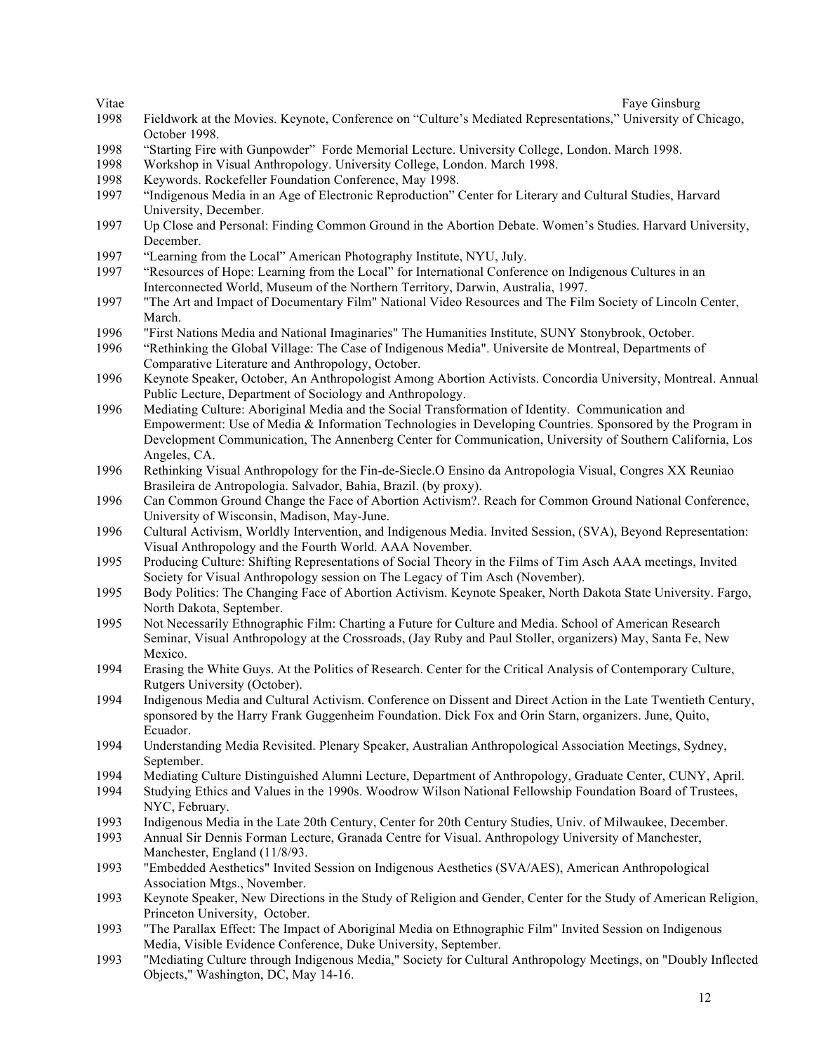Vitae Faye Ginsburg Faye Ginsburg Faye Ginsburg Faye Ginsburg Faye Ginsburg Faye Ginsburg Faye Ginsburg Faye Ginsburg Faye Ginsburg Faye Ginsburg Faye Ginsburg Faye Ginsburg Faye Ginsburg Faye Ginsburg Faye Ginsburg Faye G

- 1998 Fieldwork at the Movies. Keynote, Conference on "Culture's Mediated Representations," University of Chicago, October 1998.
- 1998 "Starting Fire with Gunpowder" Forde Memorial Lecture. University College, London. March 1998.
- 1998 Workshop in Visual Anthropology. University College, London. March 1998.
- 1998 Keywords. Rockefeller Foundation Conference, May 1998.
- 1997 "Indigenous Media in an Age of Electronic Reproduction" Center for Literary and Cultural Studies, Harvard University, December.
- 1997 Up Close and Personal: Finding Common Ground in the Abortion Debate. Women's Studies. Harvard University, December.
- 1997 "Learning from the Local" American Photography Institute, NYU, July.
- 1997 "Resources of Hope: Learning from the Local" for International Conference on Indigenous Cultures in an Interconnected World, Museum of the Northern Territory, Darwin, Australia, 1997.
- 1997 "The Art and Impact of Documentary Film" National Video Resources and The Film Society of Lincoln Center, March.
- 1996 "First Nations Media and National Imaginaries" The Humanities Institute, SUNY Stonybrook, October.
- 1996 "Rethinking the Global Village: The Case of Indigenous Media". Universite de Montreal, Departments of Comparative Literature and Anthropology, October.
- 1996 Keynote Speaker, October, An Anthropologist Among Abortion Activists. Concordia University, Montreal. Annual Public Lecture, Department of Sociology and Anthropology.
- 1996 Mediating Culture: Aboriginal Media and the Social Transformation of Identity. Communication and Empowerment: Use of Media & Information Technologies in Developing Countries. Sponsored by the Program in Development Communication, The Annenberg Center for Communication, University of Southern California, Los Angeles, CA.
- 1996 Rethinking Visual Anthropology for the Fin-de-Siecle.O Ensino da Antropologia Visual, Congres XX Reuniao Brasileira de Antropologia. Salvador, Bahia, Brazil. (by proxy).
- 1996 Can Common Ground Change the Face of Abortion Activism?. Reach for Common Ground National Conference, University of Wisconsin, Madison, May-June.
- 1996 Cultural Activism, Worldly Intervention, and Indigenous Media. Invited Session, (SVA), Beyond Representation: Visual Anthropology and the Fourth World. AAA November.
- 1995 Producing Culture: Shifting Representations of Social Theory in the Films of Tim Asch AAA meetings, Invited Society for Visual Anthropology session on The Legacy of Tim Asch (November).
- 1995 Body Politics: The Changing Face of Abortion Activism. Keynote Speaker, North Dakota State University. Fargo, North Dakota, September.
- 1995 Not Necessarily Ethnographic Film: Charting a Future for Culture and Media. School of American Research Seminar, Visual Anthropology at the Crossroads, (Jay Ruby and Paul Stoller, organizers) May, Santa Fe, New Mexico.
- 1994 Erasing the White Guys. At the Politics of Research. Center for the Critical Analysis of Contemporary Culture, Rutgers University (October).
- 1994 Indigenous Media and Cultural Activism. Conference on Dissent and Direct Action in the Late Twentieth Century, sponsored by the Harry Frank Guggenheim Foundation. Dick Fox and Orin Starn, organizers. June, Quito, Ecuador.
- 1994 Understanding Media Revisited. Plenary Speaker, Australian Anthropological Association Meetings, Sydney, September.
- 1994 Mediating Culture Distinguished Alumni Lecture, Department of Anthropology, Graduate Center, CUNY, April.
- 1994 Studying Ethics and Values in the 1990s. Woodrow Wilson National Fellowship Foundation Board of Trustees, NYC, February.
- 1993 Indigenous Media in the Late 20th Century, Center for 20th Century Studies, Univ. of Milwaukee, December.
- 1993 Annual Sir Dennis Forman Lecture, Granada Centre for Visual. Anthropology University of Manchester, Manchester, England (11/8/93.
- 1993 "Embedded Aesthetics" Invited Session on Indigenous Aesthetics (SVA/AES), American Anthropological Association Mtgs., November.
- 1993 Keynote Speaker, New Directions in the Study of Religion and Gender, Center for the Study of American Religion, Princeton University, October.
- 1993 "The Parallax Effect: The Impact of Aboriginal Media on Ethnographic Film" Invited Session on Indigenous Media, Visible Evidence Conference, Duke University, September.
- 1993 "Mediating Culture through Indigenous Media," Society for Cultural Anthropology Meetings, on "Doubly Inflected Objects," Washington, DC, May 14-16.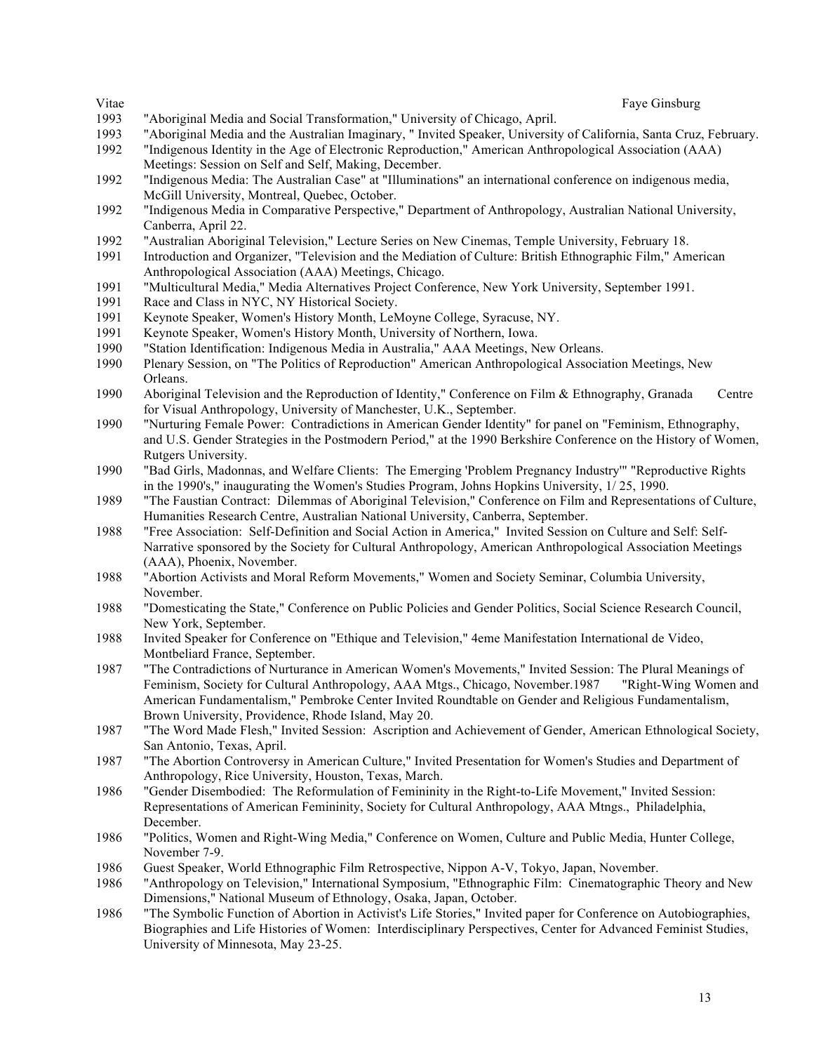- 1993 "Aboriginal Media and Social Transformation," University of Chicago, April.
- 1993 "Aboriginal Media and the Australian Imaginary, " Invited Speaker, University of California, Santa Cruz, February.
- 1992 "Indigenous Identity in the Age of Electronic Reproduction," American Anthropological Association (AAA) Meetings: Session on Self and Self, Making, December.
- 1992 "Indigenous Media: The Australian Case" at "Illuminations" an international conference on indigenous media, McGill University, Montreal, Quebec, October.
- 1992 "Indigenous Media in Comparative Perspective," Department of Anthropology, Australian National University, Canberra, April 22.
- 1992 "Australian Aboriginal Television," Lecture Series on New Cinemas, Temple University, February 18.
- 1991 Introduction and Organizer, "Television and the Mediation of Culture: British Ethnographic Film," American Anthropological Association (AAA) Meetings, Chicago.
- 1991 "Multicultural Media," Media Alternatives Project Conference, New York University, September 1991.
- 1991 Race and Class in NYC, NY Historical Society.
- 1991 Keynote Speaker, Women's History Month, LeMoyne College, Syracuse, NY.
- 1991 Keynote Speaker, Women's History Month, University of Northern, Iowa.
- 1990 "Station Identification: Indigenous Media in Australia," AAA Meetings, New Orleans.
- 1990 Plenary Session, on "The Politics of Reproduction" American Anthropological Association Meetings, New Orleans.
- 1990 Aboriginal Television and the Reproduction of Identity," Conference on Film & Ethnography, Granada Centre for Visual Anthropology, University of Manchester, U.K., September.
- 1990 "Nurturing Female Power: Contradictions in American Gender Identity" for panel on "Feminism, Ethnography, and U.S. Gender Strategies in the Postmodern Period," at the 1990 Berkshire Conference on the History of Women, Rutgers University.
- 1990 "Bad Girls, Madonnas, and Welfare Clients: The Emerging 'Problem Pregnancy Industry'" "Reproductive Rights in the 1990's," inaugurating the Women's Studies Program, Johns Hopkins University, 1/ 25, 1990.
- 1989 "The Faustian Contract: Dilemmas of Aboriginal Television," Conference on Film and Representations of Culture, Humanities Research Centre, Australian National University, Canberra, September.
- 1988 "Free Association: Self-Definition and Social Action in America," Invited Session on Culture and Self: Self-Narrative sponsored by the Society for Cultural Anthropology, American Anthropological Association Meetings (AAA), Phoenix, November.
- 1988 "Abortion Activists and Moral Reform Movements," Women and Society Seminar, Columbia University, November.
- 1988 "Domesticating the State," Conference on Public Policies and Gender Politics, Social Science Research Council, New York, September.
- 1988 Invited Speaker for Conference on "Ethique and Television," 4eme Manifestation International de Video, Montbeliard France, September.
- 1987 "The Contradictions of Nurturance in American Women's Movements," Invited Session: The Plural Meanings of Feminism, Society for Cultural Anthropology, AAA Mtgs., Chicago, November.1987 "Right-Wing Women and American Fundamentalism," Pembroke Center Invited Roundtable on Gender and Religious Fundamentalism, Brown University, Providence, Rhode Island, May 20.
- 1987 "The Word Made Flesh," Invited Session: Ascription and Achievement of Gender, American Ethnological Society, San Antonio, Texas, April.
- 1987 "The Abortion Controversy in American Culture," Invited Presentation for Women's Studies and Department of Anthropology, Rice University, Houston, Texas, March.
- 1986 "Gender Disembodied: The Reformulation of Femininity in the Right-to-Life Movement," Invited Session: Representations of American Femininity, Society for Cultural Anthropology, AAA Mtngs., Philadelphia, December.
- 1986 "Politics, Women and Right-Wing Media," Conference on Women, Culture and Public Media, Hunter College, November 7-9.
- 1986 Guest Speaker, World Ethnographic Film Retrospective, Nippon A-V, Tokyo, Japan, November.
- 1986 "Anthropology on Television," International Symposium, "Ethnographic Film: Cinematographic Theory and New Dimensions," National Museum of Ethnology, Osaka, Japan, October.
- 1986 "The Symbolic Function of Abortion in Activist's Life Stories," Invited paper for Conference on Autobiographies, Biographies and Life Histories of Women: Interdisciplinary Perspectives, Center for Advanced Feminist Studies, University of Minnesota, May 23-25.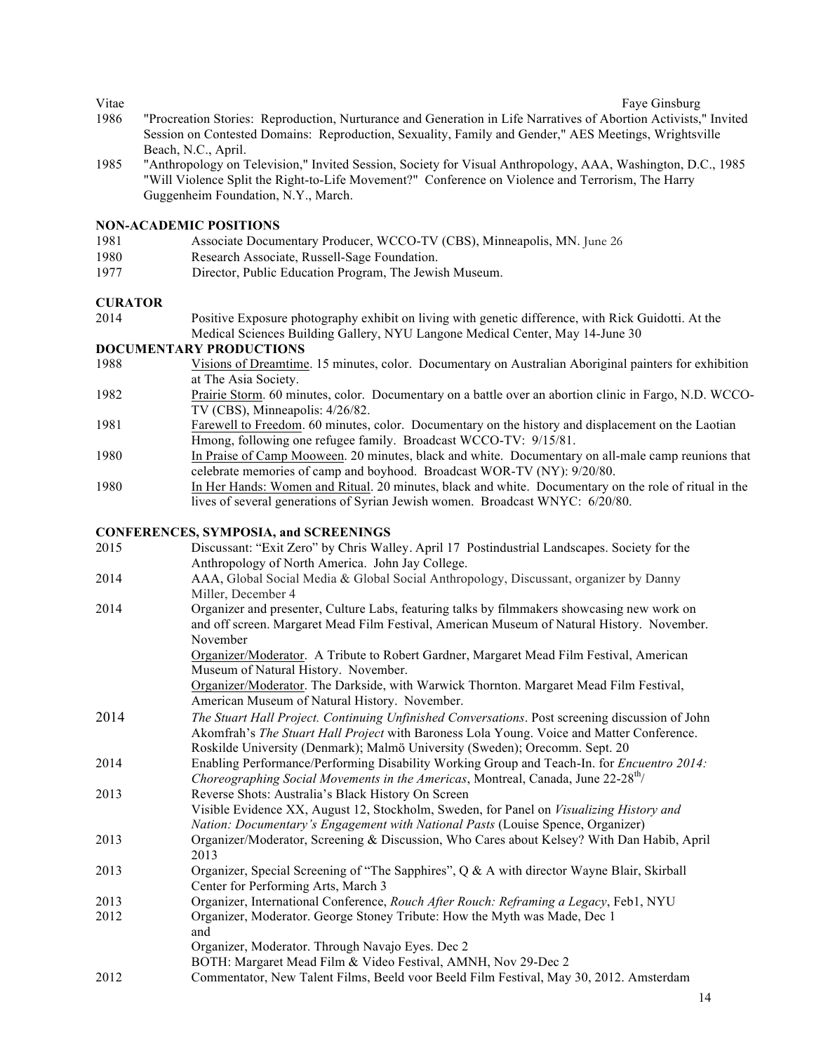Vitae Faye Ginsburg Faye Ginsburg Faye Ginsburg Faye Ginsburg Faye Ginsburg Faye Ginsburg Faye Ginsburg Faye Ginsburg Faye Ginsburg Faye Ginsburg Faye Ginsburg Faye Ginsburg Faye Ginsburg Faye Ginsburg Faye Ginsburg Faye G

- 1986 "Procreation Stories: Reproduction, Nurturance and Generation in Life Narratives of Abortion Activists," Invited Session on Contested Domains: Reproduction, Sexuality, Family and Gender," AES Meetings, Wrightsville Beach, N.C., April.
- 1985 "Anthropology on Television," Invited Session, Society for Visual Anthropology, AAA, Washington, D.C., 1985 "Will Violence Split the Right-to-Life Movement?" Conference on Violence and Terrorism, The Harry Guggenheim Foundation, N.Y., March.

#### **NON-ACADEMIC POSITIONS**

- 1981 Associate Documentary Producer, WCCO-TV (CBS), Minneapolis, MN. June 26
- 1980 Research Associate, Russell-Sage Foundation.
- 1977 Director, Public Education Program, The Jewish Museum.

#### **CURATOR**

2014 Positive Exposure photography exhibit on living with genetic difference, with Rick Guidotti. At the Medical Sciences Building Gallery, NYU Langone Medical Center, May 14-June 30

#### **DOCUMENTARY PRODUCTIONS**

- 1988 Visions of Dreamtime. 15 minutes, color. Documentary on Australian Aboriginal painters for exhibition at The Asia Society.
- 1982 Prairie Storm. 60 minutes, color. Documentary on a battle over an abortion clinic in Fargo, N.D. WCCO-TV (CBS), Minneapolis: 4/26/82.
- 1981 Farewell to Freedom. 60 minutes, color. Documentary on the history and displacement on the Laotian Hmong, following one refugee family. Broadcast WCCO-TV: 9/15/81.
- 1980 In Praise of Camp Mooween. 20 minutes, black and white. Documentary on all-male camp reunions that celebrate memories of camp and boyhood. Broadcast WOR-TV (NY): 9/20/80.
- 1980 In Her Hands: Women and Ritual. 20 minutes, black and white. Documentary on the role of ritual in the lives of several generations of Syrian Jewish women. Broadcast WNYC: 6/20/80.

#### **CONFERENCES, SYMPOSIA, and SCREENINGS**

| 2015 | Discussant: "Exit Zero" by Chris Walley. April 17 Postindustrial Landscapes. Society for the                                                                                                                                                                                |
|------|-----------------------------------------------------------------------------------------------------------------------------------------------------------------------------------------------------------------------------------------------------------------------------|
|      | Anthropology of North America. John Jay College.                                                                                                                                                                                                                            |
| 2014 | AAA, Global Social Media & Global Social Anthropology, Discussant, organizer by Danny<br>Miller, December 4                                                                                                                                                                 |
| 2014 | Organizer and presenter, Culture Labs, featuring talks by filmmakers showcasing new work on<br>and off screen. Margaret Mead Film Festival, American Museum of Natural History. November.<br>November                                                                       |
|      | Organizer/Moderator. A Tribute to Robert Gardner, Margaret Mead Film Festival, American<br>Museum of Natural History. November.                                                                                                                                             |
|      | Organizer/Moderator. The Darkside, with Warwick Thornton. Margaret Mead Film Festival,<br>American Museum of Natural History. November.                                                                                                                                     |
| 2014 | The Stuart Hall Project. Continuing Unfinished Conversations. Post screening discussion of John<br>Akomfrah's The Stuart Hall Project with Baroness Lola Young. Voice and Matter Conference.<br>Roskilde University (Denmark); Malmö University (Sweden); Orecomm. Sept. 20 |
| 2014 | Enabling Performance/Performing Disability Working Group and Teach-In. for <i>Encuentro 2014</i> :<br><i>Choreographing Social Movements in the Americas, Montreal, Canada, June 22-28<sup>th</sup>/</i>                                                                    |
| 2013 | Reverse Shots: Australia's Black History On Screen<br>Visible Evidence XX, August 12, Stockholm, Sweden, for Panel on Visualizing History and<br>Nation: Documentary's Engagement with National Pasts (Louise Spence, Organizer)                                            |
| 2013 | Organizer/Moderator, Screening & Discussion, Who Cares about Kelsey? With Dan Habib, April<br>2013                                                                                                                                                                          |
| 2013 | Organizer, Special Screening of "The Sapphires", Q & A with director Wayne Blair, Skirball<br>Center for Performing Arts, March 3                                                                                                                                           |
| 2013 | Organizer, International Conference, Rouch After Rouch: Reframing a Legacy, Feb1, NYU                                                                                                                                                                                       |
| 2012 | Organizer, Moderator. George Stoney Tribute: How the Myth was Made, Dec 1<br>and                                                                                                                                                                                            |
|      | Organizer, Moderator. Through Navajo Eyes. Dec 2<br>BOTH: Margaret Mead Film & Video Festival, AMNH, Nov 29-Dec 2                                                                                                                                                           |
| 2012 | Commentator, New Talent Films, Beeld voor Beeld Film Festival, May 30, 2012. Amsterdam                                                                                                                                                                                      |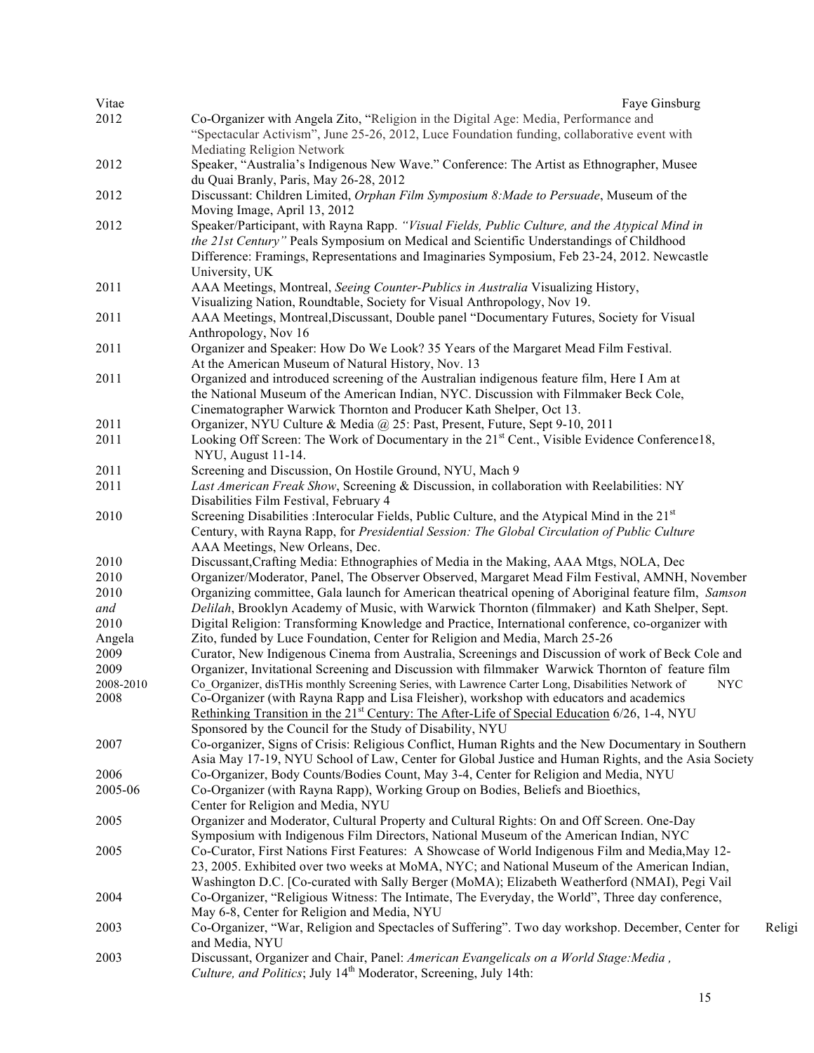| Vitae     | Faye Ginsburg                                                                                              |        |
|-----------|------------------------------------------------------------------------------------------------------------|--------|
| 2012      | Co-Organizer with Angela Zito, "Religion in the Digital Age: Media, Performance and                        |        |
|           | "Spectacular Activism", June 25-26, 2012, Luce Foundation funding, collaborative event with                |        |
|           | <b>Mediating Religion Network</b>                                                                          |        |
| 2012      | Speaker, "Australia's Indigenous New Wave." Conference: The Artist as Ethnographer, Musee                  |        |
|           | du Quai Branly, Paris, May 26-28, 2012                                                                     |        |
| 2012      | Discussant: Children Limited, Orphan Film Symposium 8: Made to Persuade, Museum of the                     |        |
|           | Moving Image, April 13, 2012                                                                               |        |
| 2012      | Speaker/Participant, with Rayna Rapp. "Visual Fields, Public Culture, and the Atypical Mind in             |        |
|           | the 21st Century" Peals Symposium on Medical and Scientific Understandings of Childhood                    |        |
|           | Difference: Framings, Representations and Imaginaries Symposium, Feb 23-24, 2012. Newcastle                |        |
|           | University, UK                                                                                             |        |
| 2011      | AAA Meetings, Montreal, Seeing Counter-Publics in Australia Visualizing History,                           |        |
|           |                                                                                                            |        |
|           | Visualizing Nation, Roundtable, Society for Visual Anthropology, Nov 19.                                   |        |
| 2011      | AAA Meetings, Montreal, Discussant, Double panel "Documentary Futures, Society for Visual                  |        |
|           | Anthropology, Nov 16                                                                                       |        |
| 2011      | Organizer and Speaker: How Do We Look? 35 Years of the Margaret Mead Film Festival.                        |        |
|           | At the American Museum of Natural History, Nov. 13                                                         |        |
| 2011      | Organized and introduced screening of the Australian indigenous feature film, Here I Am at                 |        |
|           | the National Museum of the American Indian, NYC. Discussion with Filmmaker Beck Cole,                      |        |
|           | Cinematographer Warwick Thornton and Producer Kath Shelper, Oct 13.                                        |        |
| 2011      | Organizer, NYU Culture & Media @ 25: Past, Present, Future, Sept 9-10, 2011                                |        |
| 2011      | Looking Off Screen: The Work of Documentary in the 21 <sup>st</sup> Cent., Visible Evidence Conference18,  |        |
|           | NYU, August 11-14.                                                                                         |        |
| 2011      | Screening and Discussion, On Hostile Ground, NYU, Mach 9                                                   |        |
| 2011      | Last American Freak Show, Screening & Discussion, in collaboration with Reelabilities: NY                  |        |
|           | Disabilities Film Festival, February 4                                                                     |        |
| 2010      | Screening Disabilities : Interocular Fields, Public Culture, and the Atypical Mind in the 21 <sup>st</sup> |        |
|           | Century, with Rayna Rapp, for Presidential Session: The Global Circulation of Public Culture               |        |
|           | AAA Meetings, New Orleans, Dec.                                                                            |        |
| 2010      | Discussant, Crafting Media: Ethnographies of Media in the Making, AAA Mtgs, NOLA, Dec                      |        |
| 2010      | Organizer/Moderator, Panel, The Observer Observed, Margaret Mead Film Festival, AMNH, November             |        |
| 2010      | Organizing committee, Gala launch for American theatrical opening of Aboriginal feature film, Samson       |        |
| and       | Delilah, Brooklyn Academy of Music, with Warwick Thornton (filmmaker) and Kath Shelper, Sept.              |        |
| 2010      | Digital Religion: Transforming Knowledge and Practice, International conference, co-organizer with         |        |
| Angela    | Zito, funded by Luce Foundation, Center for Religion and Media, March 25-26                                |        |
| 2009      | Curator, New Indigenous Cinema from Australia, Screenings and Discussion of work of Beck Cole and          |        |
| 2009      | Organizer, Invitational Screening and Discussion with filmmaker Warwick Thornton of feature film           |        |
| 2008-2010 | Co_Organizer, disTHis monthly Screening Series, with Lawrence Carter Long, Disabilities Network of NYC     |        |
| 2008      | Co-Organizer (with Rayna Rapp and Lisa Fleisher), workshop with educators and academics                    |        |
|           | Rethinking Transition in the 21 <sup>st</sup> Century: The After-Life of Special Education 6/26, 1-4, NYU  |        |
|           | Sponsored by the Council for the Study of Disability, NYU                                                  |        |
| 2007      | Co-organizer, Signs of Crisis: Religious Conflict, Human Rights and the New Documentary in Southern        |        |
|           | Asia May 17-19, NYU School of Law, Center for Global Justice and Human Rights, and the Asia Society        |        |
| 2006      | Co-Organizer, Body Counts/Bodies Count, May 3-4, Center for Religion and Media, NYU                        |        |
| 2005-06   | Co-Organizer (with Rayna Rapp), Working Group on Bodies, Beliefs and Bioethics,                            |        |
|           | Center for Religion and Media, NYU                                                                         |        |
| 2005      | Organizer and Moderator, Cultural Property and Cultural Rights: On and Off Screen. One-Day                 |        |
|           |                                                                                                            |        |
|           | Symposium with Indigenous Film Directors, National Museum of the American Indian, NYC                      |        |
| 2005      | Co-Curator, First Nations First Features: A Showcase of World Indigenous Film and Media, May 12-           |        |
|           | 23, 2005. Exhibited over two weeks at MoMA, NYC; and National Museum of the American Indian,               |        |
|           | Washington D.C. [Co-curated with Sally Berger (MoMA); Elizabeth Weatherford (NMAI), Pegi Vail              |        |
| 2004      | Co-Organizer, "Religious Witness: The Intimate, The Everyday, the World", Three day conference,            |        |
|           | May 6-8, Center for Religion and Media, NYU                                                                |        |
| 2003      | Co-Organizer, "War, Religion and Spectacles of Suffering". Two day workshop. December, Center for          | Religi |
|           | and Media, NYU                                                                                             |        |
| 2003      | Discussant, Organizer and Chair, Panel: American Evangelicals on a World Stage: Media,                     |        |
|           | <i>Culture, and Politics</i> ; July 14 <sup>th</sup> Moderator, Screening, July 14th:                      |        |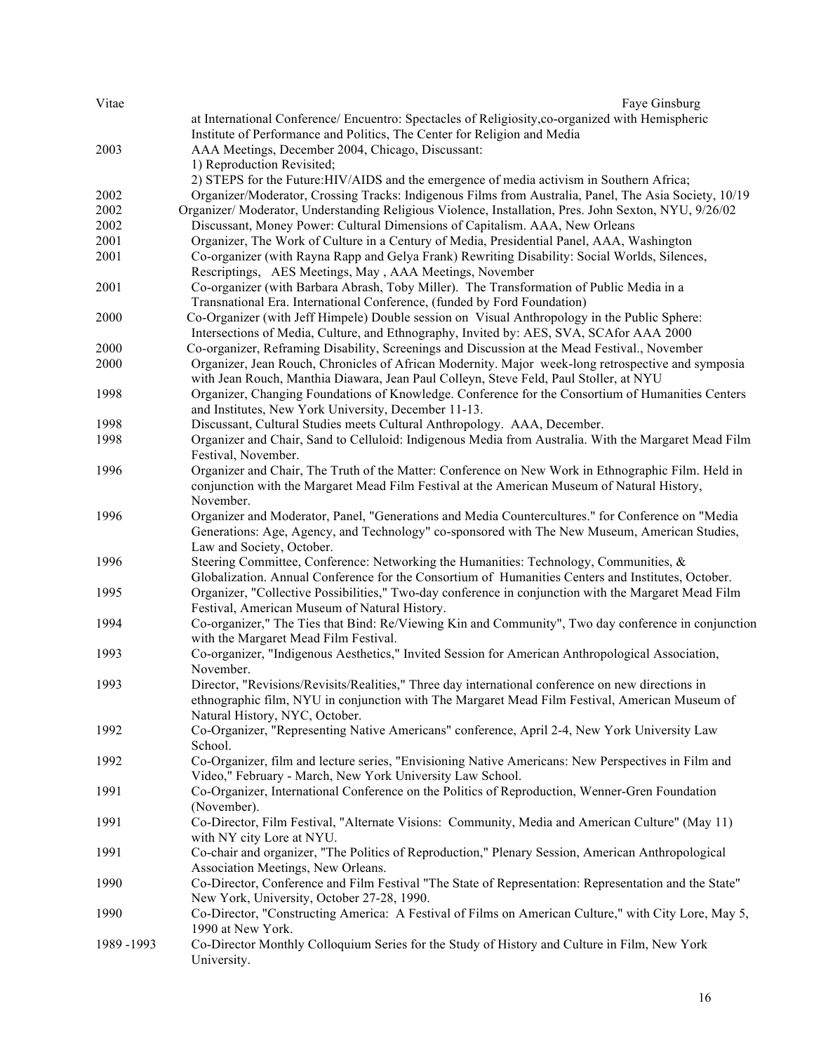| Vitae     | Faye Ginsburg                                                                                         |
|-----------|-------------------------------------------------------------------------------------------------------|
|           | at International Conference/ Encuentro: Spectacles of Religiosity, co-organized with Hemispheric      |
|           | Institute of Performance and Politics, The Center for Religion and Media                              |
| 2003      | AAA Meetings, December 2004, Chicago, Discussant:                                                     |
|           | 1) Reproduction Revisited;                                                                            |
|           | 2) STEPS for the Future: HIV/AIDS and the emergence of media activism in Southern Africa;             |
| 2002      | Organizer/Moderator, Crossing Tracks: Indigenous Films from Australia, Panel, The Asia Society, 10/19 |
| 2002      | Organizer/ Moderator, Understanding Religious Violence, Installation, Pres. John Sexton, NYU, 9/26/02 |
| 2002      | Discussant, Money Power: Cultural Dimensions of Capitalism. AAA, New Orleans                          |
| 2001      | Organizer, The Work of Culture in a Century of Media, Presidential Panel, AAA, Washington             |
| 2001      | Co-organizer (with Rayna Rapp and Gelya Frank) Rewriting Disability: Social Worlds, Silences,         |
|           | Rescriptings, AES Meetings, May, AAA Meetings, November                                               |
| 2001      | Co-organizer (with Barbara Abrash, Toby Miller). The Transformation of Public Media in a              |
|           | Transnational Era. International Conference, (funded by Ford Foundation)                              |
| 2000      | Co-Organizer (with Jeff Himpele) Double session on Visual Anthropology in the Public Sphere:          |
|           | Intersections of Media, Culture, and Ethnography, Invited by: AES, SVA, SCAfor AAA 2000               |
| 2000      | Co-organizer, Reframing Disability, Screenings and Discussion at the Mead Festival., November         |
| 2000      | Organizer, Jean Rouch, Chronicles of African Modernity. Major week-long retrospective and symposia    |
|           | with Jean Rouch, Manthia Diawara, Jean Paul Colleyn, Steve Feld, Paul Stoller, at NYU                 |
| 1998      | Organizer, Changing Foundations of Knowledge. Conference for the Consortium of Humanities Centers     |
|           | and Institutes, New York University, December 11-13.                                                  |
| 1998      | Discussant, Cultural Studies meets Cultural Anthropology. AAA, December.                              |
| 1998      | Organizer and Chair, Sand to Celluloid: Indigenous Media from Australia. With the Margaret Mead Film  |
|           | Festival, November.                                                                                   |
| 1996      | Organizer and Chair, The Truth of the Matter: Conference on New Work in Ethnographic Film. Held in    |
|           | conjunction with the Margaret Mead Film Festival at the American Museum of Natural History,           |
|           | November.                                                                                             |
| 1996      | Organizer and Moderator, Panel, "Generations and Media Countercultures." for Conference on "Media     |
|           | Generations: Age, Agency, and Technology" co-sponsored with The New Museum, American Studies,         |
|           | Law and Society, October.                                                                             |
| 1996      | Steering Committee, Conference: Networking the Humanities: Technology, Communities, &                 |
|           | Globalization. Annual Conference for the Consortium of Humanities Centers and Institutes, October.    |
| 1995      | Organizer, "Collective Possibilities," Two-day conference in conjunction with the Margaret Mead Film  |
|           | Festival, American Museum of Natural History.                                                         |
| 1994      | Co-organizer," The Ties that Bind: Re/Viewing Kin and Community", Two day conference in conjunction   |
|           | with the Margaret Mead Film Festival.                                                                 |
| 1993      | Co-organizer, "Indigenous Aesthetics," Invited Session for American Anthropological Association,      |
|           | November.                                                                                             |
| 1993      | Director, "Revisions/Revisits/Realities," Three day international conference on new directions in     |
|           | ethnographic film, NYU in conjunction with The Margaret Mead Film Festival, American Museum of        |
|           | Natural History, NYC, October.                                                                        |
| 1992      | Co-Organizer, "Representing Native Americans" conference, April 2-4, New York University Law          |
|           | School.                                                                                               |
| 1992      | Co-Organizer, film and lecture series, "Envisioning Native Americans: New Perspectives in Film and    |
|           | Video," February - March, New York University Law School.                                             |
| 1991      | Co-Organizer, International Conference on the Politics of Reproduction, Wenner-Gren Foundation        |
|           | (November).                                                                                           |
| 1991      | Co-Director, Film Festival, "Alternate Visions: Community, Media and American Culture" (May 11)       |
|           | with NY city Lore at NYU.                                                                             |
| 1991      | Co-chair and organizer, "The Politics of Reproduction," Plenary Session, American Anthropological     |
|           | Association Meetings, New Orleans.                                                                    |
| 1990      | Co-Director, Conference and Film Festival "The State of Representation: Representation and the State" |
|           | New York, University, October 27-28, 1990.                                                            |
| 1990      | Co-Director, "Constructing America: A Festival of Films on American Culture," with City Lore, May 5,  |
|           | 1990 at New York.                                                                                     |
| 1989-1993 | Co-Director Monthly Colloquium Series for the Study of History and Culture in Film, New York          |
|           | University.                                                                                           |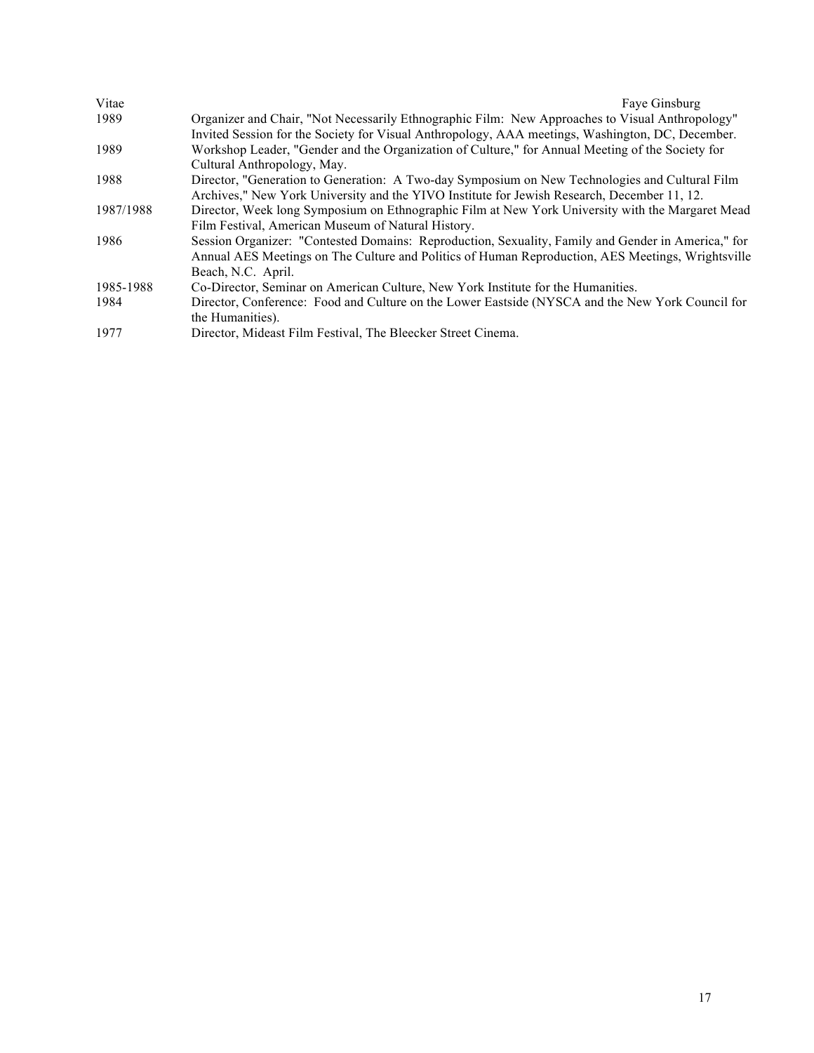| Vitae     | Faye Ginsburg                                                                                      |
|-----------|----------------------------------------------------------------------------------------------------|
| 1989      | Organizer and Chair, "Not Necessarily Ethnographic Film: New Approaches to Visual Anthropology"    |
|           | Invited Session for the Society for Visual Anthropology, AAA meetings, Washington, DC, December.   |
| 1989      | Workshop Leader, "Gender and the Organization of Culture," for Annual Meeting of the Society for   |
|           | Cultural Anthropology, May.                                                                        |
| 1988      | Director, "Generation to Generation: A Two-day Symposium on New Technologies and Cultural Film     |
|           | Archives," New York University and the YIVO Institute for Jewish Research, December 11, 12.        |
| 1987/1988 | Director, Week long Symposium on Ethnographic Film at New York University with the Margaret Mead   |
|           | Film Festival, American Museum of Natural History.                                                 |
| 1986      | Session Organizer: "Contested Domains: Reproduction, Sexuality, Family and Gender in America," for |
|           | Annual AES Meetings on The Culture and Politics of Human Reproduction, AES Meetings, Wrightsville  |
|           | Beach, N.C. April.                                                                                 |
| 1985-1988 | Co-Director, Seminar on American Culture, New York Institute for the Humanities.                   |
| 1984      | Director, Conference: Food and Culture on the Lower Eastside (NYSCA and the New York Council for   |
|           | the Humanities).                                                                                   |
| 1977      | Director, Mideast Film Festival, The Bleecker Street Cinema.                                       |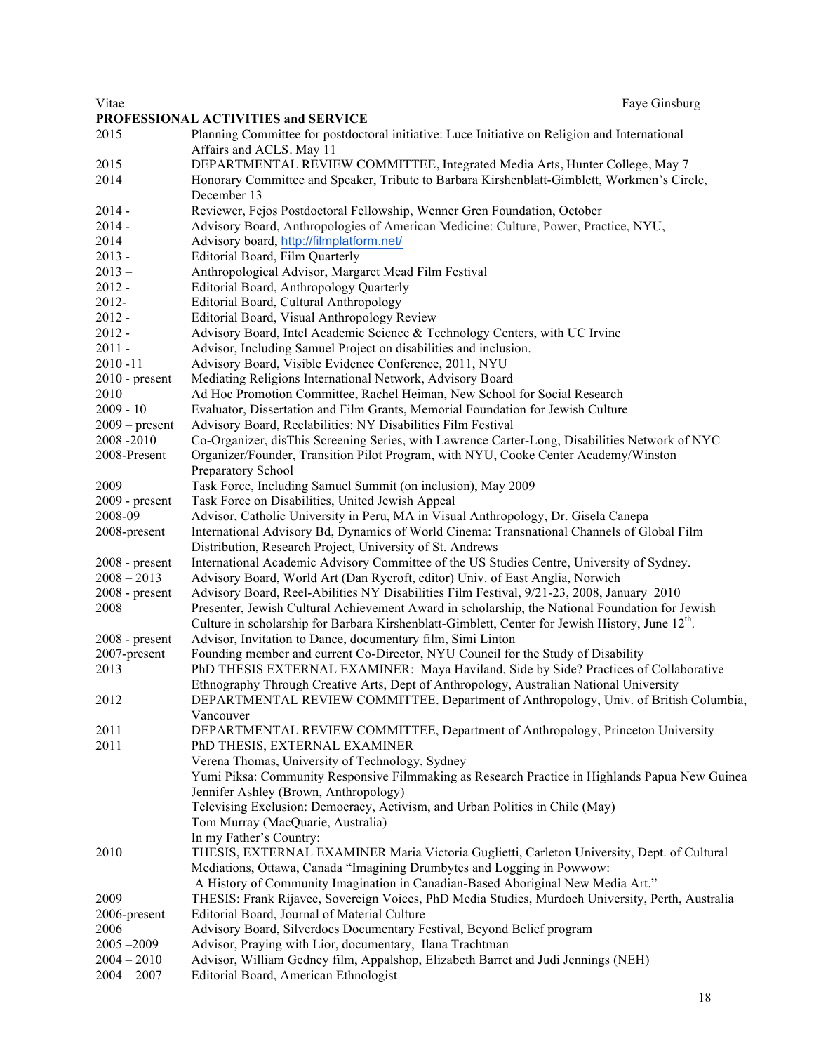| Vitae                       | Faye Ginsburg<br>PROFESSIONAL ACTIVITIES and SERVICE                                                                      |
|-----------------------------|---------------------------------------------------------------------------------------------------------------------------|
| 2015                        | Planning Committee for postdoctoral initiative: Luce Initiative on Religion and International<br>Affairs and ACLS. May 11 |
| 2015                        | DEPARTMENTAL REVIEW COMMITTEE, Integrated Media Arts, Hunter College, May 7                                               |
| 2014                        | Honorary Committee and Speaker, Tribute to Barbara Kirshenblatt-Gimblett, Workmen's Circle,<br>December 13                |
| $2014 -$                    | Reviewer, Fejos Postdoctoral Fellowship, Wenner Gren Foundation, October                                                  |
| $2014 -$                    | Advisory Board, Anthropologies of American Medicine: Culture, Power, Practice, NYU,                                       |
| 2014                        | Advisory board, http://filmplatform.net/                                                                                  |
| $2013 -$                    | <b>Editorial Board, Film Quarterly</b>                                                                                    |
| $2013 -$                    | Anthropological Advisor, Margaret Mead Film Festival                                                                      |
| $2012 -$                    | Editorial Board, Anthropology Quarterly                                                                                   |
| 2012-                       | Editorial Board, Cultural Anthropology                                                                                    |
| $2012 -$                    | Editorial Board, Visual Anthropology Review                                                                               |
| $2012 -$                    | Advisory Board, Intel Academic Science & Technology Centers, with UC Irvine                                               |
| $2011 -$                    | Advisor, Including Samuel Project on disabilities and inclusion.                                                          |
| $2010 - 11$                 | Advisory Board, Visible Evidence Conference, 2011, NYU                                                                    |
| $2010$ - present            | Mediating Religions International Network, Advisory Board                                                                 |
| 2010                        | Ad Hoc Promotion Committee, Rachel Heiman, New School for Social Research                                                 |
| $2009 - 10$                 | Evaluator, Dissertation and Film Grants, Memorial Foundation for Jewish Culture                                           |
| $2009$ – present            | Advisory Board, Reelabilities: NY Disabilities Film Festival                                                              |
| 2008-2010                   | Co-Organizer, disThis Screening Series, with Lawrence Carter-Long, Disabilities Network of NYC                            |
| 2008-Present                | Organizer/Founder, Transition Pilot Program, with NYU, Cooke Center Academy/Winston                                       |
|                             | Preparatory School                                                                                                        |
| 2009                        | Task Force, Including Samuel Summit (on inclusion), May 2009<br>Task Force on Disabilities, United Jewish Appeal          |
| $2009$ - present<br>2008-09 | Advisor, Catholic University in Peru, MA in Visual Anthropology, Dr. Gisela Canepa                                        |
| 2008-present                | International Advisory Bd, Dynamics of World Cinema: Transnational Channels of Global Film                                |
|                             | Distribution, Research Project, University of St. Andrews                                                                 |
| $2008$ - present            | International Academic Advisory Committee of the US Studies Centre, University of Sydney.                                 |
| $2008 - 2013$               | Advisory Board, World Art (Dan Rycroft, editor) Univ. of East Anglia, Norwich                                             |
| $2008$ - present            | Advisory Board, Reel-Abilities NY Disabilities Film Festival, 9/21-23, 2008, January 2010                                 |
| 2008                        | Presenter, Jewish Cultural Achievement Award in scholarship, the National Foundation for Jewish                           |
|                             | Culture in scholarship for Barbara Kirshenblatt-Gimblett, Center for Jewish History, June 12 <sup>th</sup> .              |
| $2008$ - present            | Advisor, Invitation to Dance, documentary film, Simi Linton                                                               |
| 2007-present                | Founding member and current Co-Director, NYU Council for the Study of Disability                                          |
| 2013                        | PhD THESIS EXTERNAL EXAMINER: Maya Haviland, Side by Side? Practices of Collaborative                                     |
|                             | Ethnography Through Creative Arts, Dept of Anthropology, Australian National University                                   |
| 2012                        | DEPARTMENTAL REVIEW COMMITTEE. Department of Anthropology, Univ. of British Columbia,                                     |
|                             | Vancouver                                                                                                                 |
| 2011                        | DEPARTMENTAL REVIEW COMMITTEE, Department of Anthropology, Princeton University                                           |
| 2011                        | PhD THESIS, EXTERNAL EXAMINER                                                                                             |
|                             | Verena Thomas, University of Technology, Sydney                                                                           |
|                             | Yumi Piksa: Community Responsive Filmmaking as Research Practice in Highlands Papua New Guinea                            |
|                             | Jennifer Ashley (Brown, Anthropology)                                                                                     |
|                             | Televising Exclusion: Democracy, Activism, and Urban Politics in Chile (May)<br>Tom Murray (MacQuarie, Australia)         |
|                             | In my Father's Country:                                                                                                   |
| 2010                        | THESIS, EXTERNAL EXAMINER Maria Victoria Guglietti, Carleton University, Dept. of Cultural                                |
|                             | Mediations, Ottawa, Canada "Imagining Drumbytes and Logging in Powwow:                                                    |
|                             | A History of Community Imagination in Canadian-Based Aboriginal New Media Art."                                           |
| 2009                        | THESIS: Frank Rijavec, Sovereign Voices, PhD Media Studies, Murdoch University, Perth, Australia                          |
| 2006-present                | Editorial Board, Journal of Material Culture                                                                              |
| 2006                        | Advisory Board, Silverdocs Documentary Festival, Beyond Belief program                                                    |
| $2005 - 2009$               | Advisor, Praying with Lior, documentary, Ilana Trachtman                                                                  |
| $2004 - 2010$               | Advisor, William Gedney film, Appalshop, Elizabeth Barret and Judi Jennings (NEH)                                         |
| $2004 - 2007$               | Editorial Board, American Ethnologist                                                                                     |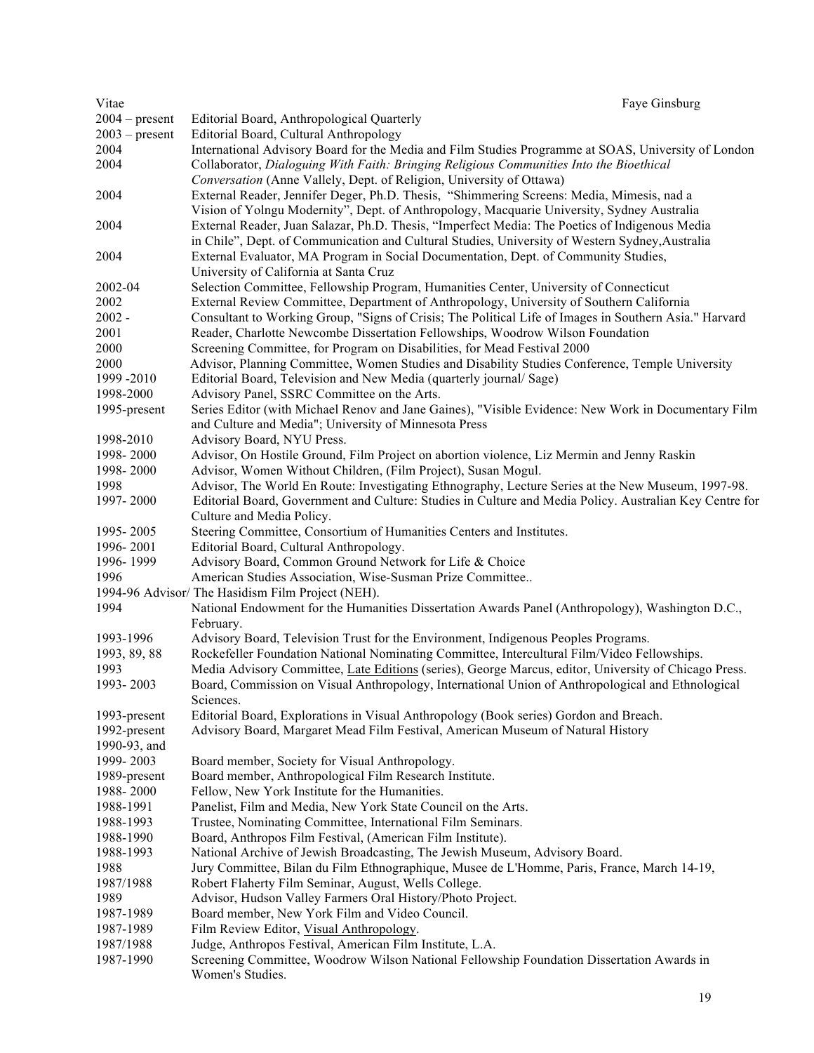| Vitae                  | Faye Ginsburg                                                                                                                                         |
|------------------------|-------------------------------------------------------------------------------------------------------------------------------------------------------|
| $2004 - present$       | Editorial Board, Anthropological Quarterly                                                                                                            |
| $2003$ – present       | Editorial Board, Cultural Anthropology                                                                                                                |
| 2004                   | International Advisory Board for the Media and Film Studies Programme at SOAS, University of London                                                   |
| 2004                   | Collaborator, Dialoguing With Faith: Bringing Religious Communities Into the Bioethical                                                               |
|                        | Conversation (Anne Vallely, Dept. of Religion, University of Ottawa)                                                                                  |
| 2004                   | External Reader, Jennifer Deger, Ph.D. Thesis, "Shimmering Screens: Media, Mimesis, nad a                                                             |
|                        | Vision of Yolngu Modernity", Dept. of Anthropology, Macquarie University, Sydney Australia                                                            |
| 2004                   | External Reader, Juan Salazar, Ph.D. Thesis, "Imperfect Media: The Poetics of Indigenous Media                                                        |
|                        | in Chile", Dept. of Communication and Cultural Studies, University of Western Sydney, Australia                                                       |
| 2004                   | External Evaluator, MA Program in Social Documentation, Dept. of Community Studies,                                                                   |
|                        | University of California at Santa Cruz                                                                                                                |
| 2002-04                | Selection Committee, Fellowship Program, Humanities Center, University of Connecticut                                                                 |
| 2002                   | External Review Committee, Department of Anthropology, University of Southern California                                                              |
| $2002 -$               | Consultant to Working Group, "Signs of Crisis; The Political Life of Images in Southern Asia." Harvard                                                |
| 2001                   | Reader, Charlotte Newcombe Dissertation Fellowships, Woodrow Wilson Foundation                                                                        |
|                        |                                                                                                                                                       |
| 2000                   | Screening Committee, for Program on Disabilities, for Mead Festival 2000                                                                              |
| 2000                   | Advisor, Planning Committee, Women Studies and Disability Studies Conference, Temple University                                                       |
| 1999 - 2010            | Editorial Board, Television and New Media (quarterly journal/Sage)                                                                                    |
| 1998-2000              | Advisory Panel, SSRC Committee on the Arts.                                                                                                           |
| 1995-present           | Series Editor (with Michael Renov and Jane Gaines), "Visible Evidence: New Work in Documentary Film                                                   |
|                        | and Culture and Media"; University of Minnesota Press                                                                                                 |
| 1998-2010              | Advisory Board, NYU Press.                                                                                                                            |
| 1998-2000              | Advisor, On Hostile Ground, Film Project on abortion violence, Liz Mermin and Jenny Raskin                                                            |
| 1998-2000              | Advisor, Women Without Children, (Film Project), Susan Mogul.                                                                                         |
| 1998                   | Advisor, The World En Route: Investigating Ethnography, Lecture Series at the New Museum, 1997-98.                                                    |
| 1997-2000              | Editorial Board, Government and Culture: Studies in Culture and Media Policy. Australian Key Centre for                                               |
|                        | Culture and Media Policy.                                                                                                                             |
| 1995-2005              | Steering Committee, Consortium of Humanities Centers and Institutes.                                                                                  |
| 1996-2001              | Editorial Board, Cultural Anthropology.                                                                                                               |
| 1996-1999              | Advisory Board, Common Ground Network for Life & Choice                                                                                               |
| 1996                   | American Studies Association, Wise-Susman Prize Committee                                                                                             |
|                        | 1994-96 Advisor/ The Hasidism Film Project (NEH).                                                                                                     |
| 1994                   | National Endowment for the Humanities Dissertation Awards Panel (Anthropology), Washington D.C.,                                                      |
|                        | February.                                                                                                                                             |
| 1993-1996              | Advisory Board, Television Trust for the Environment, Indigenous Peoples Programs.                                                                    |
| 1993, 89, 88           | Rockefeller Foundation National Nominating Committee, Intercultural Film/Video Fellowships.                                                           |
| 1993                   | Media Advisory Committee, Late Editions (series), George Marcus, editor, University of Chicago Press.                                                 |
| 1993-2003              | Board, Commission on Visual Anthropology, International Union of Anthropological and Ethnological                                                     |
|                        | Sciences.                                                                                                                                             |
| 1993-present           | Editorial Board, Explorations in Visual Anthropology (Book series) Gordon and Breach.                                                                 |
| 1992-present           | Advisory Board, Margaret Mead Film Festival, American Museum of Natural History                                                                       |
| 1990-93, and           |                                                                                                                                                       |
| 1999-2003              | Board member, Society for Visual Anthropology.                                                                                                        |
| 1989-present           | Board member, Anthropological Film Research Institute.                                                                                                |
| 1988-2000              | Fellow, New York Institute for the Humanities.                                                                                                        |
| 1988-1991              | Panelist, Film and Media, New York State Council on the Arts.                                                                                         |
| 1988-1993              | Trustee, Nominating Committee, International Film Seminars.                                                                                           |
| 1988-1990              | Board, Anthropos Film Festival, (American Film Institute).                                                                                            |
| 1988-1993              | National Archive of Jewish Broadcasting, The Jewish Museum, Advisory Board.                                                                           |
| 1988                   | Jury Committee, Bilan du Film Ethnographique, Musee de L'Homme, Paris, France, March 14-19,                                                           |
| 1987/1988              | Robert Flaherty Film Seminar, August, Wells College.                                                                                                  |
| 1989                   | Advisor, Hudson Valley Farmers Oral History/Photo Project.                                                                                            |
| 1987-1989              | Board member, New York Film and Video Council.                                                                                                        |
| 1987-1989              |                                                                                                                                                       |
|                        | Film Review Editor, Visual Anthropology.                                                                                                              |
| 1987/1988<br>1987-1990 | Judge, Anthropos Festival, American Film Institute, L.A.<br>Screening Committee, Woodrow Wilson National Fellowship Foundation Dissertation Awards in |
|                        | Women's Studies.                                                                                                                                      |
|                        |                                                                                                                                                       |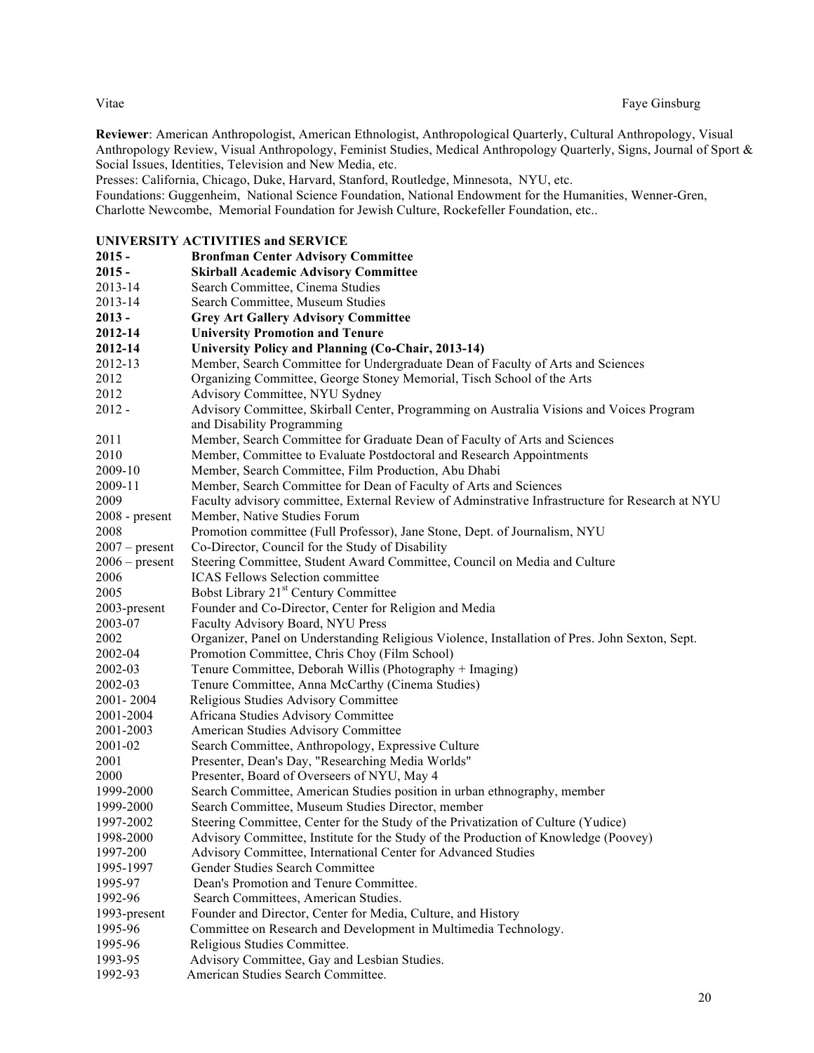Vitae Faye Ginsburg

**Reviewer**: American Anthropologist, American Ethnologist, Anthropological Quarterly, Cultural Anthropology, Visual Anthropology Review, Visual Anthropology, Feminist Studies, Medical Anthropology Quarterly, Signs, Journal of Sport & Social Issues, Identities, Television and New Media, etc.

Presses: California, Chicago, Duke, Harvard, Stanford, Routledge, Minnesota, NYU, etc.

Foundations: Guggenheim, National Science Foundation, National Endowment for the Humanities, Wenner-Gren, Charlotte Newcombe, Memorial Foundation for Jewish Culture, Rockefeller Foundation, etc..

#### **UNIVERSITY ACTIVITIES and SERVICE**

| $2015 -$         | <b>Bronfman Center Advisory Committee</b>                                                       |
|------------------|-------------------------------------------------------------------------------------------------|
| $2015 -$         | <b>Skirball Academic Advisory Committee</b>                                                     |
| 2013-14          | Search Committee, Cinema Studies                                                                |
| 2013-14          | Search Committee, Museum Studies                                                                |
| $2013 -$         | <b>Grey Art Gallery Advisory Committee</b>                                                      |
| 2012-14          | <b>University Promotion and Tenure</b>                                                          |
| 2012-14          | University Policy and Planning (Co-Chair, 2013-14)                                              |
| 2012-13          | Member, Search Committee for Undergraduate Dean of Faculty of Arts and Sciences                 |
| 2012             | Organizing Committee, George Stoney Memorial, Tisch School of the Arts                          |
| 2012             | Advisory Committee, NYU Sydney                                                                  |
| $2012 -$         | Advisory Committee, Skirball Center, Programming on Australia Visions and Voices Program        |
|                  | and Disability Programming                                                                      |
| 2011             | Member, Search Committee for Graduate Dean of Faculty of Arts and Sciences                      |
| 2010             | Member, Committee to Evaluate Postdoctoral and Research Appointments                            |
| 2009-10          | Member, Search Committee, Film Production, Abu Dhabi                                            |
| 2009-11          | Member, Search Committee for Dean of Faculty of Arts and Sciences                               |
| 2009             | Faculty advisory committee, External Review of Adminstrative Infrastructure for Research at NYU |
| $2008$ - present | Member, Native Studies Forum                                                                    |
| 2008             | Promotion committee (Full Professor), Jane Stone, Dept. of Journalism, NYU                      |
| $2007 - present$ | Co-Director, Council for the Study of Disability                                                |
| $2006$ – present | Steering Committee, Student Award Committee, Council on Media and Culture                       |
| 2006             | <b>ICAS Fellows Selection committee</b>                                                         |
| 2005             | Bobst Library 21 <sup>st</sup> Century Committee                                                |
| 2003-present     | Founder and Co-Director, Center for Religion and Media                                          |
| 2003-07          | Faculty Advisory Board, NYU Press                                                               |
| 2002             | Organizer, Panel on Understanding Religious Violence, Installation of Pres. John Sexton, Sept.  |
| 2002-04          | Promotion Committee, Chris Choy (Film School)                                                   |
| 2002-03          | Tenure Committee, Deborah Willis (Photography + Imaging)                                        |
| 2002-03          | Tenure Committee, Anna McCarthy (Cinema Studies)                                                |
| 2001-2004        | Religious Studies Advisory Committee                                                            |
| 2001-2004        | Africana Studies Advisory Committee                                                             |
| 2001-2003        | American Studies Advisory Committee                                                             |
| 2001-02          | Search Committee, Anthropology, Expressive Culture                                              |
| 2001             | Presenter, Dean's Day, "Researching Media Worlds"                                               |
| 2000             | Presenter, Board of Overseers of NYU, May 4                                                     |
| 1999-2000        | Search Committee, American Studies position in urban ethnography, member                        |
| 1999-2000        | Search Committee, Museum Studies Director, member                                               |
| 1997-2002        | Steering Committee, Center for the Study of the Privatization of Culture (Yudice)               |
| 1998-2000        | Advisory Committee, Institute for the Study of the Production of Knowledge (Poovey)             |
| 1997-200         | Advisory Committee, International Center for Advanced Studies                                   |
| 1995-1997        | Gender Studies Search Committee                                                                 |
| 1995-97          | Dean's Promotion and Tenure Committee.                                                          |
| 1992-96          | Search Committees, American Studies.                                                            |
| 1993-present     | Founder and Director, Center for Media, Culture, and History                                    |
| 1995-96          | Committee on Research and Development in Multimedia Technology.                                 |
| 1995-96          | Religious Studies Committee.                                                                    |
| 1993-95          | Advisory Committee, Gay and Lesbian Studies.                                                    |
| 1992-93          | American Studies Search Committee.                                                              |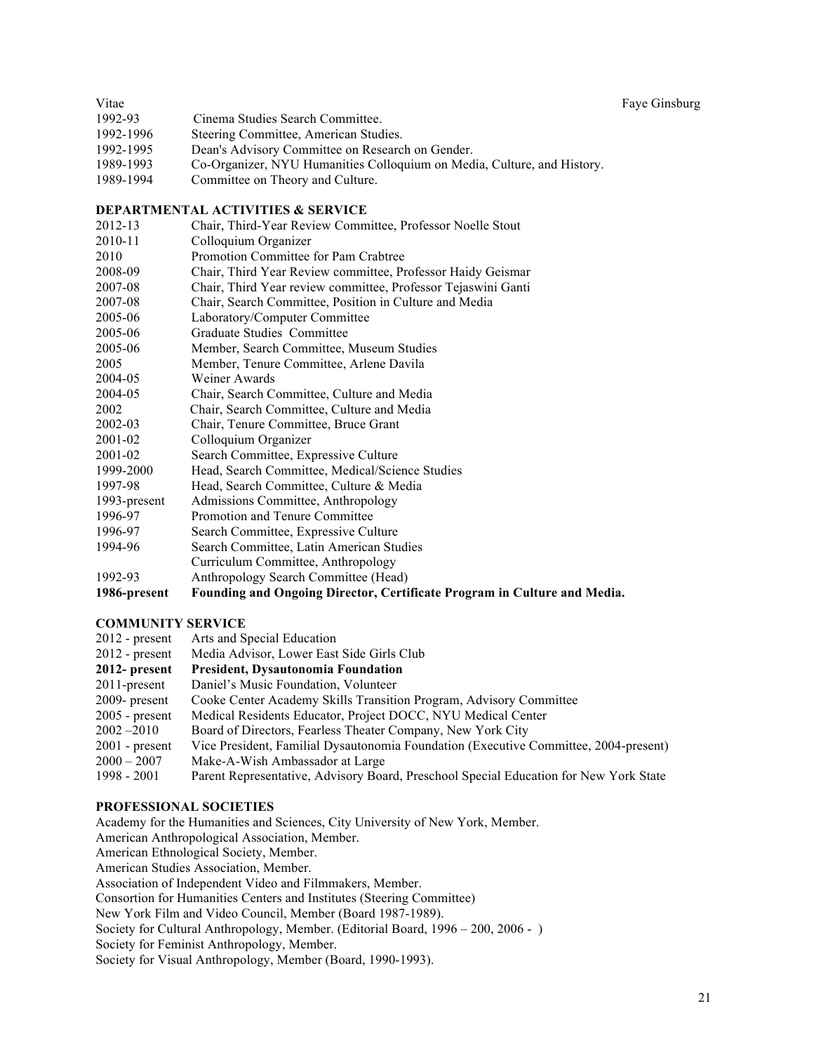| Vitae     |                                                                         | Faye Ginsburg |
|-----------|-------------------------------------------------------------------------|---------------|
| 1992-93   | Cinema Studies Search Committee.                                        |               |
| 1992-1996 | Steering Committee, American Studies.                                   |               |
| 1992-1995 | Dean's Advisory Committee on Research on Gender.                        |               |
| 1989-1993 | Co-Organizer, NYU Humanities Colloquium on Media, Culture, and History. |               |
| 1989-1994 | Committee on Theory and Culture.                                        |               |

#### **DEPARTMENTAL ACTIVITIES & SERVICE**

| 2012-13      | Chair, Third-Year Review Committee, Professor Noelle Stout               |
|--------------|--------------------------------------------------------------------------|
| 2010-11      | Colloquium Organizer                                                     |
| 2010         | Promotion Committee for Pam Crabtree                                     |
| 2008-09      | Chair, Third Year Review committee, Professor Haidy Geismar              |
| 2007-08      | Chair, Third Year review committee, Professor Tejaswini Ganti            |
| 2007-08      | Chair, Search Committee, Position in Culture and Media                   |
| 2005-06      | Laboratory/Computer Committee                                            |
| 2005-06      | Graduate Studies Committee                                               |
| 2005-06      | Member, Search Committee, Museum Studies                                 |
| 2005         | Member, Tenure Committee, Arlene Davila                                  |
| 2004-05      | Weiner Awards                                                            |
| 2004-05      | Chair, Search Committee, Culture and Media                               |
| 2002         | Chair, Search Committee, Culture and Media                               |
| 2002-03      | Chair, Tenure Committee, Bruce Grant                                     |
| 2001-02      | Colloquium Organizer                                                     |
| 2001-02      | Search Committee, Expressive Culture                                     |
| 1999-2000    | Head, Search Committee, Medical/Science Studies                          |
| 1997-98      | Head, Search Committee, Culture & Media                                  |
| 1993-present | Admissions Committee, Anthropology                                       |
| 1996-97      | Promotion and Tenure Committee                                           |
| 1996-97      | Search Committee, Expressive Culture                                     |
| 1994-96      | Search Committee, Latin American Studies                                 |
|              | Curriculum Committee, Anthropology                                       |
| 1992-93      | Anthropology Search Committee (Head)                                     |
| 1986-present | Founding and Ongoing Director, Certificate Program in Culture and Media. |

#### **COMMUNITY SERVICE**

| $2012$ - present | Arts and Special Education                                                            |
|------------------|---------------------------------------------------------------------------------------|
| $2012$ - present | Media Advisor, Lower East Side Girls Club                                             |
| $2012$ - present | President, Dysautonomia Foundation                                                    |
| $2011$ -present  | Daniel's Music Foundation, Volunteer                                                  |
| $2009$ - present | Cooke Center Academy Skills Transition Program, Advisory Committee                    |
| $2005$ - present | Medical Residents Educator, Project DOCC, NYU Medical Center                          |
| $2002 - 2010$    | Board of Directors, Fearless Theater Company, New York City                           |
| $2001$ - present | Vice President, Familial Dysautonomia Foundation (Executive Committee, 2004-present)  |
| $2000 - 2007$    | Make-A-Wish Ambassador at Large                                                       |
| $1998 - 2001$    | Parent Representative, Advisory Board, Preschool Special Education for New York State |

#### **PROFESSIONAL SOCIETIES**

Academy for the Humanities and Sciences, City University of New York, Member. American Anthropological Association, Member. American Ethnological Society, Member. American Studies Association, Member. Association of Independent Video and Filmmakers, Member. Consortion for Humanities Centers and Institutes (Steering Committee) New York Film and Video Council, Member (Board 1987-1989). Society for Cultural Anthropology, Member. (Editorial Board, 1996 – 200, 2006 - ) Society for Feminist Anthropology, Member. Society for Visual Anthropology, Member (Board, 1990-1993).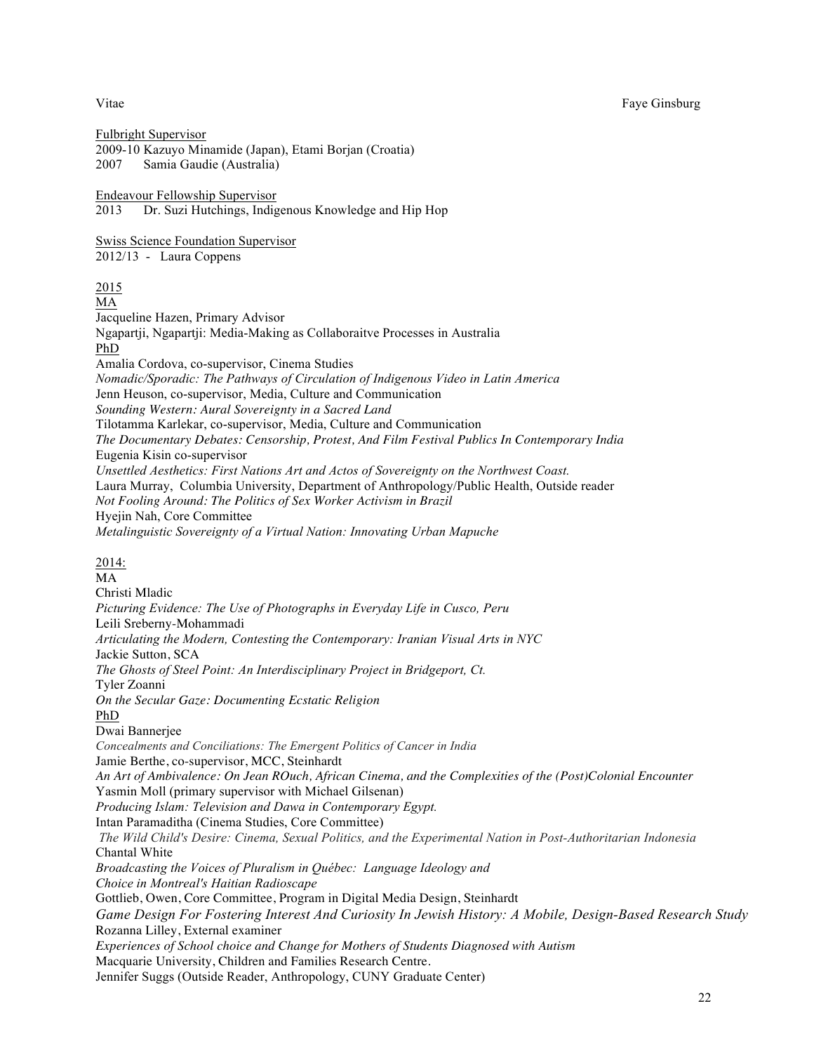Fulbright Supervisor 2009-10 Kazuyo Minamide (Japan), Etami Borjan (Croatia) 2007 Samia Gaudie (Australia) Endeavour Fellowship Supervisor 2013 Dr. Suzi Hutchings, Indigenous Knowledge and Hip Hop Swiss Science Foundation Supervisor 2012/13 - Laura Coppens 2015 MA Jacqueline Hazen, Primary Advisor Ngapartji, Ngapartji: Media-Making as Collaboraitve Processes in Australia PhD Amalia Cordova, co-supervisor, Cinema Studies *Nomadic/Sporadic: The Pathways of Circulation of Indigenous Video in Latin America* Jenn Heuson, co-supervisor, Media, Culture and Communication *Sounding Western: Aural Sovereignty in a Sacred Land* Tilotamma Karlekar, co-supervisor, Media, Culture and Communication *The Documentary Debates: Censorship, Protest, And Film Festival Publics In Contemporary India* Eugenia Kisin co-supervisor *Unsettled Aesthetics: First Nations Art and Actos of Sovereignty on the Northwest Coast.* Laura Murray, Columbia University, Department of Anthropology/Public Health, Outside reader *Not Fooling Around: The Politics of Sex Worker Activism in Brazil* Hyejin Nah, Core Committee *Metalinguistic Sovereignty of a Virtual Nation: Innovating Urban Mapuche* 2014: MA Christi Mladic *Picturing Evidence: The Use of Photographs in Everyday Life in Cusco, Peru* Leili Sreberny-Mohammadi *Articulating the Modern, Contesting the Contemporary: Iranian Visual Arts in NYC*  Jackie Sutton, SCA *The Ghosts of Steel Point: An Interdisciplinary Project in Bridgeport, Ct.*  Tyler Zoanni *On the Secular Gaze: Documenting Ecstatic Religion* PhD Dwai Bannerjee *Concealments and Conciliations: The Emergent Politics of Cancer in India* Jamie Berthe, co-supervisor, MCC, Steinhardt *An Art of Ambivalence: On Jean ROuch, African Cinema, and the Complexities of the (Post)Colonial Encounter* Yasmin Moll (primary supervisor with Michael Gilsenan) *Producing Islam: Television and Dawa in Contemporary Egypt.* Intan Paramaditha (Cinema Studies, Core Committee) *The Wild Child's Desire: Cinema, Sexual Politics, and the Experimental Nation in Post-Authoritarian Indonesia* Chantal White *Broadcasting the Voices of Pluralism in Québec: Language Ideology and Choice in Montreal's Haitian Radioscape* Gottlieb, Owen, Core Committee, Program in Digital Media Design, Steinhardt *Game Design For Fostering Interest And Curiosity In Jewish History: A Mobile, Design-Based Research Study* Rozanna Lilley, External examiner *Experiences of School choice and Change for Mothers of Students Diagnosed with Autism* Macquarie University, Children and Families Research Centre.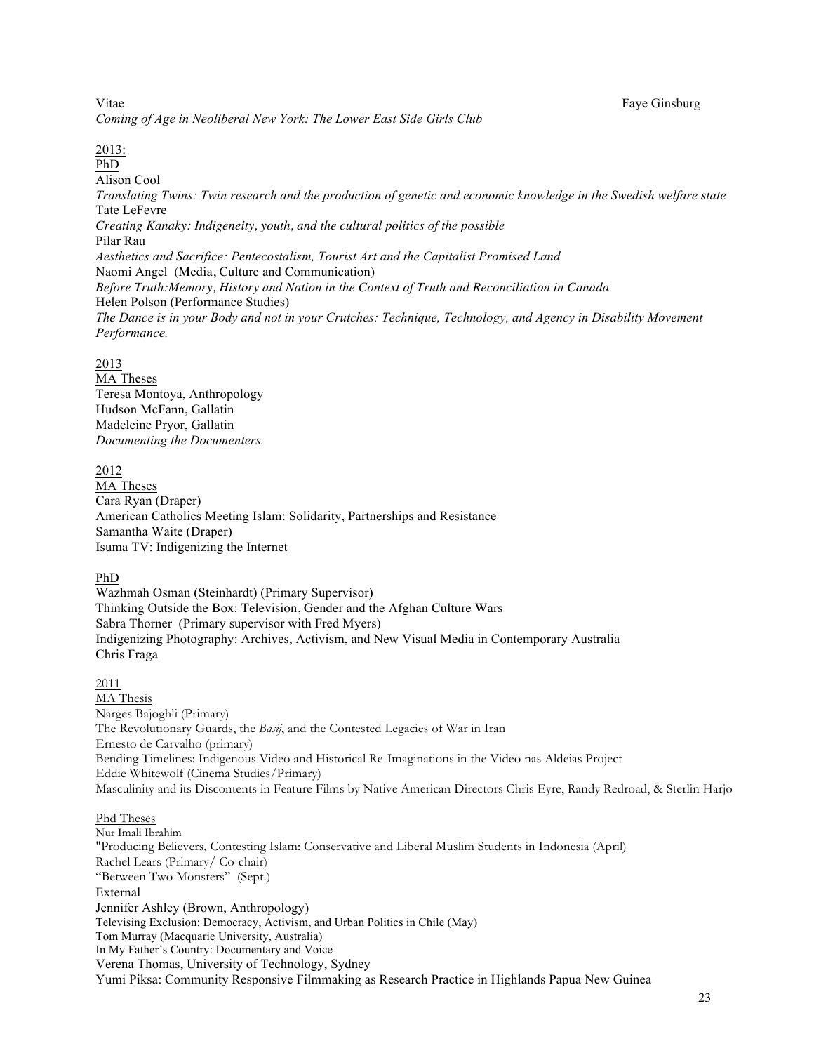Vitae Faye Ginsburg and The Faye Ginsburg and The Faye Ginsburg and The Faye Ginsburg and The Faye Ginsburg and The Faye Ginsburg and The Faye Ginsburg and The Faye Ginsburg and The Faye Ginsburg and The Faye Ginsburg and *Coming of Age in Neoliberal New York: The Lower East Side Girls Club*

#### 2013:

PhD Alison Cool *Translating Twins: Twin research and the production of genetic and economic knowledge in the Swedish welfare state* Tate LeFevre *Creating Kanaky: Indigeneity, youth, and the cultural politics of the possible* Pilar Rau *Aesthetics and Sacrifice: Pentecostalism, Tourist Art and the Capitalist Promised Land* Naomi Angel (Media, Culture and Communication) *Before Truth:Memory, History and Nation in the Context of Truth and Reconciliation in Canada* Helen Polson (Performance Studies) *The Dance is in your Body and not in your Crutches: Technique, Technology, and Agency in Disability Movement Performance.*

#### 2013

MA Theses Teresa Montoya, Anthropology Hudson McFann, Gallatin Madeleine Pryor, Gallatin *Documenting the Documenters.* 

#### 2012

MA Theses Cara Ryan (Draper) American Catholics Meeting Islam: Solidarity, Partnerships and Resistance Samantha Waite (Draper) Isuma TV: Indigenizing the Internet

#### PhD

Wazhmah Osman (Steinhardt) (Primary Supervisor) Thinking Outside the Box: Television, Gender and the Afghan Culture Wars Sabra Thorner (Primary supervisor with Fred Myers) Indigenizing Photography: Archives, Activism, and New Visual Media in Contemporary Australia Chris Fraga

#### 2011

MA Thesis Narges Bajoghli (Primary) The Revolutionary Guards, the *Basij*, and the Contested Legacies of War in Iran Ernesto de Carvalho (primary) Bending Timelines: Indigenous Video and Historical Re-Imaginations in the Video nas Aldeias Project Eddie Whitewolf (Cinema Studies/Primary) Masculinity and its Discontents in Feature Films by Native American Directors Chris Eyre, Randy Redroad, & Sterlin Harjo

#### Phd Theses

Nur Imali Ibrahim "Producing Believers, Contesting Islam: Conservative and Liberal Muslim Students in Indonesia (April) Rachel Lears (Primary/ Co-chair) "Between Two Monsters" (Sept.) External Jennifer Ashley (Brown, Anthropology) Televising Exclusion: Democracy, Activism, and Urban Politics in Chile (May) Tom Murray (Macquarie University, Australia) In My Father's Country: Documentary and Voice Verena Thomas, University of Technology, Sydney Yumi Piksa: Community Responsive Filmmaking as Research Practice in Highlands Papua New Guinea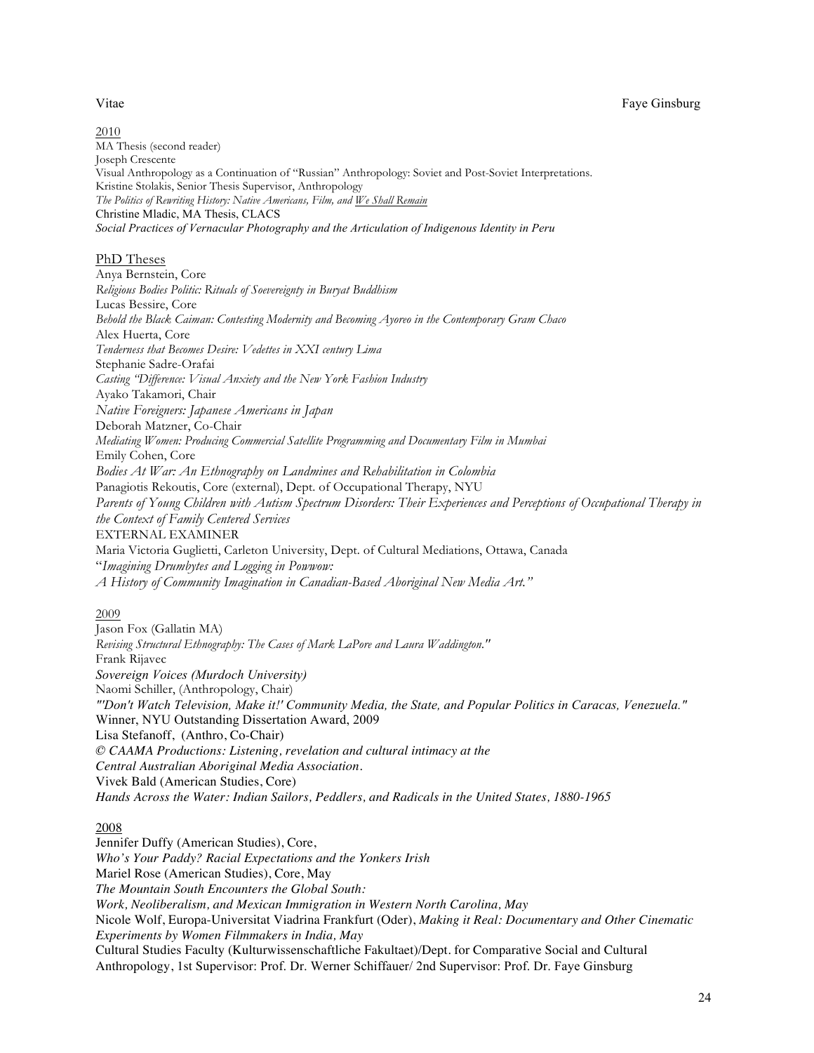2010 MA Thesis (second reader) Joseph Crescente Visual Anthropology as a Continuation of "Russian" Anthropology: Soviet and Post-Soviet Interpretations. Kristine Stolakis, Senior Thesis Supervisor, Anthropology *The Politics of Rewriting History: Native Americans, Film, and We Shall Remain* Christine Mladic, MA Thesis, CLACS *Social Practices of Vernacular Photography and the Articulation of Indigenous Identity in Peru*

#### PhD Theses

Anya Bernstein, Core *Religious Bodies Politic: Rituals of Soevereignty in Buryat Buddhism* Lucas Bessire, Core *Behold the Black Caiman: Contesting Modernity and Becoming Ayoreo in the Contemporary Gram Chaco* Alex Huerta, Core *Tenderness that Becomes Desire: Vedettes in XXI century Lima* Stephanie Sadre-Orafai *Casting "Difference: Visual Anxiety and the New York Fashion Industry* Ayako Takamori, Chair *Native Foreigners: Japanese Americans in Japan* Deborah Matzner, Co-Chair *Mediating Women: Producing Commercial Satellite Programming and Documentary Film in Mumbai* Emily Cohen, Core *Bodies At War: An Ethnography on Landmines and Rehabilitation in Colombia* Panagiotis Rekoutis, Core (external), Dept. of Occupational Therapy, NYU *Parents of Young Children with Autism Spectrum Disorders: Their Experiences and Perceptions of Occupational Therapy in the Context of Family Centered Services* EXTERNAL EXAMINER Maria Victoria Guglietti, Carleton University, Dept. of Cultural Mediations, Ottawa, Canada "*Imagining Drumbytes and Logging in Powwow: A History of Community Imagination in Canadian-Based Aboriginal New Media Art."*

#### 2009

Jason Fox (Gallatin MA) *Revising Structural Ethnography: The Cases of Mark LaPore and Laura Waddington."* Frank Rijavec *Sovereign Voices (Murdoch University)* Naomi Schiller, (Anthropology, Chair) *"'Don't Watch Television, Make it!' Community Media, the State, and Popular Politics in Caracas, Venezuela."* Winner, NYU Outstanding Dissertation Award, 2009 Lisa Stefanoff, (Anthro, Co-Chair) *© CAAMA Productions: Listening, revelation and cultural intimacy at the Central Australian Aboriginal Media Association.* Vivek Bald (American Studies, Core) *Hands Across the Water: Indian Sailors, Peddlers, and Radicals in the United States, 1880-1965*

#### 2008

Jennifer Duffy (American Studies), Core, *Who's Your Paddy? Racial Expectations and the Yonkers Irish* Mariel Rose (American Studies), Core, May *The Mountain South Encounters the Global South: Work, Neoliberalism, and Mexican Immigration in Western North Carolina, May* Nicole Wolf, Europa-Universitat Viadrina Frankfurt (Oder), *Making it Real: Documentary and Other Cinematic Experiments by Women Filmmakers in India, May* Cultural Studies Faculty (Kulturwissenschaftliche Fakultaet)/Dept. for Comparative Social and Cultural Anthropology, 1st Supervisor: Prof. Dr. Werner Schiffauer/ 2nd Supervisor: Prof. Dr. Faye Ginsburg